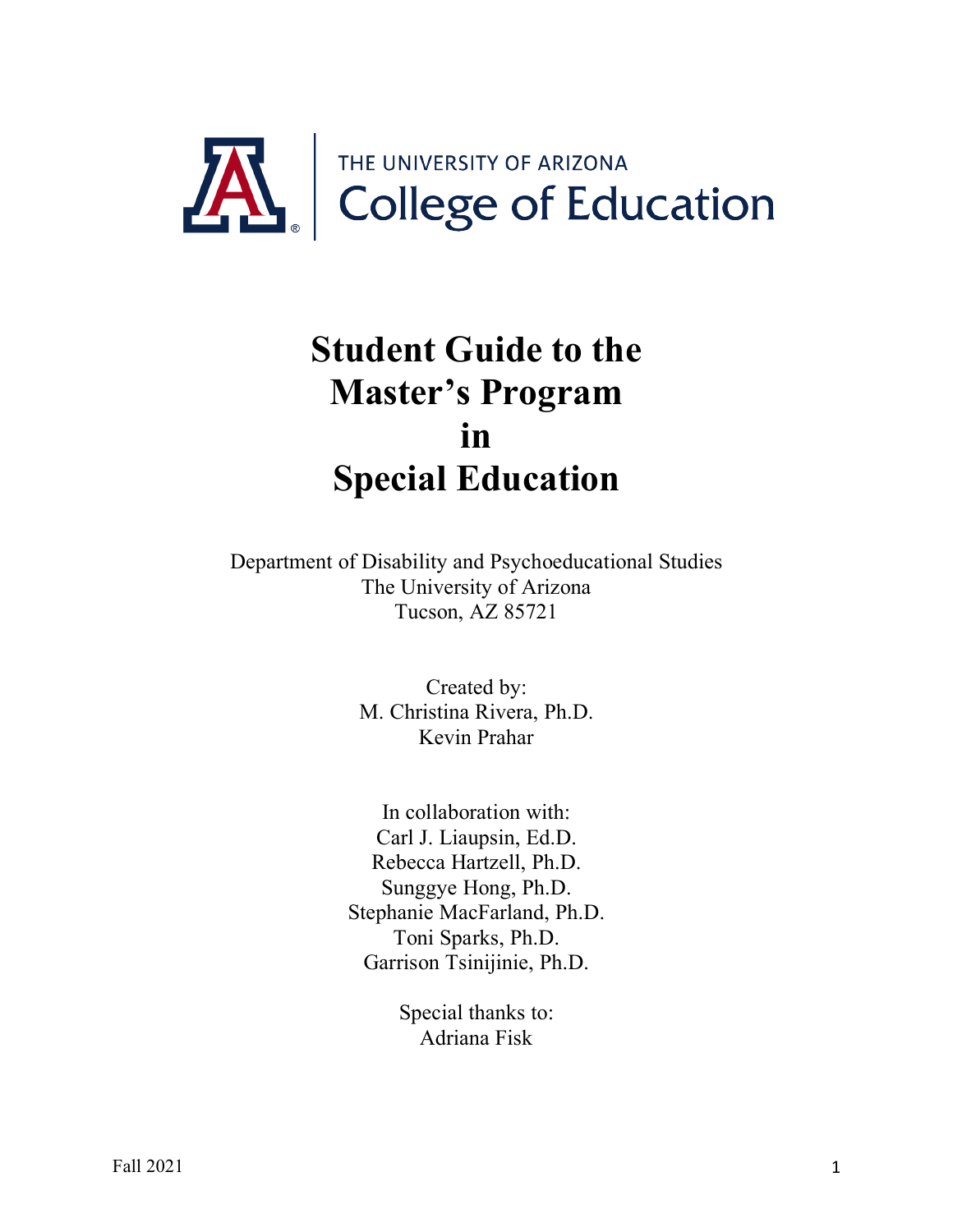

# **Student Guide to the Master's Program in Special Education**

Department of Disability and Psychoeducational Studies The University of Arizona Tucson, AZ 85721

> Created by: M. Christina Rivera, Ph.D. Kevin Prahar

In collaboration with: Carl J. Liaupsin, Ed.D. Rebecca Hartzell, Ph.D. Sunggye Hong, Ph.D. Stephanie MacFarland, Ph.D. Toni Sparks, Ph.D. Garrison Tsinijinie, Ph.D.

> Special thanks to: Adriana Fisk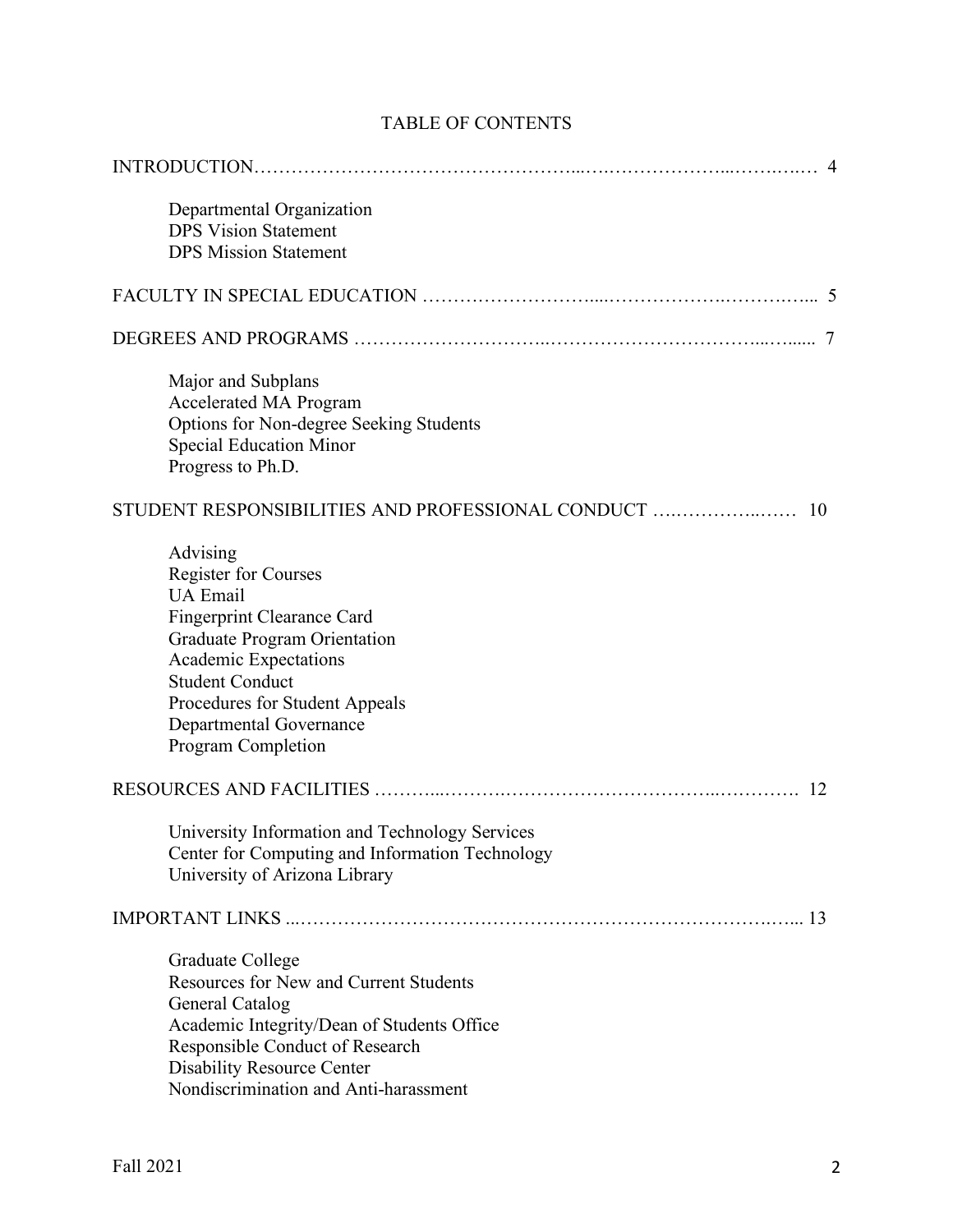| Departmental Organization<br><b>DPS Vision Statement</b><br><b>DPS Mission Statement</b>                                                                                                                                                                              |
|-----------------------------------------------------------------------------------------------------------------------------------------------------------------------------------------------------------------------------------------------------------------------|
|                                                                                                                                                                                                                                                                       |
|                                                                                                                                                                                                                                                                       |
| Major and Subplans<br>Accelerated MA Program<br>Options for Non-degree Seeking Students<br><b>Special Education Minor</b><br>Progress to Ph.D.                                                                                                                        |
| STUDENT RESPONSIBILITIES AND PROFESSIONAL CONDUCT<br>10                                                                                                                                                                                                               |
| Advising<br><b>Register for Courses</b><br><b>UA</b> Email<br><b>Fingerprint Clearance Card</b><br>Graduate Program Orientation<br>Academic Expectations<br><b>Student Conduct</b><br>Procedures for Student Appeals<br>Departmental Governance<br>Program Completion |
| 12                                                                                                                                                                                                                                                                    |
| University Information and Technology Services<br>Center for Computing and Information Technology<br>University of Arizona Library                                                                                                                                    |
|                                                                                                                                                                                                                                                                       |
| Graduate College<br><b>Resources for New and Current Students</b><br>General Catalog<br>Academic Integrity/Dean of Students Office<br>Responsible Conduct of Research<br><b>Disability Resource Center</b><br>Nondiscrimination and Anti-harassment                   |

# TABLE OF CONTENTS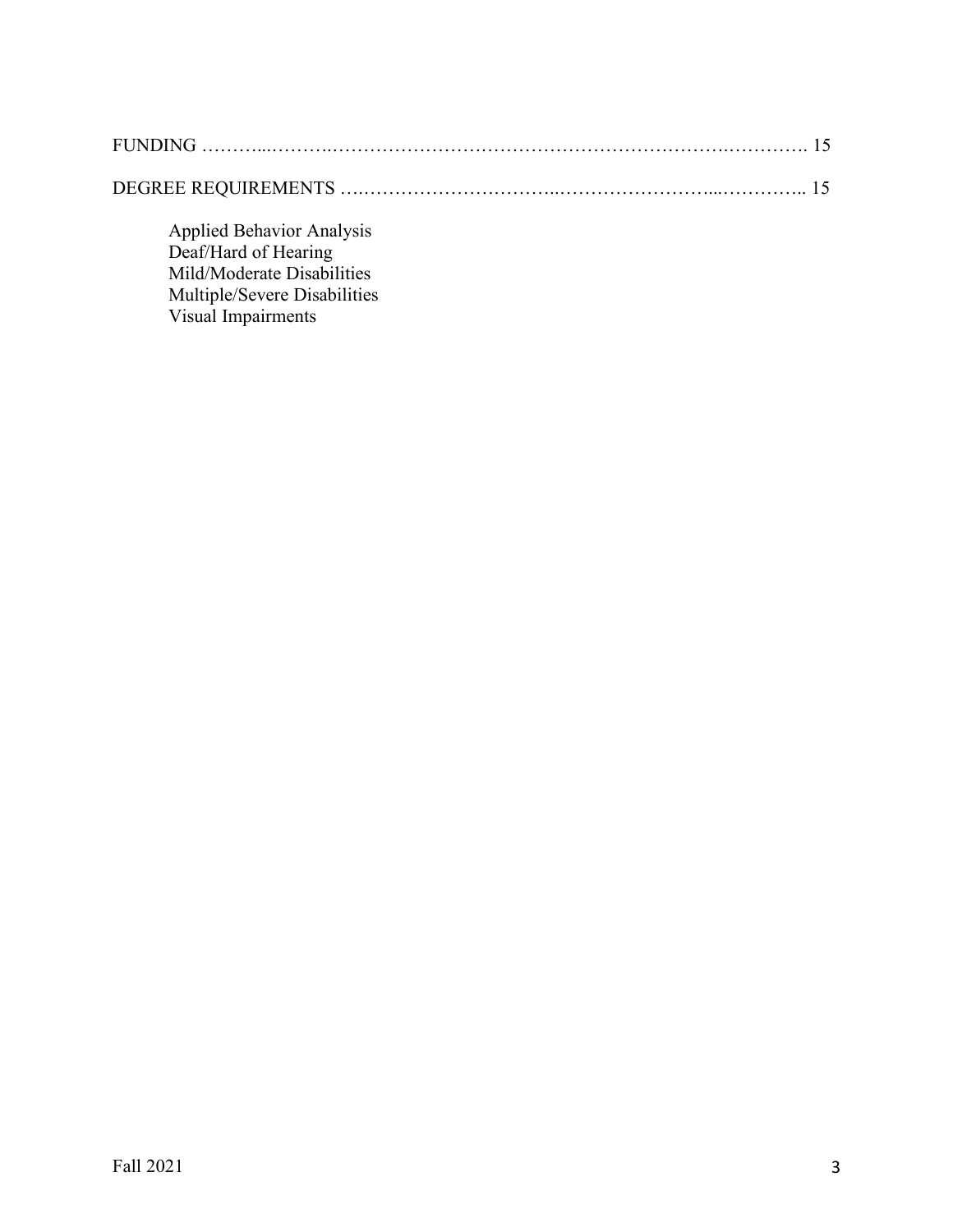Applied Behavior Analysis Deaf/Hard of Hearing Mild/Moderate Disabilities Multiple/Severe Disabilities Visual Impairments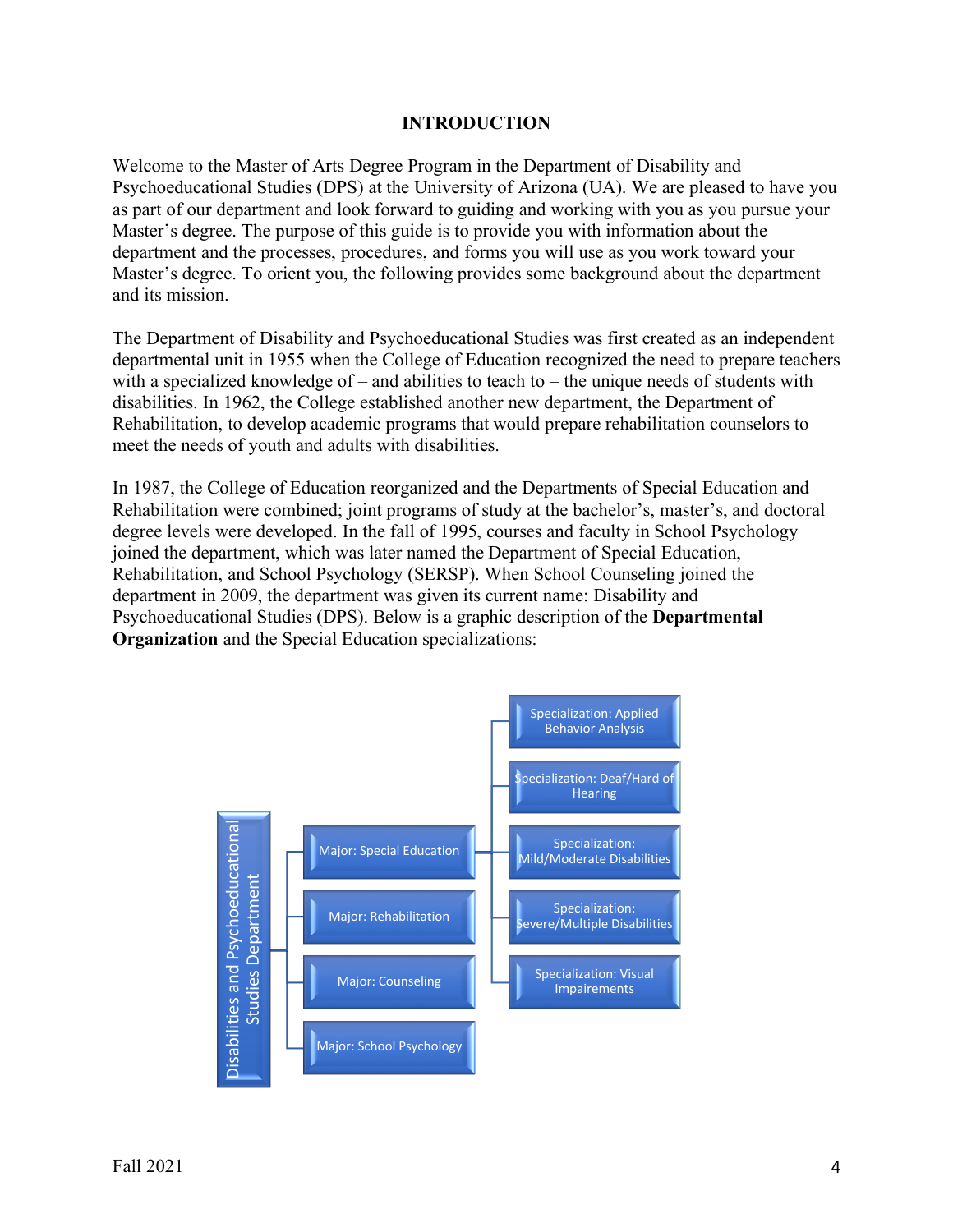#### **INTRODUCTION**

Welcome to the Master of Arts Degree Program in the Department of Disability and Psychoeducational Studies (DPS) at the University of Arizona (UA). We are pleased to have you as part of our department and look forward to guiding and working with you as you pursue your Master's degree. The purpose of this guide is to provide you with information about the department and the processes, procedures, and forms you will use as you work toward your Master's degree. To orient you, the following provides some background about the department and its mission.

The Department of Disability and Psychoeducational Studies was first created as an independent departmental unit in 1955 when the College of Education recognized the need to prepare teachers with a specialized knowledge of – and abilities to teach to – the unique needs of students with disabilities. In 1962, the College established another new department, the Department of Rehabilitation, to develop academic programs that would prepare rehabilitation counselors to meet the needs of youth and adults with disabilities.

In 1987, the College of Education reorganized and the Departments of Special Education and Rehabilitation were combined; joint programs of study at the bachelor's, master's, and doctoral degree levels were developed. In the fall of 1995, courses and faculty in School Psychology joined the department, which was later named the Department of Special Education, Rehabilitation, and School Psychology (SERSP). When School Counseling joined the department in 2009, the department was given its current name: Disability and Psychoeducational Studies (DPS). Below is a graphic description of the **Departmental Organization** and the Special Education specializations:

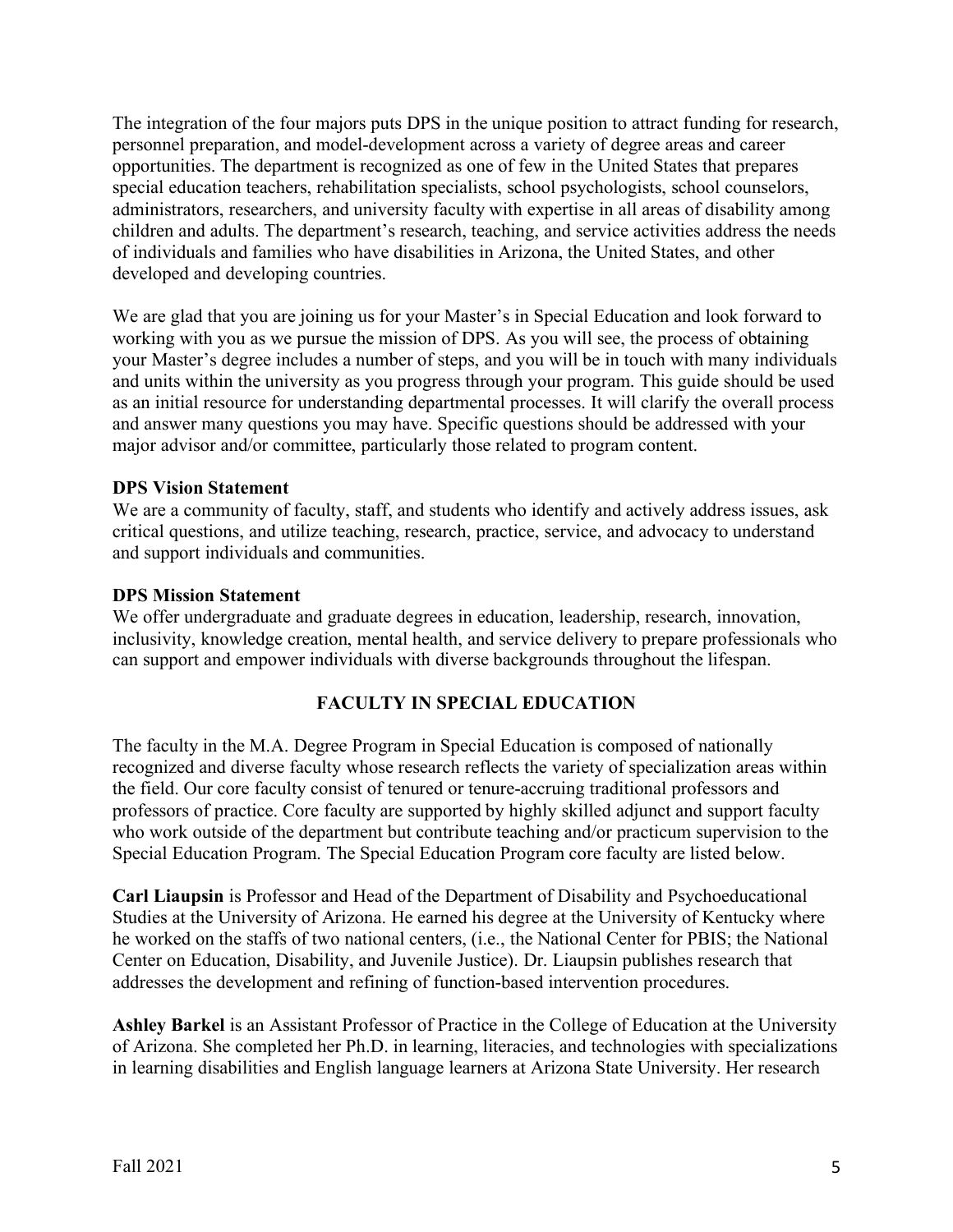The integration of the four majors puts DPS in the unique position to attract funding for research, personnel preparation, and model-development across a variety of degree areas and career opportunities. The department is recognized as one of few in the United States that prepares special education teachers, rehabilitation specialists, school psychologists, school counselors, administrators, researchers, and university faculty with expertise in all areas of disability among children and adults. The department's research, teaching, and service activities address the needs of individuals and families who have disabilities in Arizona, the United States, and other developed and developing countries.

We are glad that you are joining us for your Master's in Special Education and look forward to working with you as we pursue the mission of DPS. As you will see, the process of obtaining your Master's degree includes a number of steps, and you will be in touch with many individuals and units within the university as you progress through your program. This guide should be used as an initial resource for understanding departmental processes. It will clarify the overall process and answer many questions you may have. Specific questions should be addressed with your major advisor and/or committee, particularly those related to program content.

#### **DPS Vision Statement**

We are a community of faculty, staff, and students who identify and actively address issues, ask critical questions, and utilize teaching, research, practice, service, and advocacy to understand and support individuals and communities.

#### **DPS Mission Statement**

We offer undergraduate and graduate degrees in education, leadership, research, innovation, inclusivity, knowledge creation, mental health, and service delivery to prepare professionals who can support and empower individuals with diverse backgrounds throughout the lifespan.

## **FACULTY IN SPECIAL EDUCATION**

The faculty in the M.A. Degree Program in Special Education is composed of nationally recognized and diverse faculty whose research reflects the variety of specialization areas within the field. Our core faculty consist of tenured or tenure-accruing traditional professors and professors of practice. Core faculty are supported by highly skilled adjunct and support faculty who work outside of the department but contribute teaching and/or practicum supervision to the Special Education Program. The Special Education Program core faculty are listed below.

**Carl Liaupsin** is Professor and Head of the Department of Disability and Psychoeducational Studies at the University of Arizona. He earned his degree at the University of Kentucky where he worked on the staffs of two national centers, (i.e., the National Center for PBIS; the National Center on Education, Disability, and Juvenile Justice). Dr. Liaupsin publishes research that addresses the development and refining of function-based intervention procedures.

**Ashley Barkel** is an Assistant Professor of Practice in the College of Education at the University of Arizona. She completed her Ph.D. in learning, literacies, and technologies with specializations in learning disabilities and English language learners at Arizona State University. Her research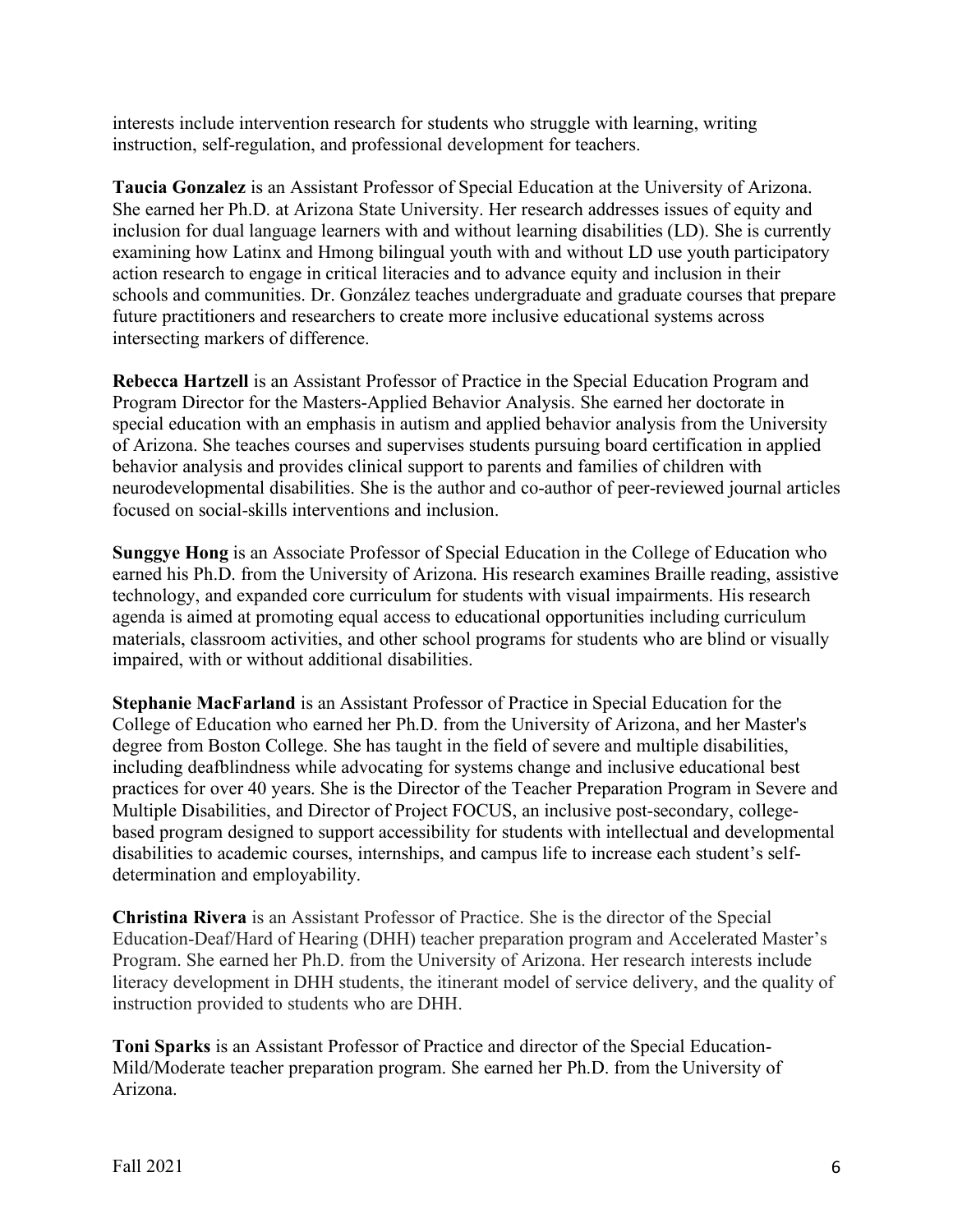interests include intervention research for students who struggle with learning, writing instruction, self-regulation, and professional development for teachers.

**Taucia Gonzalez** is an Assistant Professor of Special Education at the University of Arizona. She earned her Ph.D. at Arizona State University. Her research addresses issues of equity and inclusion for dual language learners with and without learning disabilities (LD). She is currently examining how Latinx and Hmong bilingual youth with and without LD use youth participatory action research to engage in critical literacies and to advance equity and inclusion in their schools and communities. Dr. González teaches undergraduate and graduate courses that prepare future practitioners and researchers to create more inclusive educational systems across intersecting markers of difference.

**Rebecca Hartzell** is an Assistant Professor of Practice in the Special Education Program and Program Director for the Masters-Applied Behavior Analysis. She earned her doctorate in special education with an emphasis in autism and applied behavior analysis from the University of Arizona. She teaches courses and supervises students pursuing board certification in applied behavior analysis and provides clinical support to parents and families of children with neurodevelopmental disabilities. She is the author and co-author of peer-reviewed journal articles focused on social-skills interventions and inclusion.

**Sunggye Hong** is an Associate Professor of Special Education in the College of Education who earned his Ph.D. from the University of Arizona. His research examines Braille reading, assistive technology, and expanded core curriculum for students with visual impairments. His research agenda is aimed at promoting equal access to educational opportunities including curriculum materials, classroom activities, and other school programs for students who are blind or visually impaired, with or without additional disabilities.

**Stephanie MacFarland** is an Assistant Professor of Practice in Special Education for the College of Education who earned her Ph.D. from the University of Arizona, and her Master's degree from Boston College. She has taught in the field of severe and multiple disabilities, including deafblindness while advocating for systems change and inclusive educational best practices for over 40 years. She is the Director of the Teacher Preparation Program in Severe and Multiple Disabilities, and Director of Project FOCUS, an inclusive post-secondary, collegebased program designed to support accessibility for students with intellectual and developmental disabilities to academic courses, internships, and campus life to increase each student's selfdetermination and employability.

**Christina Rivera** is an Assistant Professor of Practice. She is the director of the Special Education-Deaf/Hard of Hearing (DHH) teacher preparation program and Accelerated Master's Program. She earned her Ph.D. from the University of Arizona. Her research interests include literacy development in DHH students, the itinerant model of service delivery, and the quality of instruction provided to students who are DHH.

**Toni Sparks** is an Assistant Professor of Practice and director of the Special Education-Mild/Moderate teacher preparation program. She earned her Ph.D. from the University of Arizona.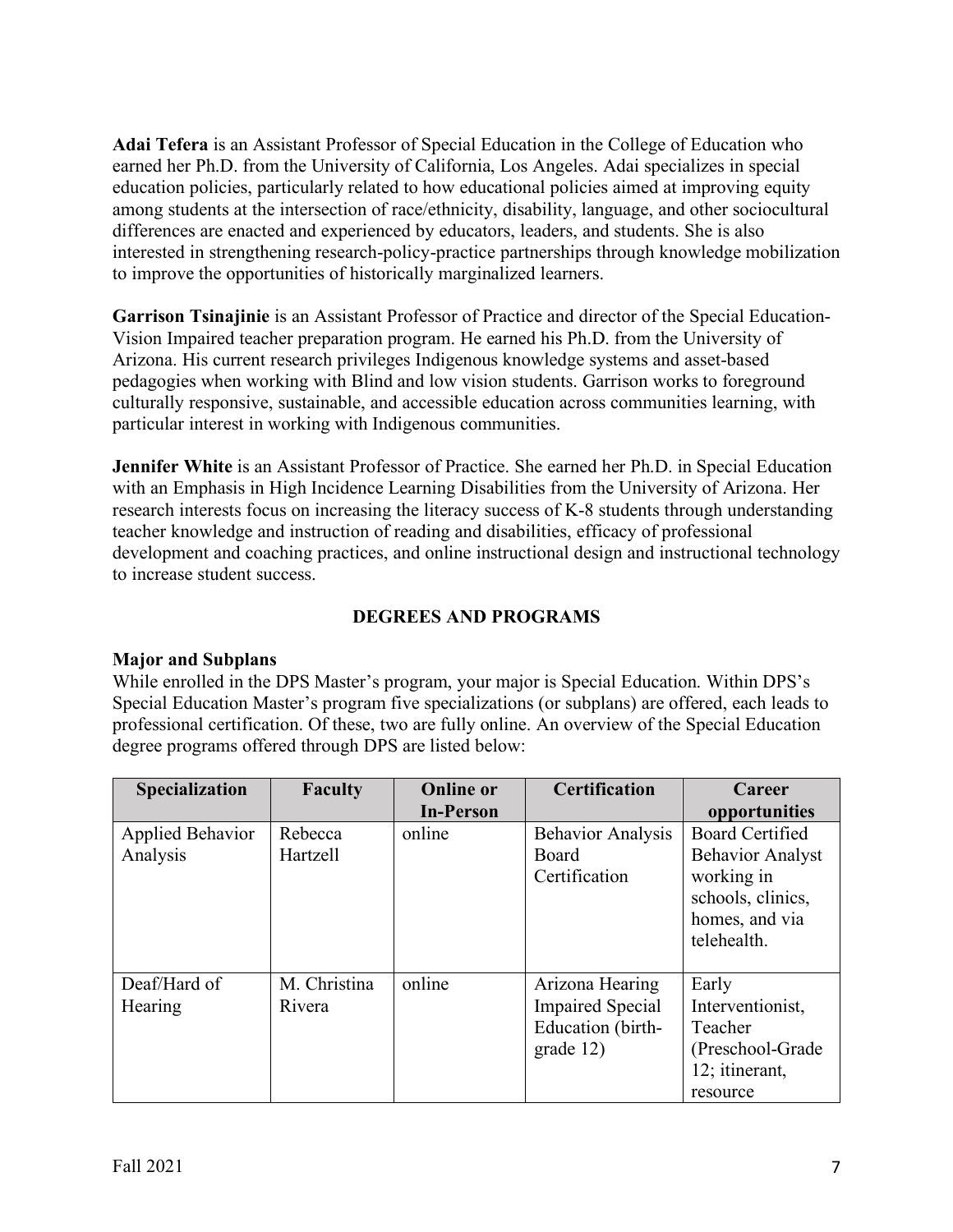**Adai Tefera** is an Assistant Professor of Special Education in the College of Education who earned her Ph.D. from the University of California, Los Angeles. Adai specializes in special education policies, particularly related to how educational policies aimed at improving equity among students at the intersection of race/ethnicity, disability, language, and other sociocultural differences are enacted and experienced by educators, leaders, and students. She is also interested in strengthening research-policy-practice partnerships through knowledge mobilization to improve the opportunities of historically marginalized learners.

**Garrison Tsinajinie** is an Assistant Professor of Practice and director of the Special Education-Vision Impaired teacher preparation program. He earned his Ph.D. from the University of Arizona. His current research privileges Indigenous knowledge systems and asset-based pedagogies when working with Blind and low vision students. Garrison works to foreground culturally responsive, sustainable, and accessible education across communities learning, with particular interest in working with Indigenous communities.

**Jennifer White** is an Assistant Professor of Practice. She earned her Ph.D. in Special Education with an Emphasis in High Incidence Learning Disabilities from the University of Arizona. Her research interests focus on increasing the literacy success of K-8 students through understanding teacher knowledge and instruction of reading and disabilities, efficacy of professional development and coaching practices, and online instructional design and instructional technology to increase student success.

# **DEGREES AND PROGRAMS**

## **Major and Subplans**

While enrolled in the DPS Master's program, your major is Special Education. Within DPS's Special Education Master's program five specializations (or subplans) are offered, each leads to professional certification. Of these, two are fully online. An overview of the Special Education degree programs offered through DPS are listed below:

| Specialization                      | Faculty                | <b>Online or</b> | <b>Certification</b>                                                         | Career                                                                                                                |
|-------------------------------------|------------------------|------------------|------------------------------------------------------------------------------|-----------------------------------------------------------------------------------------------------------------------|
|                                     |                        | <b>In-Person</b> |                                                                              | opportunities                                                                                                         |
| <b>Applied Behavior</b><br>Analysis | Rebecca<br>Hartzell    | online           | <b>Behavior Analysis</b><br>Board<br>Certification                           | <b>Board Certified</b><br><b>Behavior Analyst</b><br>working in<br>schools, clinics,<br>homes, and via<br>telehealth. |
| Deaf/Hard of<br>Hearing             | M. Christina<br>Rivera | online           | Arizona Hearing<br><b>Impaired Special</b><br>Education (birth-<br>grade 12) | Early<br>Interventionist,<br>Teacher<br>(Preschool-Grade)<br>12; itinerant,<br>resource                               |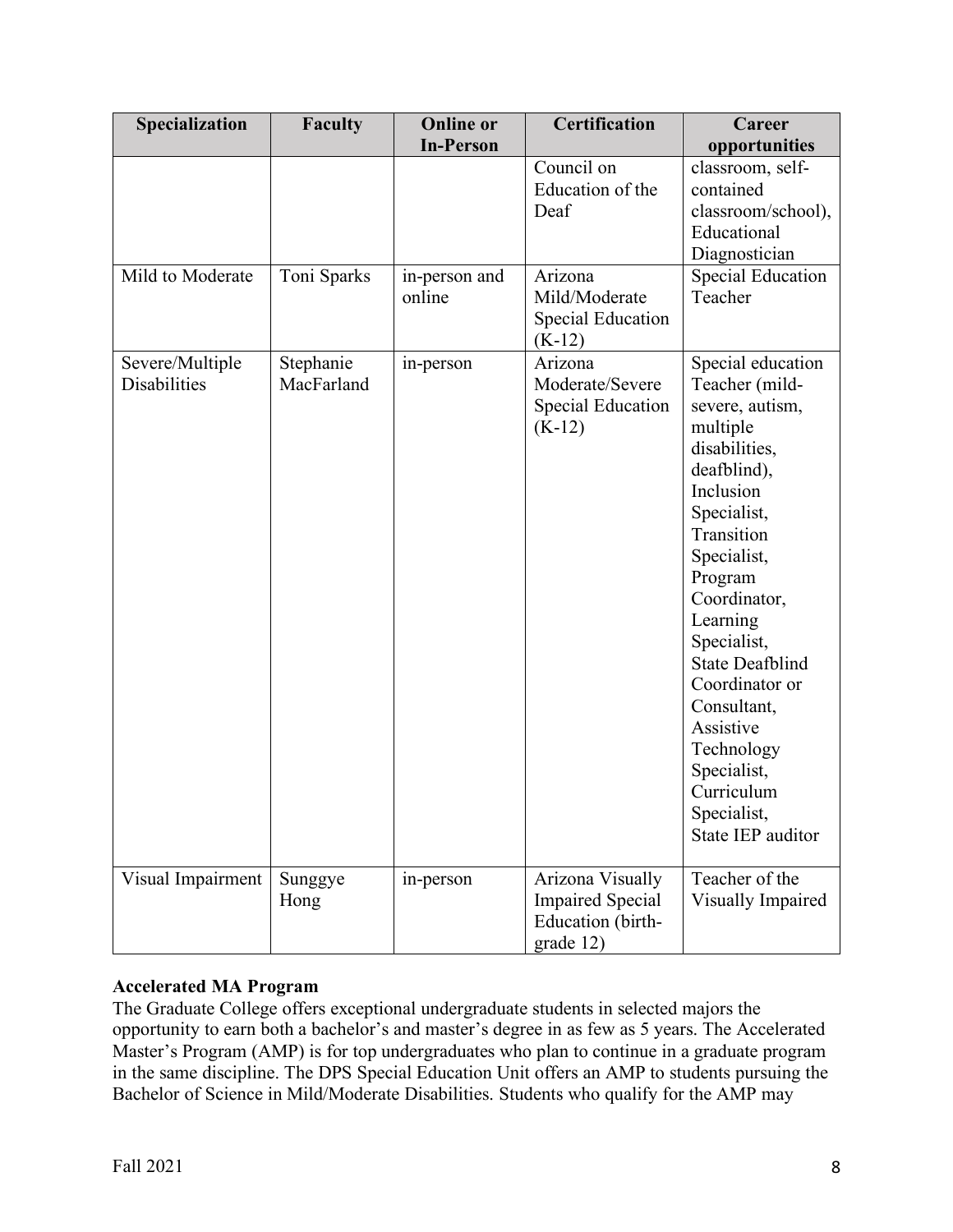| Specialization                  | <b>Faculty</b>          | <b>Online or</b>        | <b>Certification</b>                                                          | Career                                                                                                                                                                                                                                                                                                                                                                   |
|---------------------------------|-------------------------|-------------------------|-------------------------------------------------------------------------------|--------------------------------------------------------------------------------------------------------------------------------------------------------------------------------------------------------------------------------------------------------------------------------------------------------------------------------------------------------------------------|
|                                 |                         | <b>In-Person</b>        |                                                                               | opportunities                                                                                                                                                                                                                                                                                                                                                            |
|                                 |                         |                         | Council on<br>Education of the<br>Deaf                                        | classroom, self-<br>contained<br>classroom/school),<br>Educational<br>Diagnostician                                                                                                                                                                                                                                                                                      |
| Mild to Moderate                | Toni Sparks             | in-person and<br>online | Arizona<br>Mild/Moderate<br><b>Special Education</b><br>$(K-12)$              | <b>Special Education</b><br>Teacher                                                                                                                                                                                                                                                                                                                                      |
| Severe/Multiple<br>Disabilities | Stephanie<br>MacFarland | in-person               | Arizona<br>Moderate/Severe<br><b>Special Education</b><br>$(K-12)$            | Special education<br>Teacher (mild-<br>severe, autism,<br>multiple<br>disabilities,<br>deafblind),<br>Inclusion<br>Specialist,<br>Transition<br>Specialist,<br>Program<br>Coordinator,<br>Learning<br>Specialist,<br><b>State Deafblind</b><br>Coordinator or<br>Consultant,<br>Assistive<br>Technology<br>Specialist,<br>Curriculum<br>Specialist,<br>State IEP auditor |
| Visual Impairment               | Sunggye<br>Hong         | in-person               | Arizona Visually<br><b>Impaired Special</b><br>Education (birth-<br>grade 12) | Teacher of the<br>Visually Impaired                                                                                                                                                                                                                                                                                                                                      |

## **Accelerated MA Program**

The Graduate College offers exceptional undergraduate students in selected majors the opportunity to earn both a bachelor's and master's degree in as few as 5 years. The Accelerated Master's Program (AMP) is for top undergraduates who plan to continue in a graduate program in the same discipline. The DPS Special Education Unit offers an AMP to students pursuing the Bachelor of Science in Mild/Moderate Disabilities. Students who qualify for the AMP may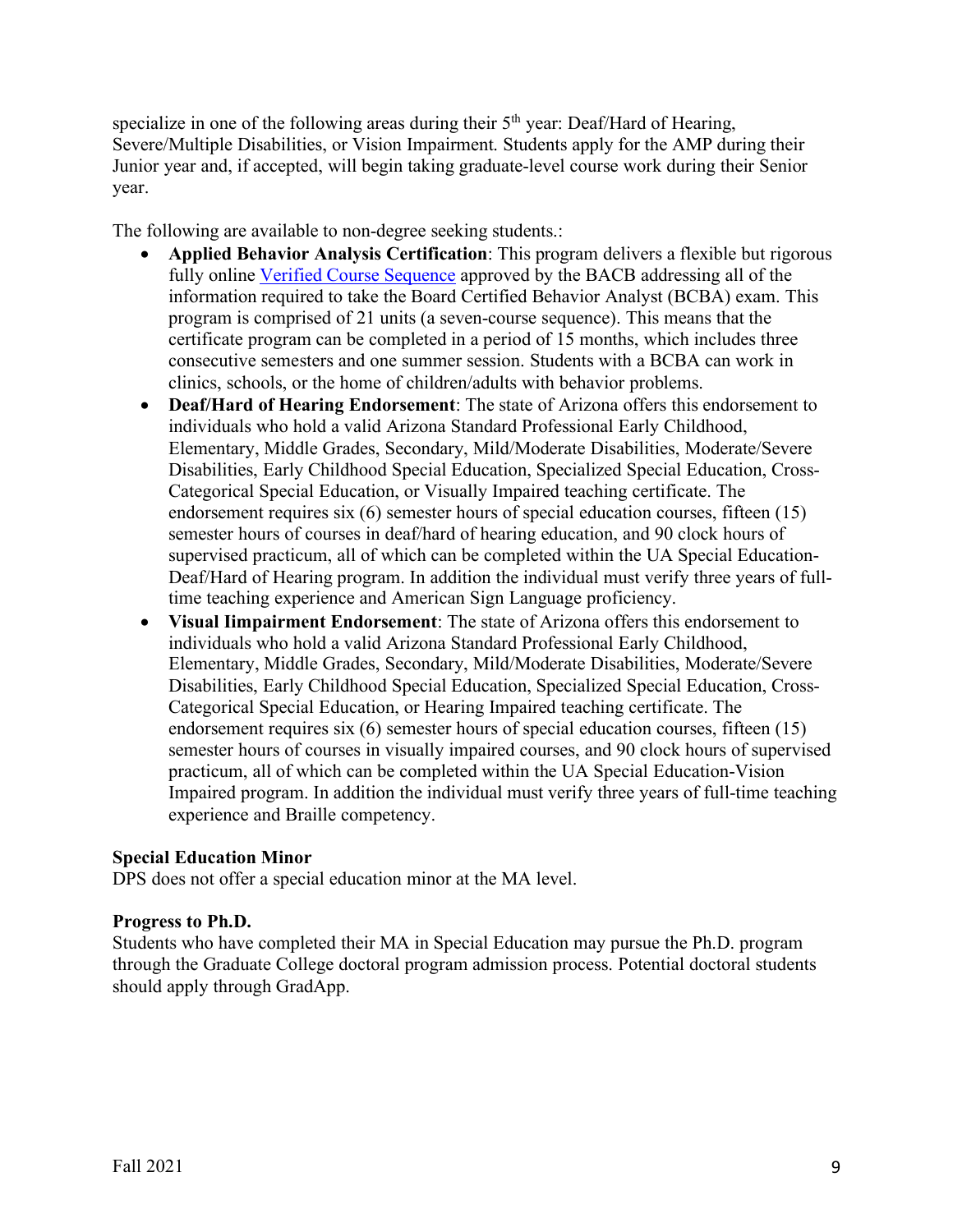specialize in one of the following areas during their 5<sup>th</sup> year: Deaf/Hard of Hearing, Severe/Multiple Disabilities, or Vision Impairment. Students apply for the AMP during their Junior year and, if accepted, will begin taking graduate-level course work during their Senior year.

The following are available to non-degree seeking students.:

- **Applied Behavior Analysis Certification**: This program delivers a flexible but rigorous fully online Verified Course Sequence approved by the BACB addressing all of the information required to take the Board Certified Behavior Analyst (BCBA) exam. This program is comprised of 21 units (a seven-course sequence). This means that the certificate program can be completed in a period of 15 months, which includes three consecutive semesters and one summer session. Students with a BCBA can work in clinics, schools, or the home of children/adults with behavior problems.
- **Deaf/Hard of Hearing Endorsement**: The state of Arizona offers this endorsement to individuals who hold a valid Arizona Standard Professional Early Childhood, Elementary, Middle Grades, Secondary, Mild/Moderate Disabilities, Moderate/Severe Disabilities, Early Childhood Special Education, Specialized Special Education, Cross-Categorical Special Education, or Visually Impaired teaching certificate. The endorsement requires six (6) semester hours of special education courses, fifteen (15) semester hours of courses in deaf/hard of hearing education, and 90 clock hours of supervised practicum, all of which can be completed within the UA Special Education-Deaf/Hard of Hearing program. In addition the individual must verify three years of fulltime teaching experience and American Sign Language proficiency.
- **Visual Iimpairment Endorsement**: The state of Arizona offers this endorsement to individuals who hold a valid Arizona Standard Professional Early Childhood, Elementary, Middle Grades, Secondary, Mild/Moderate Disabilities, Moderate/Severe Disabilities, Early Childhood Special Education, Specialized Special Education, Cross-Categorical Special Education, or Hearing Impaired teaching certificate. The endorsement requires six (6) semester hours of special education courses, fifteen (15) semester hours of courses in visually impaired courses, and 90 clock hours of supervised practicum, all of which can be completed within the UA Special Education-Vision Impaired program. In addition the individual must verify three years of full-time teaching experience and Braille competency.

#### **Special Education Minor**

DPS does not offer a special education minor at the MA level.

## **Progress to Ph.D.**

Students who have completed their MA in Special Education may pursue the Ph.D. program through the Graduate College doctoral program admission process. Potential doctoral students should apply through GradApp.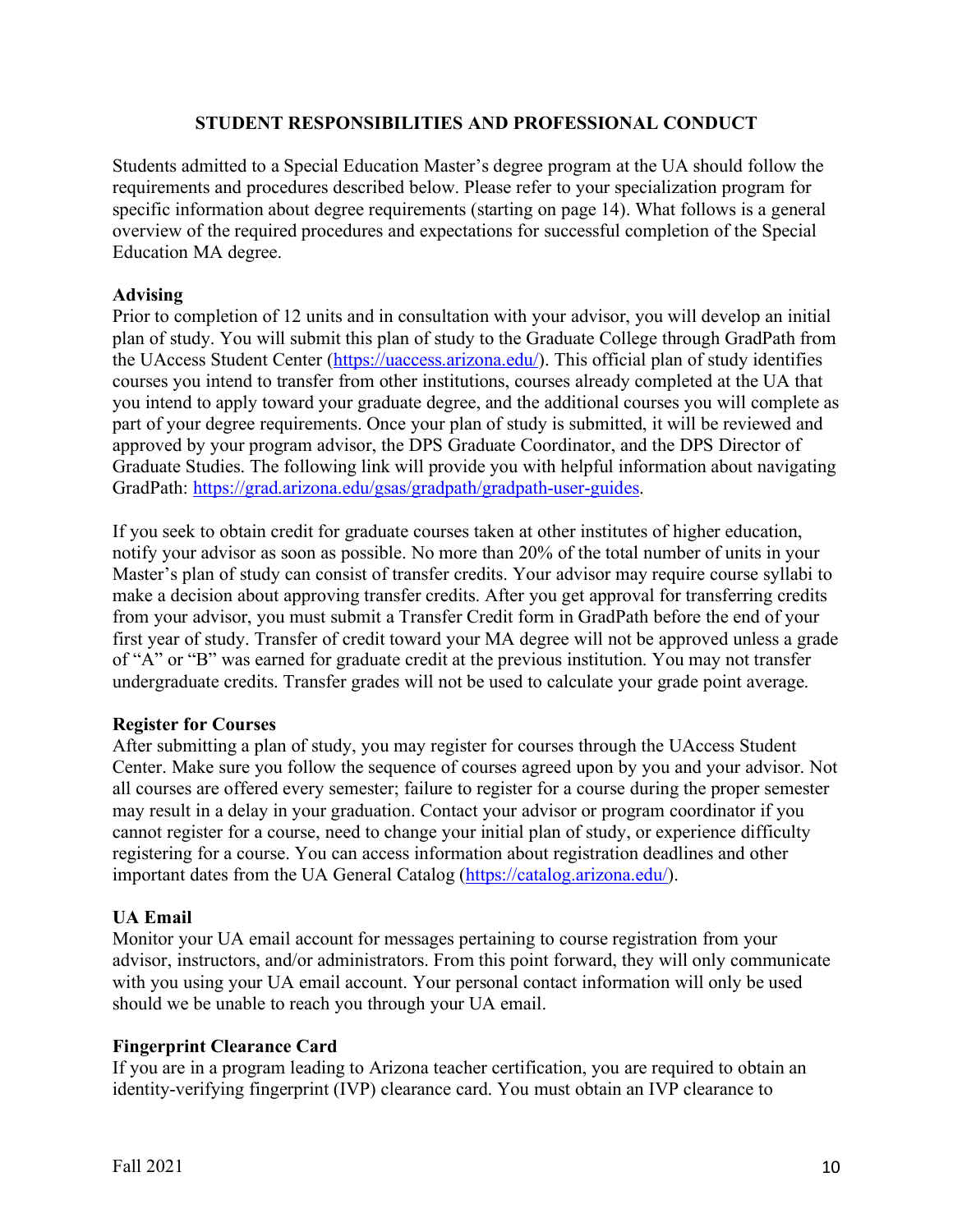#### **STUDENT RESPONSIBILITIES AND PROFESSIONAL CONDUCT**

Students admitted to a Special Education Master's degree program at the UA should follow the requirements and procedures described below. Please refer to your specialization program for specific information about degree requirements (starting on page 14). What follows is a general overview of the required procedures and expectations for successful completion of the Special Education MA degree.

#### **Advising**

Prior to completion of 12 units and in consultation with your advisor, you will develop an initial plan of study. You will submit this plan of study to the Graduate College through GradPath from the UAccess Student Center (https://uaccess.arizona.edu/). This official plan of study identifies courses you intend to transfer from other institutions, courses already completed at the UA that you intend to apply toward your graduate degree, and the additional courses you will complete as part of your degree requirements. Once your plan of study is submitted, it will be reviewed and approved by your program advisor, the DPS Graduate Coordinator, and the DPS Director of Graduate Studies. The following link will provide you with helpful information about navigating GradPath: https://grad.arizona.edu/gsas/gradpath/gradpath-user-guides.

If you seek to obtain credit for graduate courses taken at other institutes of higher education, notify your advisor as soon as possible. No more than 20% of the total number of units in your Master's plan of study can consist of transfer credits. Your advisor may require course syllabi to make a decision about approving transfer credits. After you get approval for transferring credits from your advisor, you must submit a Transfer Credit form in GradPath before the end of your first year of study. Transfer of credit toward your MA degree will not be approved unless a grade of "A" or "B" was earned for graduate credit at the previous institution. You may not transfer undergraduate credits. Transfer grades will not be used to calculate your grade point average.

#### **Register for Courses**

After submitting a plan of study, you may register for courses through the UAccess Student Center. Make sure you follow the sequence of courses agreed upon by you and your advisor. Not all courses are offered every semester; failure to register for a course during the proper semester may result in a delay in your graduation. Contact your advisor or program coordinator if you cannot register for a course, need to change your initial plan of study, or experience difficulty registering for a course. You can access information about registration deadlines and other important dates from the UA General Catalog (https://catalog.arizona.edu/).

## **UA Email**

Monitor your UA email account for messages pertaining to course registration from your advisor, instructors, and/or administrators. From this point forward, they will only communicate with you using your UA email account. Your personal contact information will only be used should we be unable to reach you through your UA email.

## **Fingerprint Clearance Card**

If you are in a program leading to Arizona teacher certification, you are required to obtain an identity-verifying fingerprint (IVP) clearance card. You must obtain an IVP clearance to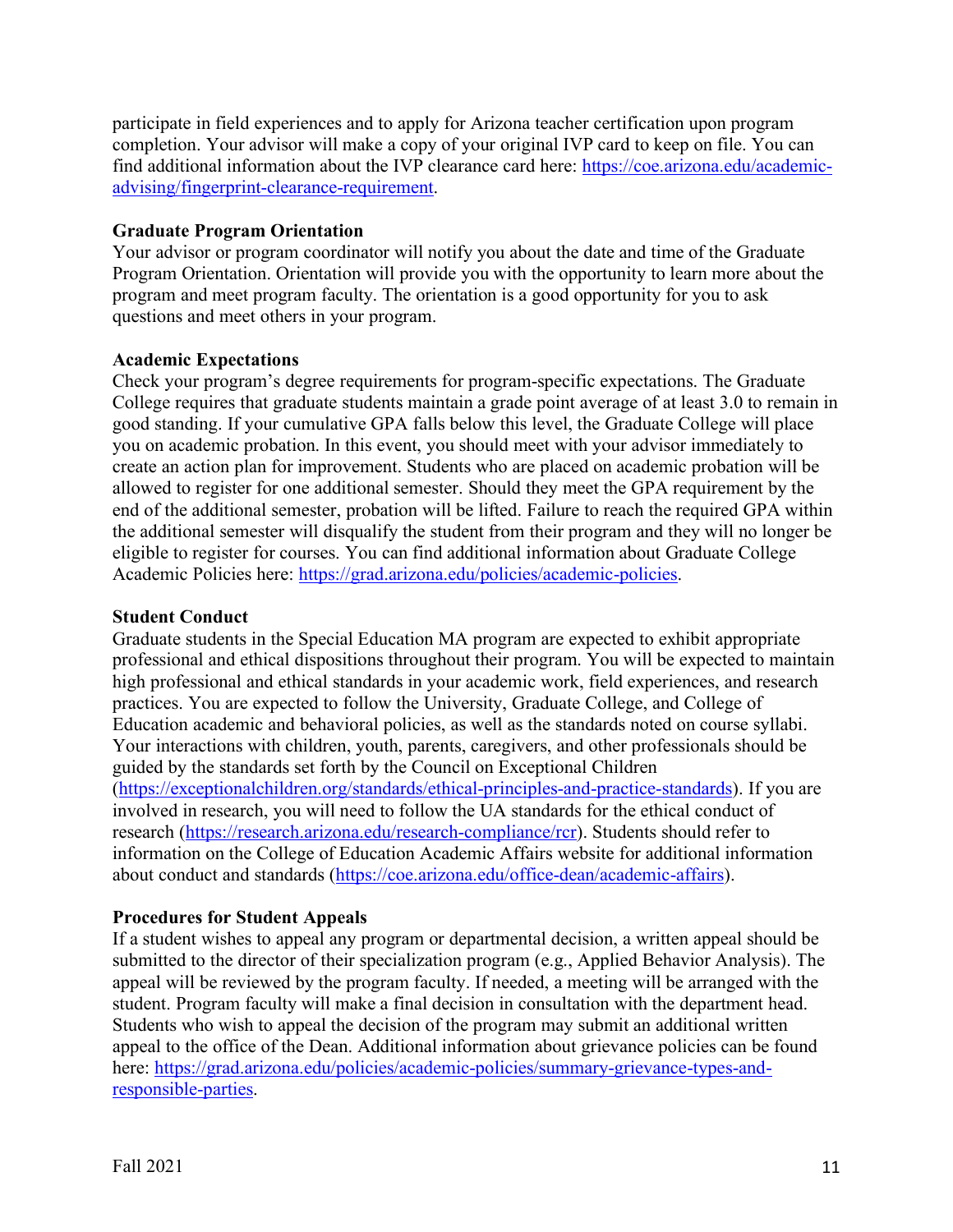participate in field experiences and to apply for Arizona teacher certification upon program completion. Your advisor will make a copy of your original IVP card to keep on file. You can find additional information about the IVP clearance card here: https://coe.arizona.edu/academicadvising/fingerprint-clearance-requirement.

#### **Graduate Program Orientation**

Your advisor or program coordinator will notify you about the date and time of the Graduate Program Orientation. Orientation will provide you with the opportunity to learn more about the program and meet program faculty. The orientation is a good opportunity for you to ask questions and meet others in your program.

## **Academic Expectations**

Check your program's degree requirements for program-specific expectations. The Graduate College requires that graduate students maintain a grade point average of at least 3.0 to remain in good standing. If your cumulative GPA falls below this level, the Graduate College will place you on academic probation. In this event, you should meet with your advisor immediately to create an action plan for improvement. Students who are placed on academic probation will be allowed to register for one additional semester. Should they meet the GPA requirement by the end of the additional semester, probation will be lifted. Failure to reach the required GPA within the additional semester will disqualify the student from their program and they will no longer be eligible to register for courses. You can find additional information about Graduate College Academic Policies here: https://grad.arizona.edu/policies/academic-policies.

#### **Student Conduct**

Graduate students in the Special Education MA program are expected to exhibit appropriate professional and ethical dispositions throughout their program. You will be expected to maintain high professional and ethical standards in your academic work, field experiences, and research practices. You are expected to follow the University, Graduate College, and College of Education academic and behavioral policies, as well as the standards noted on course syllabi. Your interactions with children, youth, parents, caregivers, and other professionals should be guided by the standards set forth by the Council on Exceptional Children (https://exceptionalchildren.org/standards/ethical-principles-and-practice-standards). If you are involved in research, you will need to follow the UA standards for the ethical conduct of research (https://research.arizona.edu/research-compliance/rcr). Students should refer to information on the College of Education Academic Affairs website for additional information about conduct and standards (https://coe.arizona.edu/office-dean/academic-affairs).

#### **Procedures for Student Appeals**

If a student wishes to appeal any program or departmental decision, a written appeal should be submitted to the director of their specialization program (e.g., Applied Behavior Analysis). The appeal will be reviewed by the program faculty. If needed, a meeting will be arranged with the student. Program faculty will make a final decision in consultation with the department head. Students who wish to appeal the decision of the program may submit an additional written appeal to the office of the Dean. Additional information about grievance policies can be found here: https://grad.arizona.edu/policies/academic-policies/summary-grievance-types-andresponsible-parties.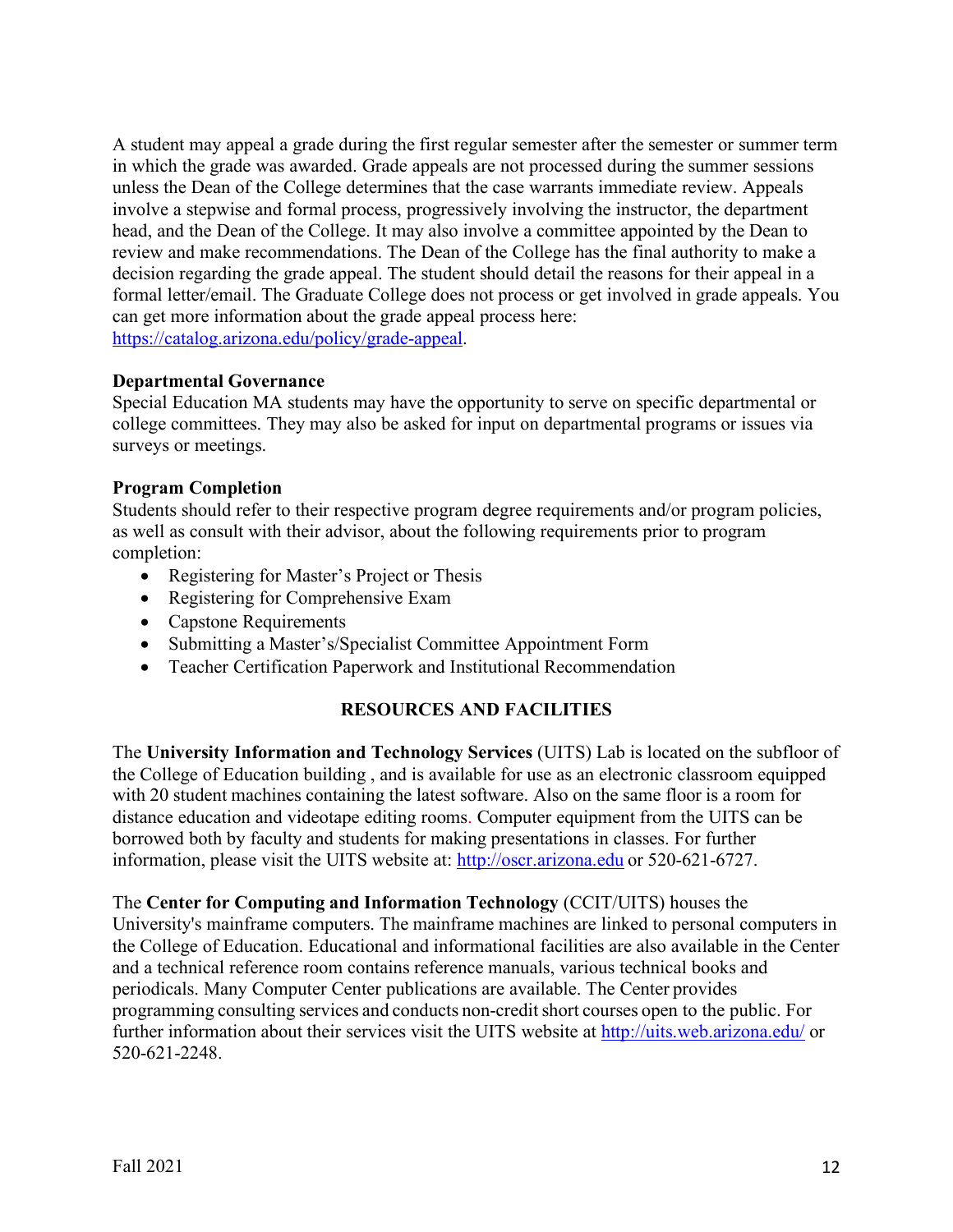A student may appeal a grade during the first regular semester after the semester or summer term in which the grade was awarded. Grade appeals are not processed during the summer sessions unless the Dean of the College determines that the case warrants immediate review. Appeals involve a stepwise and formal process, progressively involving the instructor, the department head, and the Dean of the College. It may also involve a committee appointed by the Dean to review and make recommendations. The Dean of the College has the final authority to make a decision regarding the grade appeal. The student should detail the reasons for their appeal in a formal letter/email. The Graduate College does not process or get involved in grade appeals. You can get more information about the grade appeal process here: https://catalog.arizona.edu/policy/grade-appeal.

## **Departmental Governance**

Special Education MA students may have the opportunity to serve on specific departmental or college committees. They may also be asked for input on departmental programs or issues via surveys or meetings.

## **Program Completion**

Students should refer to their respective program degree requirements and/or program policies, as well as consult with their advisor, about the following requirements prior to program completion:

- Registering for Master's Project or Thesis
- Registering for Comprehensive Exam
- Capstone Requirements
- Submitting a Master's/Specialist Committee Appointment Form
- Teacher Certification Paperwork and Institutional Recommendation

# **RESOURCES AND FACILITIES**

The **University Information and Technology Services** (UITS) Lab is located on the subfloor of the College of Education building , and is available for use as an electronic classroom equipped with 20 student machines containing the latest software. Also on the same floor is a room for distance education and videotape editing rooms. Computer equipment from the UITS can be borrowed both by faculty and students for making presentations in classes. For further information, please visit the UITS website at: http://oscr.arizona.edu or 520-621-6727.

The **Center for Computing and Information Technology** (CCIT/UITS) houses the University's mainframe computers. The mainframe machines are linked to personal computers in the College of Education. Educational and informational facilities are also available in the Center and a technical reference room contains reference manuals, various technical books and periodicals. Many Computer Center publications are available. The Center provides programming consulting services and conducts non-creditshort courses open to the public. For further information about their services visit the UITS website at http://uits.web.arizona.edu/ or 520-621-2248.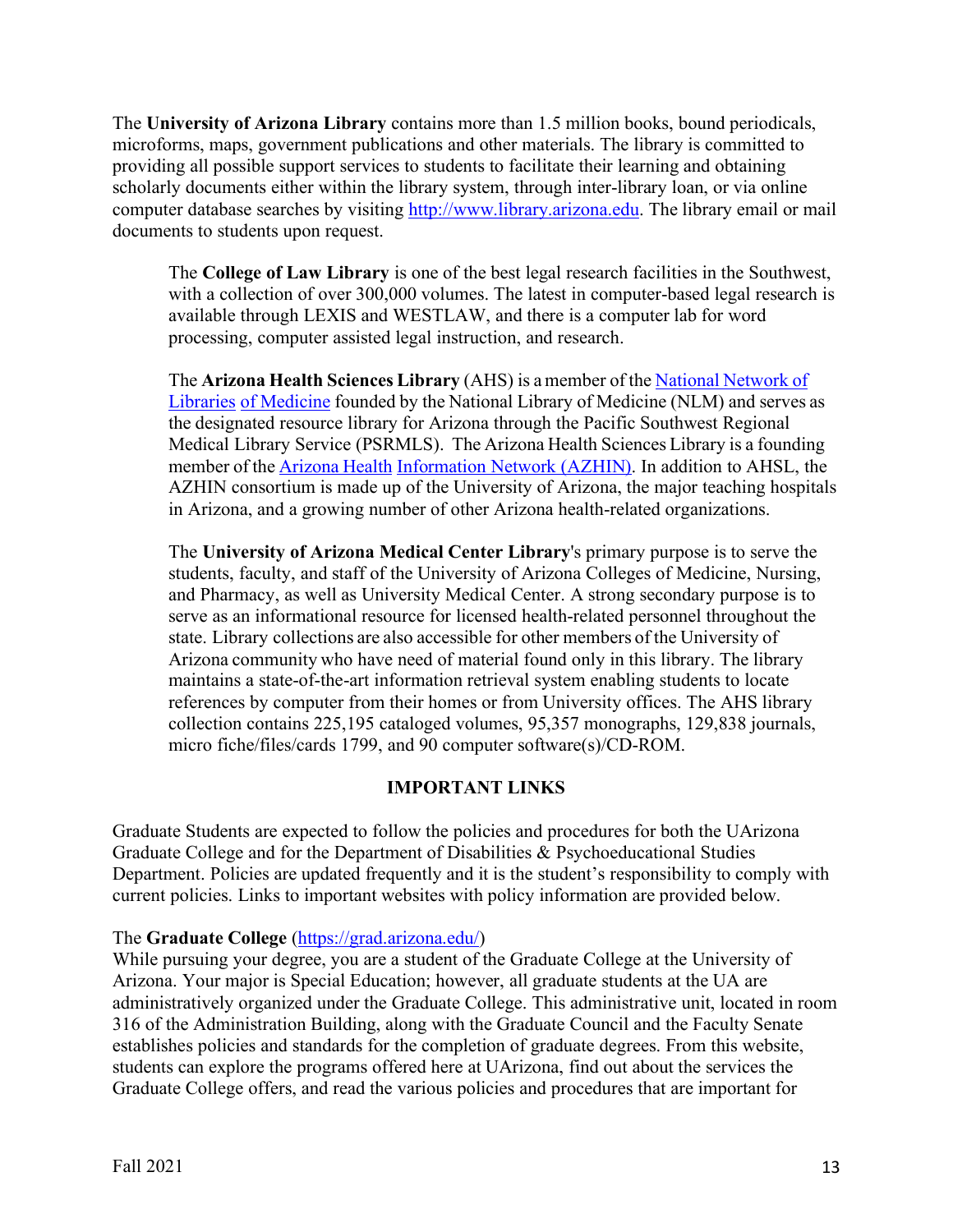The **University of Arizona Library** contains more than 1.5 million books, bound periodicals, microforms, maps, government publications and other materials. The library is committed to providing all possible support services to students to facilitate their learning and obtaining scholarly documents either within the library system, through inter-library loan, or via online computer database searches by visiting http://www.library.arizona.edu. The library email or mail documents to students upon request.

The **College of Law Library** is one of the best legal research facilities in the Southwest, with a collection of over 300,000 volumes. The latest in computer-based legal research is available through LEXIS and WESTLAW, and there is a computer lab for word processing, computer assisted legal instruction, and research.

The **Arizona Health Sciences Library** (AHS) is a member of the National Network of Libraries of Medicine founded by the National Library of Medicine (NLM) and serves as the designated resource library for Arizona through the Pacific Southwest Regional Medical Library Service (PSRMLS). The Arizona Health Sciences Library is a founding member of the Arizona Health Information Network (AZHIN). In addition to AHSL, the AZHIN consortium is made up of the University of Arizona, the major teaching hospitals in Arizona, and a growing number of other Arizona health-related organizations.

The **University of Arizona Medical Center Library**'s primary purpose is to serve the students, faculty, and staff of the University of Arizona Colleges of Medicine, Nursing, and Pharmacy, as well as University Medical Center. A strong secondary purpose is to serve as an informational resource for licensed health-related personnel throughout the state. Library collections are also accessible for other members of the University of Arizona community who have need of material found only in this library. The library maintains a state-of-the-art information retrieval system enabling students to locate references by computer from their homes or from University offices. The AHS library collection contains 225,195 cataloged volumes, 95,357 monographs, 129,838 journals, micro fiche/files/cards 1799, and 90 computer software(s)/CD-ROM.

## **IMPORTANT LINKS**

Graduate Students are expected to follow the policies and procedures for both the UArizona Graduate College and for the Department of Disabilities & Psychoeducational Studies Department. Policies are updated frequently and it is the student's responsibility to comply with current policies. Links to important websites with policy information are provided below.

## The **Graduate College** (https://grad.arizona.edu/)

While pursuing your degree, you are a student of the Graduate College at the University of Arizona. Your major is Special Education; however, all graduate students at the UA are administratively organized under the Graduate College. This administrative unit, located in room 316 of the Administration Building, along with the Graduate Council and the Faculty Senate establishes policies and standards for the completion of graduate degrees. From this website, students can explore the programs offered here at UArizona, find out about the services the Graduate College offers, and read the various policies and procedures that are important for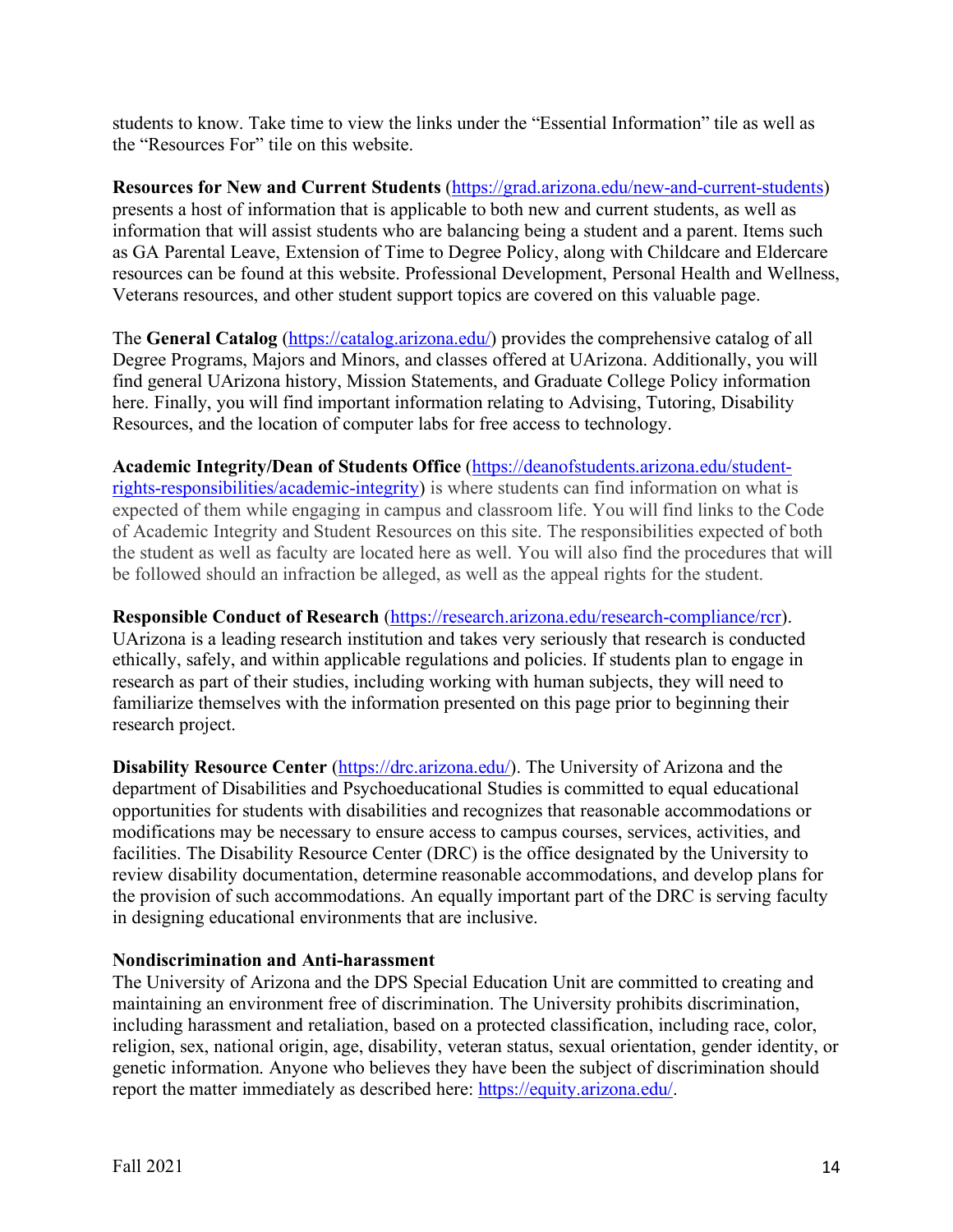students to know. Take time to view the links under the "Essential Information" tile as well as the "Resources For" tile on this website.

**Resources for New and Current Students** (https://grad.arizona.edu/new-and-current-students) presents a host of information that is applicable to both new and current students, as well as information that will assist students who are balancing being a student and a parent. Items such as GA Parental Leave, Extension of Time to Degree Policy, along with Childcare and Eldercare resources can be found at this website. Professional Development, Personal Health and Wellness, Veterans resources, and other student support topics are covered on this valuable page.

The **General Catalog** (https://catalog.arizona.edu/) provides the comprehensive catalog of all Degree Programs, Majors and Minors, and classes offered at UArizona. Additionally, you will find general UArizona history, Mission Statements, and Graduate College Policy information here. Finally, you will find important information relating to Advising, Tutoring, Disability Resources, and the location of computer labs for free access to technology.

**Academic Integrity/Dean of Students Office** (https://deanofstudents.arizona.edu/studentrights-responsibilities/academic-integrity) is where students can find information on what is expected of them while engaging in campus and classroom life. You will find links to the Code of Academic Integrity and Student Resources on this site. The responsibilities expected of both the student as well as faculty are located here as well. You will also find the procedures that will be followed should an infraction be alleged, as well as the appeal rights for the student.

**Responsible Conduct of Research** (https://research.arizona.edu/research-compliance/rcr).

UArizona is a leading research institution and takes very seriously that research is conducted ethically, safely, and within applicable regulations and policies. If students plan to engage in research as part of their studies, including working with human subjects, they will need to familiarize themselves with the information presented on this page prior to beginning their research project.

**Disability Resource Center** (https://drc.arizona.edu/). The University of Arizona and the department of Disabilities and Psychoeducational Studies is committed to equal educational opportunities for students with disabilities and recognizes that reasonable accommodations or modifications may be necessary to ensure access to campus courses, services, activities, and facilities. The Disability Resource Center (DRC) is the office designated by the University to review disability documentation, determine reasonable accommodations, and develop plans for the provision of such accommodations. An equally important part of the DRC is serving faculty in designing educational environments that are inclusive.

## **Nondiscrimination and Anti-harassment**

The University of Arizona and the DPS Special Education Unit are committed to creating and maintaining an environment free of discrimination. The University prohibits discrimination, including harassment and retaliation, based on a protected classification, including race, color, religion, sex, national origin, age, disability, veteran status, sexual orientation, gender identity, or genetic information. Anyone who believes they have been the subject of discrimination should report the matter immediately as described here: https://equity.arizona.edu/.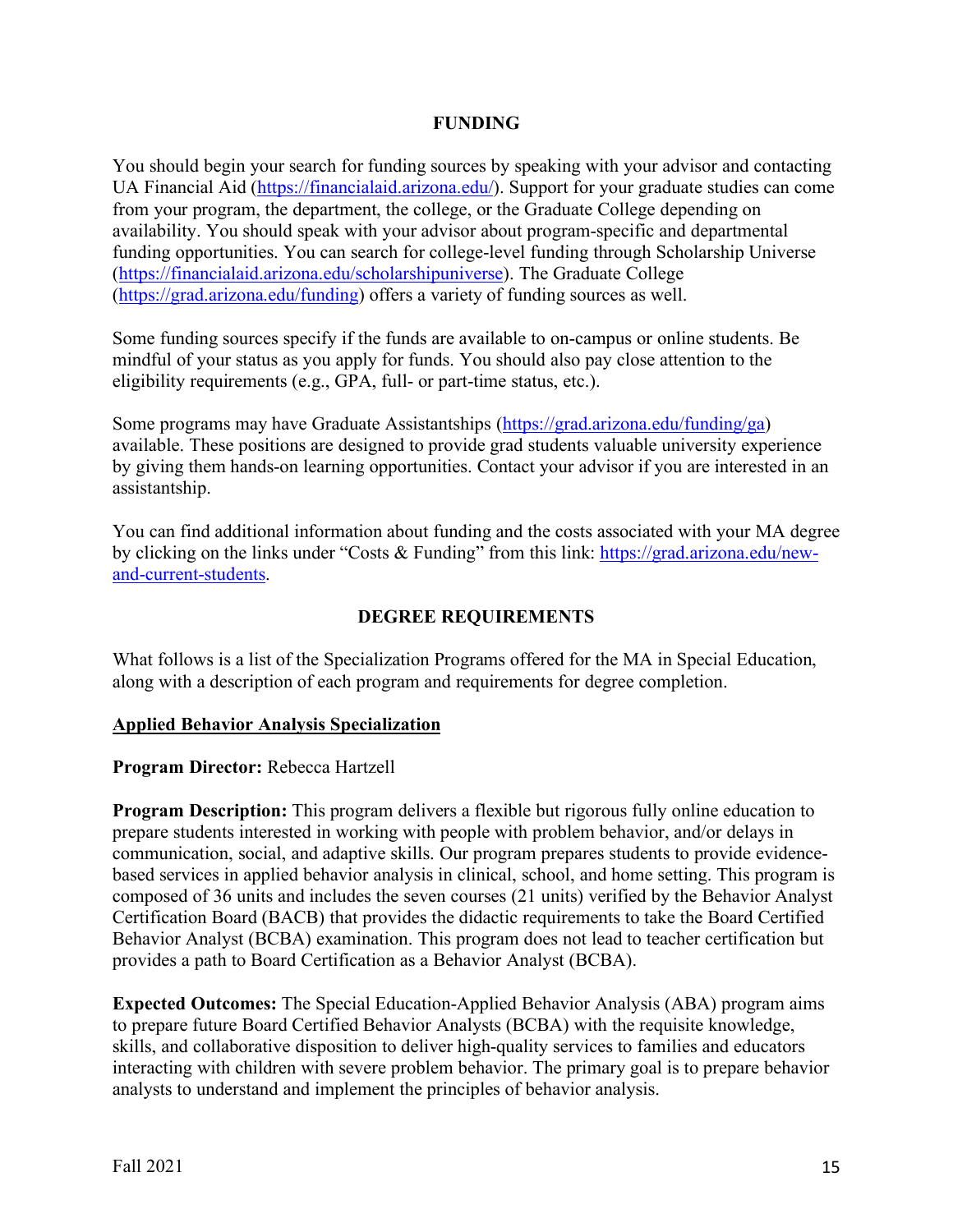#### **FUNDING**

You should begin your search for funding sources by speaking with your advisor and contacting UA Financial Aid (https://financialaid.arizona.edu/). Support for your graduate studies can come from your program, the department, the college, or the Graduate College depending on availability. You should speak with your advisor about program-specific and departmental funding opportunities. You can search for college-level funding through Scholarship Universe (https://financialaid.arizona.edu/scholarshipuniverse). The Graduate College (https://grad.arizona.edu/funding) offers a variety of funding sources as well.

Some funding sources specify if the funds are available to on-campus or online students. Be mindful of your status as you apply for funds. You should also pay close attention to the eligibility requirements (e.g., GPA, full- or part-time status, etc.).

Some programs may have Graduate Assistantships (https://grad.arizona.edu/funding/ga) available. These positions are designed to provide grad students valuable university experience by giving them hands-on learning opportunities. Contact your advisor if you are interested in an assistantship.

You can find additional information about funding and the costs associated with your MA degree by clicking on the links under "Costs & Funding" from this link: https://grad.arizona.edu/newand-current-students.

## **DEGREE REQUIREMENTS**

What follows is a list of the Specialization Programs offered for the MA in Special Education, along with a description of each program and requirements for degree completion.

#### **Applied Behavior Analysis Specialization**

**Program Director:** Rebecca Hartzell

**Program Description:** This program delivers a flexible but rigorous fully online education to prepare students interested in working with people with problem behavior, and/or delays in communication, social, and adaptive skills. Our program prepares students to provide evidencebased services in applied behavior analysis in clinical, school, and home setting. This program is composed of 36 units and includes the seven courses (21 units) verified by the Behavior Analyst Certification Board (BACB) that provides the didactic requirements to take the Board Certified Behavior Analyst (BCBA) examination. This program does not lead to teacher certification but provides a path to Board Certification as a Behavior Analyst (BCBA).

**Expected Outcomes:** The Special Education-Applied Behavior Analysis (ABA) program aims to prepare future Board Certified Behavior Analysts (BCBA) with the requisite knowledge, skills, and collaborative disposition to deliver high-quality services to families and educators interacting with children with severe problem behavior. The primary goal is to prepare behavior analysts to understand and implement the principles of behavior analysis.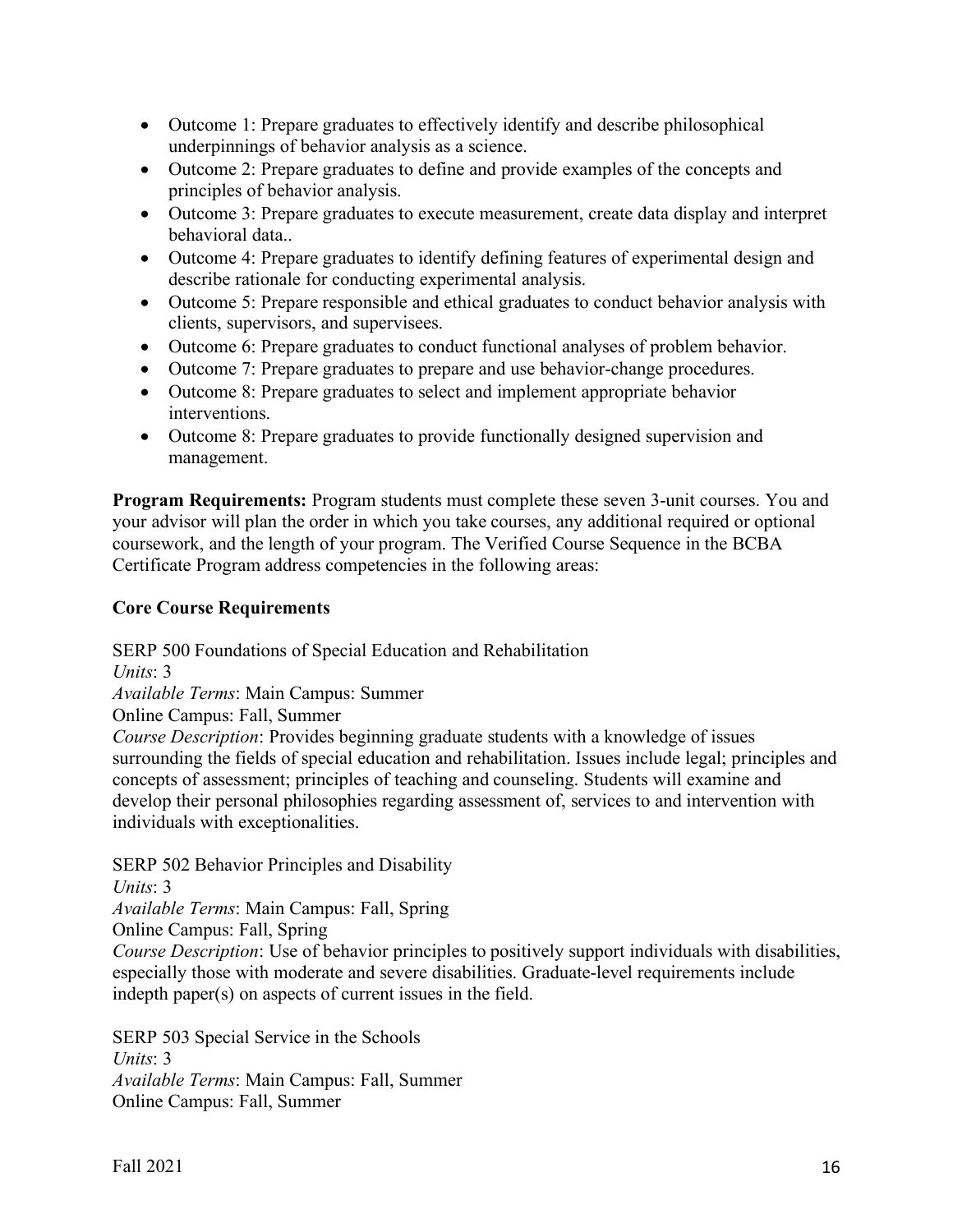- Outcome 1: Prepare graduates to effectively identify and describe philosophical underpinnings of behavior analysis as a science.
- Outcome 2: Prepare graduates to define and provide examples of the concepts and principles of behavior analysis.
- Outcome 3: Prepare graduates to execute measurement, create data display and interpret behavioral data..
- Outcome 4: Prepare graduates to identify defining features of experimental design and describe rationale for conducting experimental analysis.
- Outcome 5: Prepare responsible and ethical graduates to conduct behavior analysis with clients, supervisors, and supervisees.
- Outcome 6: Prepare graduates to conduct functional analyses of problem behavior.
- Outcome 7: Prepare graduates to prepare and use behavior-change procedures.
- Outcome 8: Prepare graduates to select and implement appropriate behavior interventions.
- Outcome 8: Prepare graduates to provide functionally designed supervision and management.

**Program Requirements:** Program students must complete these seven 3-unit courses. You and your advisor will plan the order in which you take courses, any additional required or optional coursework, and the length of your program. The Verified Course Sequence in the BCBA Certificate Program address competencies in the following areas:

## **Core Course Requirements**

SERP 500 Foundations of Special Education and Rehabilitation

*Units*: 3

*Available Terms*: Main Campus: Summer

Online Campus: Fall, Summer

*Course Description*: Provides beginning graduate students with a knowledge of issues surrounding the fields of special education and rehabilitation. Issues include legal; principles and concepts of assessment; principles of teaching and counseling. Students will examine and develop their personal philosophies regarding assessment of, services to and intervention with individuals with exceptionalities.

SERP 502 Behavior Principles and Disability

*Units*: 3

*Available Terms*: Main Campus: Fall, Spring

Online Campus: Fall, Spring

*Course Description*: Use of behavior principles to positively support individuals with disabilities, especially those with moderate and severe disabilities. Graduate-level requirements include indepth paper(s) on aspects of current issues in the field.

SERP 503 Special Service in the Schools *Units*: 3 *Available Terms*: Main Campus: Fall, Summer Online Campus: Fall, Summer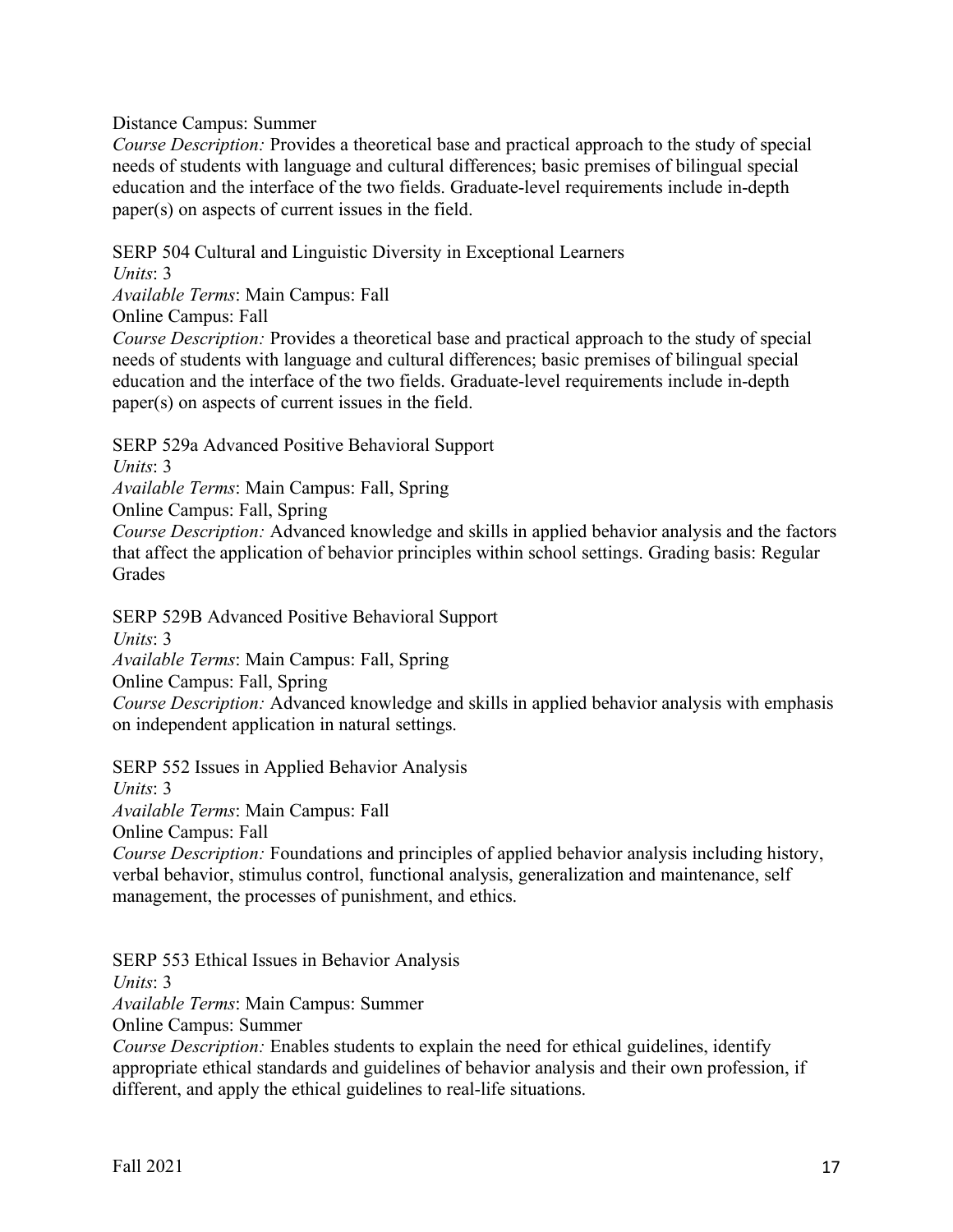Distance Campus: Summer

*Course Description:* Provides a theoretical base and practical approach to the study of special needs of students with language and cultural differences; basic premises of bilingual special education and the interface of the two fields. Graduate-level requirements include in-depth paper(s) on aspects of current issues in the field.

SERP 504 Cultural and Linguistic Diversity in Exceptional Learners

*Units*: 3

*Available Terms*: Main Campus: Fall

Online Campus: Fall

*Course Description:* Provides a theoretical base and practical approach to the study of special needs of students with language and cultural differences; basic premises of bilingual special education and the interface of the two fields. Graduate-level requirements include in-depth paper(s) on aspects of current issues in the field.

SERP 529a Advanced Positive Behavioral Support

*Units*: 3

*Available Terms*: Main Campus: Fall, Spring

Online Campus: Fall, Spring

*Course Description:* Advanced knowledge and skills in applied behavior analysis and the factors that affect the application of behavior principles within school settings. Grading basis: Regular Grades

SERP 529B Advanced Positive Behavioral Support

*Units*: 3

*Available Terms*: Main Campus: Fall, Spring

Online Campus: Fall, Spring

*Course Description:* Advanced knowledge and skills in applied behavior analysis with emphasis on independent application in natural settings.

SERP 552 Issues in Applied Behavior Analysis

*Units*: 3

*Available Terms*: Main Campus: Fall

Online Campus: Fall

*Course Description:* Foundations and principles of applied behavior analysis including history, verbal behavior, stimulus control, functional analysis, generalization and maintenance, self management, the processes of punishment, and ethics.

SERP 553 Ethical Issues in Behavior Analysis

*Units*: 3

*Available Terms*: Main Campus: Summer

Online Campus: Summer

*Course Description:* Enables students to explain the need for ethical guidelines, identify appropriate ethical standards and guidelines of behavior analysis and their own profession, if different, and apply the ethical guidelines to real-life situations.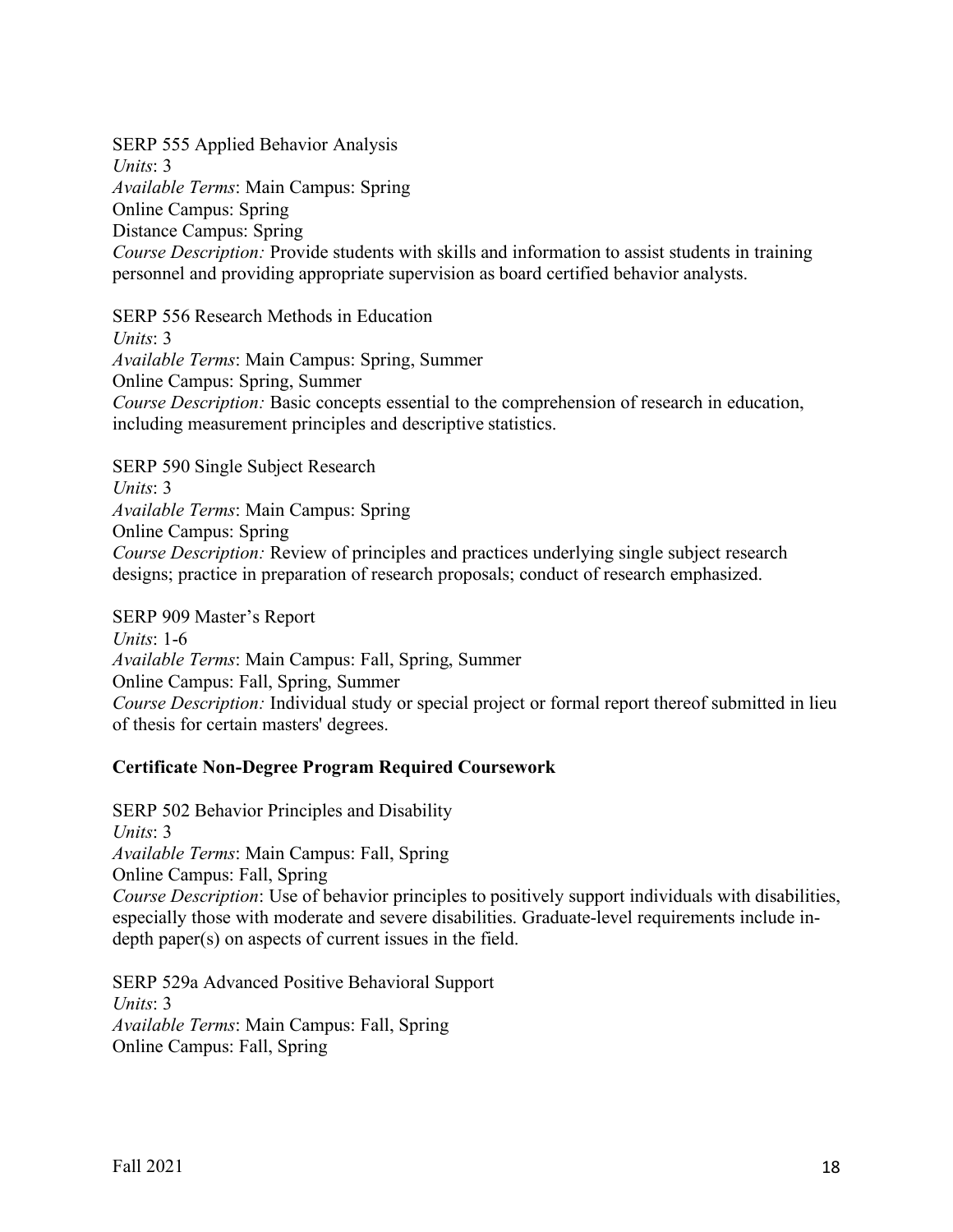SERP 555 Applied Behavior Analysis *Units*: 3 *Available Terms*: Main Campus: Spring Online Campus: Spring Distance Campus: Spring *Course Description:* Provide students with skills and information to assist students in training personnel and providing appropriate supervision as board certified behavior analysts.

SERP 556 Research Methods in Education *Units*: 3 *Available Terms*: Main Campus: Spring, Summer Online Campus: Spring, Summer *Course Description:* Basic concepts essential to the comprehension of research in education, including measurement principles and descriptive statistics.

SERP 590 Single Subject Research *Units*: 3 *Available Terms*: Main Campus: Spring Online Campus: Spring

*Course Description:* Review of principles and practices underlying single subject research designs; practice in preparation of research proposals; conduct of research emphasized.

SERP 909 Master's Report *Units*: 1-6 *Available Terms*: Main Campus: Fall, Spring, Summer Online Campus: Fall, Spring, Summer *Course Description:* Individual study or special project or formal report thereof submitted in lieu of thesis for certain masters' degrees.

## **Certificate Non-Degree Program Required Coursework**

SERP 502 Behavior Principles and Disability *Units*: 3 *Available Terms*: Main Campus: Fall, Spring Online Campus: Fall, Spring *Course Description*: Use of behavior principles to positively support individuals with disabilities, especially those with moderate and severe disabilities. Graduate-level requirements include indepth paper(s) on aspects of current issues in the field.

SERP 529a Advanced Positive Behavioral Support *Units*: 3 *Available Terms*: Main Campus: Fall, Spring Online Campus: Fall, Spring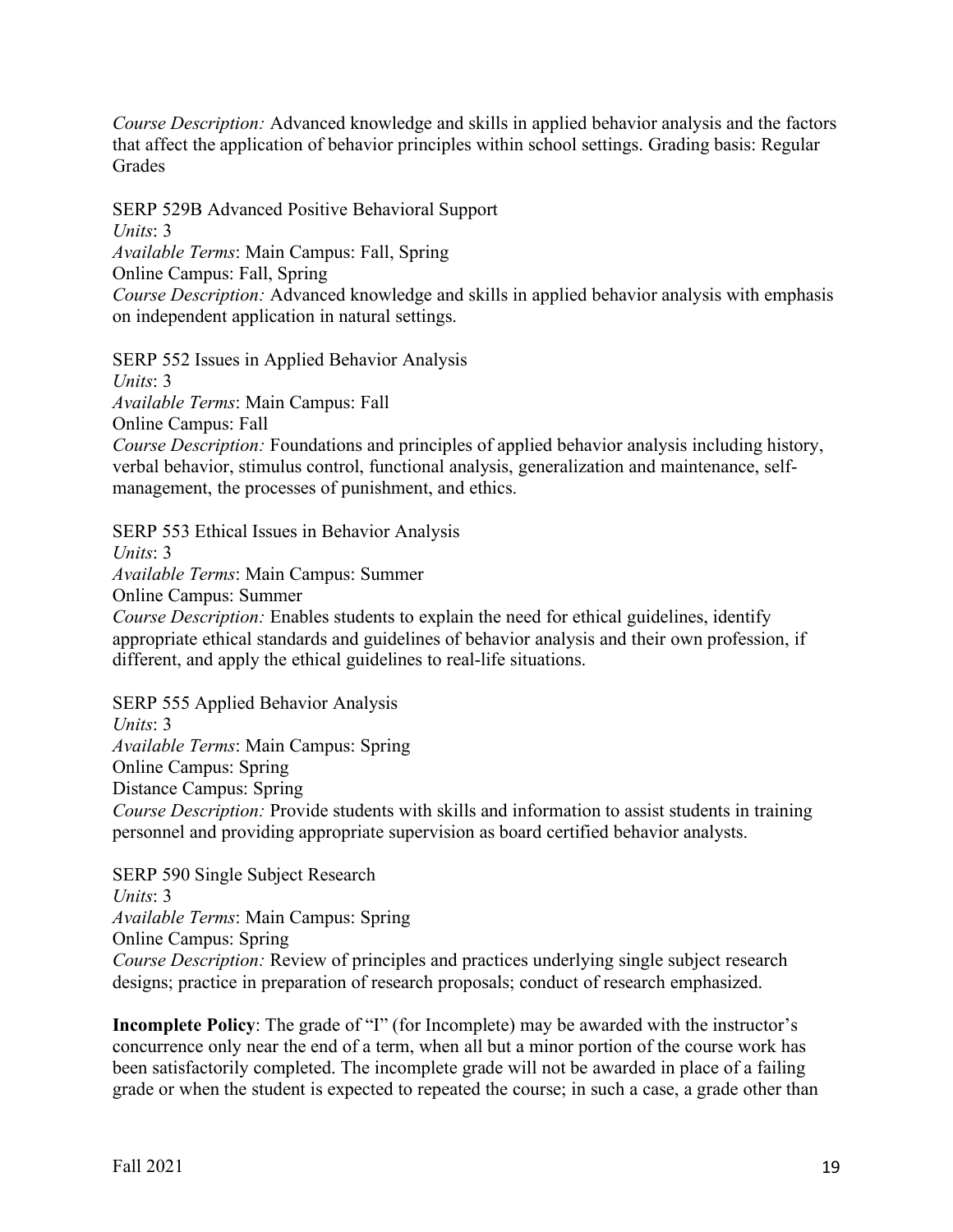*Course Description:* Advanced knowledge and skills in applied behavior analysis and the factors that affect the application of behavior principles within school settings. Grading basis: Regular Grades

SERP 529B Advanced Positive Behavioral Support *Units*: 3 *Available Terms*: Main Campus: Fall, Spring Online Campus: Fall, Spring *Course Description:* Advanced knowledge and skills in applied behavior analysis with emphasis on independent application in natural settings.

SERP 552 Issues in Applied Behavior Analysis *Units*: 3

*Available Terms*: Main Campus: Fall

Online Campus: Fall

*Course Description:* Foundations and principles of applied behavior analysis including history, verbal behavior, stimulus control, functional analysis, generalization and maintenance, selfmanagement, the processes of punishment, and ethics.

SERP 553 Ethical Issues in Behavior Analysis *Units*: 3 *Available Terms*: Main Campus: Summer Online Campus: Summer *Course Description:* Enables students to explain the need for ethical guidelines, identify appropriate ethical standards and guidelines of behavior analysis and their own profession, if

different, and apply the ethical guidelines to real-life situations. SERP 555 Applied Behavior Analysis

*Units*: 3

*Available Terms*: Main Campus: Spring

Online Campus: Spring

Distance Campus: Spring

*Course Description:* Provide students with skills and information to assist students in training personnel and providing appropriate supervision as board certified behavior analysts.

SERP 590 Single Subject Research *Units*: 3 *Available Terms*: Main Campus: Spring Online Campus: Spring *Course Description:* Review of principles and practices underlying single subject research designs; practice in preparation of research proposals; conduct of research emphasized.

**Incomplete Policy**: The grade of "I" (for Incomplete) may be awarded with the instructor's concurrence only near the end of a term, when all but a minor portion of the course work has been satisfactorily completed. The incomplete grade will not be awarded in place of a failing grade or when the student is expected to repeated the course; in such a case, a grade other than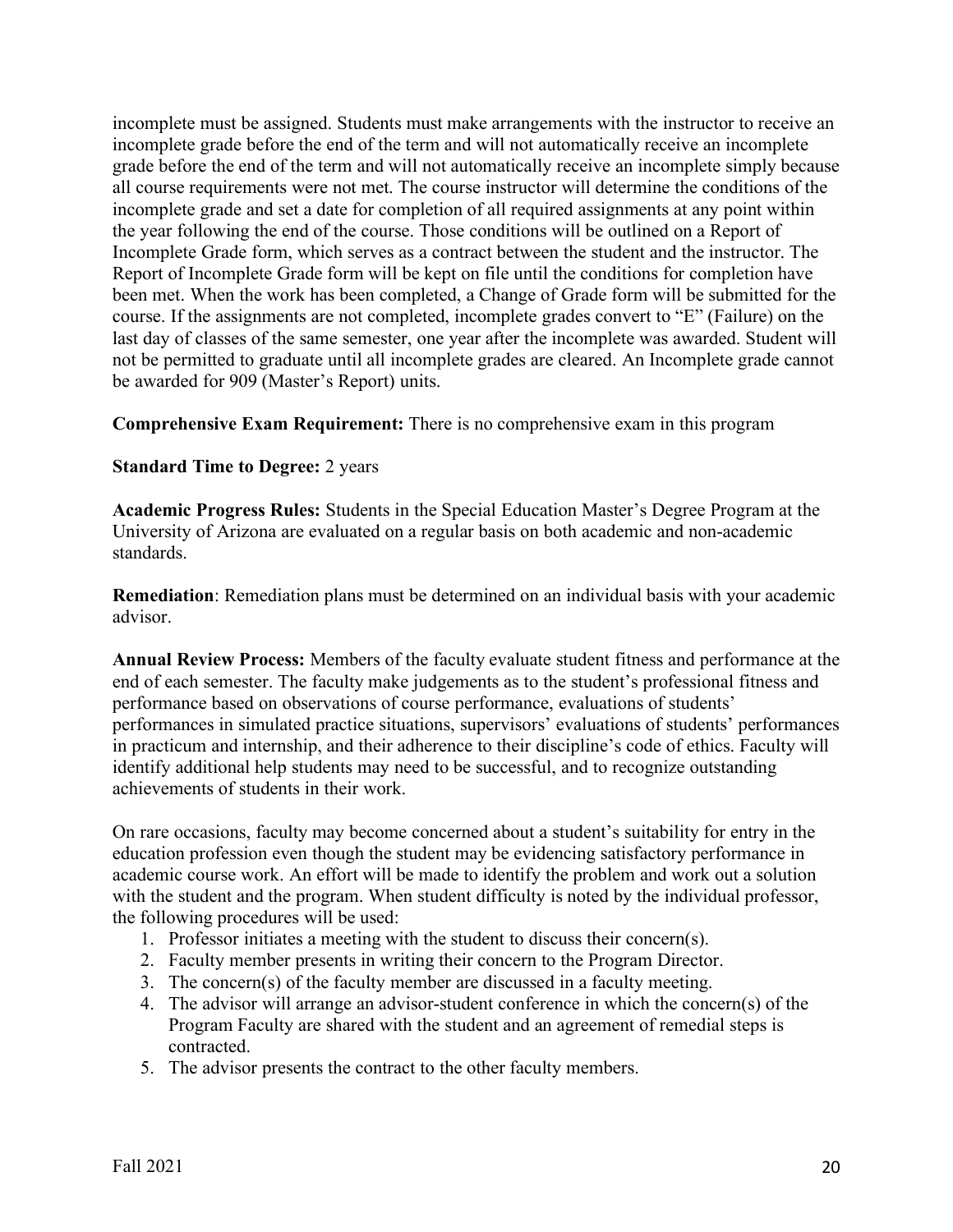incomplete must be assigned. Students must make arrangements with the instructor to receive an incomplete grade before the end of the term and will not automatically receive an incomplete grade before the end of the term and will not automatically receive an incomplete simply because all course requirements were not met. The course instructor will determine the conditions of the incomplete grade and set a date for completion of all required assignments at any point within the year following the end of the course. Those conditions will be outlined on a Report of Incomplete Grade form, which serves as a contract between the student and the instructor. The Report of Incomplete Grade form will be kept on file until the conditions for completion have been met. When the work has been completed, a Change of Grade form will be submitted for the course. If the assignments are not completed, incomplete grades convert to "E" (Failure) on the last day of classes of the same semester, one year after the incomplete was awarded. Student will not be permitted to graduate until all incomplete grades are cleared. An Incomplete grade cannot be awarded for 909 (Master's Report) units.

**Comprehensive Exam Requirement:** There is no comprehensive exam in this program

#### **Standard Time to Degree:** 2 years

**Academic Progress Rules:** Students in the Special Education Master's Degree Program at the University of Arizona are evaluated on a regular basis on both academic and non-academic standards.

**Remediation**: Remediation plans must be determined on an individual basis with your academic advisor.

**Annual Review Process:** Members of the faculty evaluate student fitness and performance at the end of each semester. The faculty make judgements as to the student's professional fitness and performance based on observations of course performance, evaluations of students' performances in simulated practice situations, supervisors' evaluations of students' performances in practicum and internship, and their adherence to their discipline's code of ethics. Faculty will identify additional help students may need to be successful, and to recognize outstanding achievements of students in their work.

On rare occasions, faculty may become concerned about a student's suitability for entry in the education profession even though the student may be evidencing satisfactory performance in academic course work. An effort will be made to identify the problem and work out a solution with the student and the program. When student difficulty is noted by the individual professor, the following procedures will be used:

- 1. Professor initiates a meeting with the student to discuss their concern(s).
- 2. Faculty member presents in writing their concern to the Program Director.
- 3. The concern(s) of the faculty member are discussed in a faculty meeting.
- 4. The advisor will arrange an advisor-student conference in which the concern(s) of the Program Faculty are shared with the student and an agreement of remedial steps is contracted.
- 5. The advisor presents the contract to the other faculty members.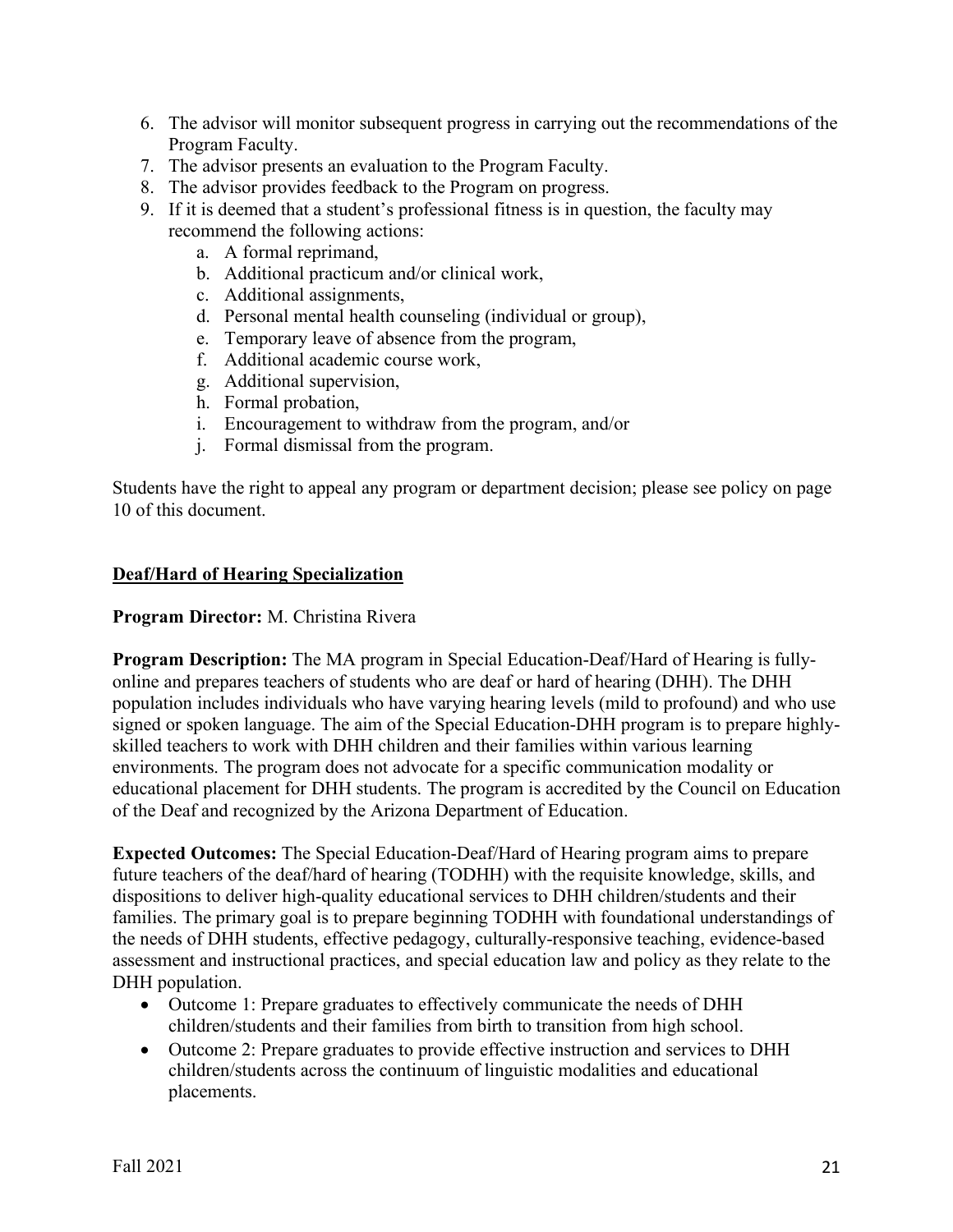- 6. The advisor will monitor subsequent progress in carrying out the recommendations of the Program Faculty.
- 7. The advisor presents an evaluation to the Program Faculty.
- 8. The advisor provides feedback to the Program on progress.
- 9. If it is deemed that a student's professional fitness is in question, the faculty may recommend the following actions:
	- a. A formal reprimand,
	- b. Additional practicum and/or clinical work,
	- c. Additional assignments,
	- d. Personal mental health counseling (individual or group),
	- e. Temporary leave of absence from the program,
	- f. Additional academic course work,
	- g. Additional supervision,
	- h. Formal probation,
	- i. Encouragement to withdraw from the program, and/or
	- j. Formal dismissal from the program.

Students have the right to appeal any program or department decision; please see policy on page 10 of this document.

#### **Deaf/Hard of Hearing Specialization**

#### **Program Director:** M. Christina Rivera

**Program Description:** The MA program in Special Education-Deaf/Hard of Hearing is fullyonline and prepares teachers of students who are deaf or hard of hearing (DHH). The DHH population includes individuals who have varying hearing levels (mild to profound) and who use signed or spoken language. The aim of the Special Education-DHH program is to prepare highlyskilled teachers to work with DHH children and their families within various learning environments. The program does not advocate for a specific communication modality or educational placement for DHH students. The program is accredited by the Council on Education of the Deaf and recognized by the Arizona Department of Education.

**Expected Outcomes:** The Special Education-Deaf/Hard of Hearing program aims to prepare future teachers of the deaf/hard of hearing (TODHH) with the requisite knowledge, skills, and dispositions to deliver high-quality educational services to DHH children/students and their families. The primary goal is to prepare beginning TODHH with foundational understandings of the needs of DHH students, effective pedagogy, culturally-responsive teaching, evidence-based assessment and instructional practices, and special education law and policy as they relate to the DHH population.

- Outcome 1: Prepare graduates to effectively communicate the needs of DHH children/students and their families from birth to transition from high school.
- Outcome 2: Prepare graduates to provide effective instruction and services to DHH children/students across the continuum of linguistic modalities and educational placements.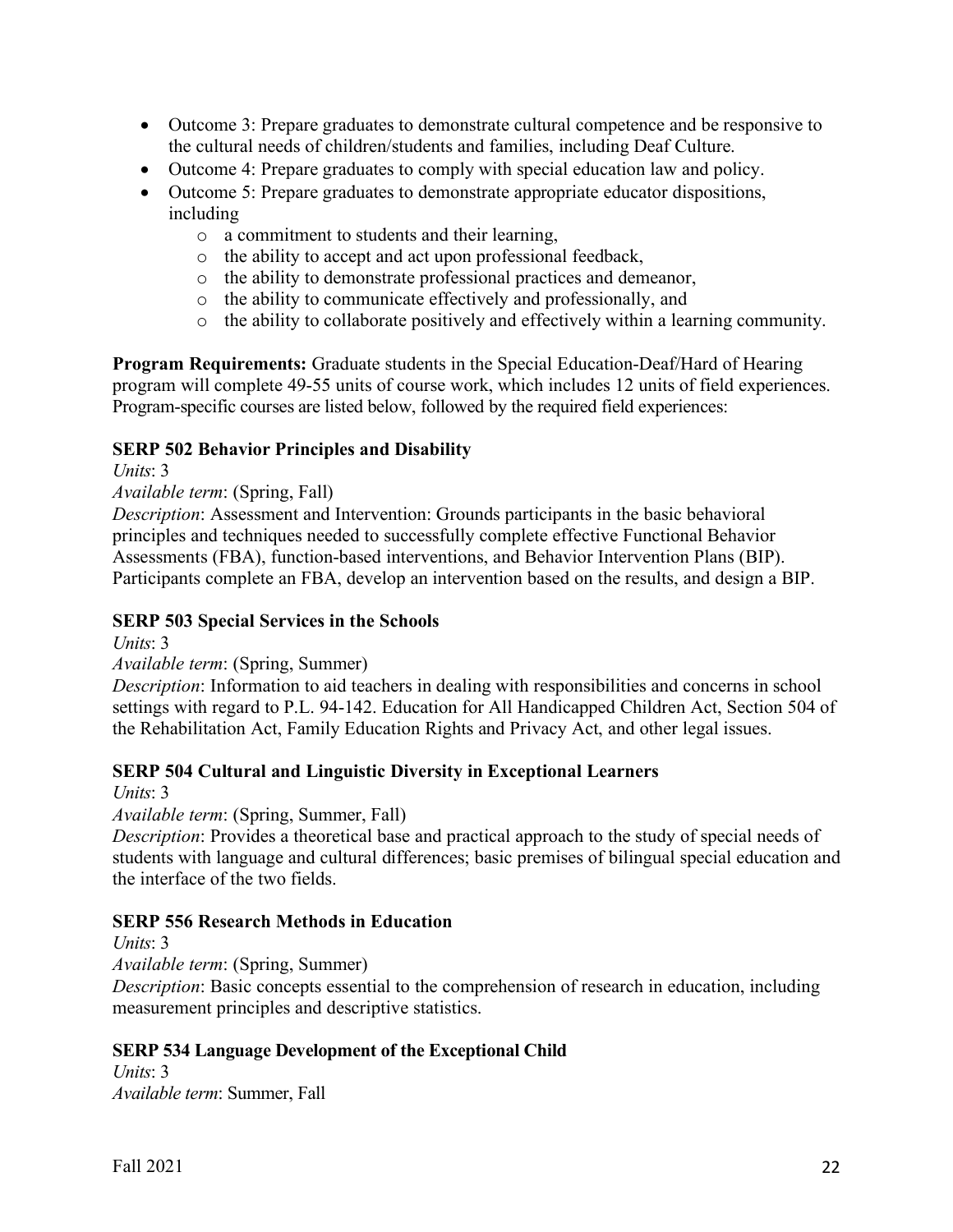- Outcome 3: Prepare graduates to demonstrate cultural competence and be responsive to the cultural needs of children/students and families, including Deaf Culture.
- Outcome 4: Prepare graduates to comply with special education law and policy.
- Outcome 5: Prepare graduates to demonstrate appropriate educator dispositions, including
	- o a commitment to students and their learning,
	- o the ability to accept and act upon professional feedback,
	- o the ability to demonstrate professional practices and demeanor,
	- o the ability to communicate effectively and professionally, and
	- o the ability to collaborate positively and effectively within a learning community.

**Program Requirements:** Graduate students in the Special Education-Deaf/Hard of Hearing program will complete 49-55 units of course work, which includes 12 units of field experiences. Program-specific courses are listed below, followed by the required field experiences:

#### **SERP 502 Behavior Principles and Disability**

*Units*: 3

#### *Available term*: (Spring, Fall)

*Description*: Assessment and Intervention: Grounds participants in the basic behavioral principles and techniques needed to successfully complete effective Functional Behavior Assessments (FBA), function-based interventions, and Behavior Intervention Plans (BIP). Participants complete an FBA, develop an intervention based on the results, and design a BIP.

#### **SERP 503 Special Services in the Schools**

*Units*: 3

## *Available term*: (Spring, Summer)

*Description*: Information to aid teachers in dealing with responsibilities and concerns in school settings with regard to P.L. 94-142. Education for All Handicapped Children Act, Section 504 of the Rehabilitation Act, Family Education Rights and Privacy Act, and other legal issues.

## **SERP 504 Cultural and Linguistic Diversity in Exceptional Learners**

*Units*: 3

*Available term*: (Spring, Summer, Fall)

*Description*: Provides a theoretical base and practical approach to the study of special needs of students with language and cultural differences; basic premises of bilingual special education and the interface of the two fields.

#### **SERP 556 Research Methods in Education**

*Units*: 3

*Available term*: (Spring, Summer)

*Description*: Basic concepts essential to the comprehension of research in education, including measurement principles and descriptive statistics.

#### **SERP 534 Language Development of the Exceptional Child**

*Units*: 3 *Available term*: Summer, Fall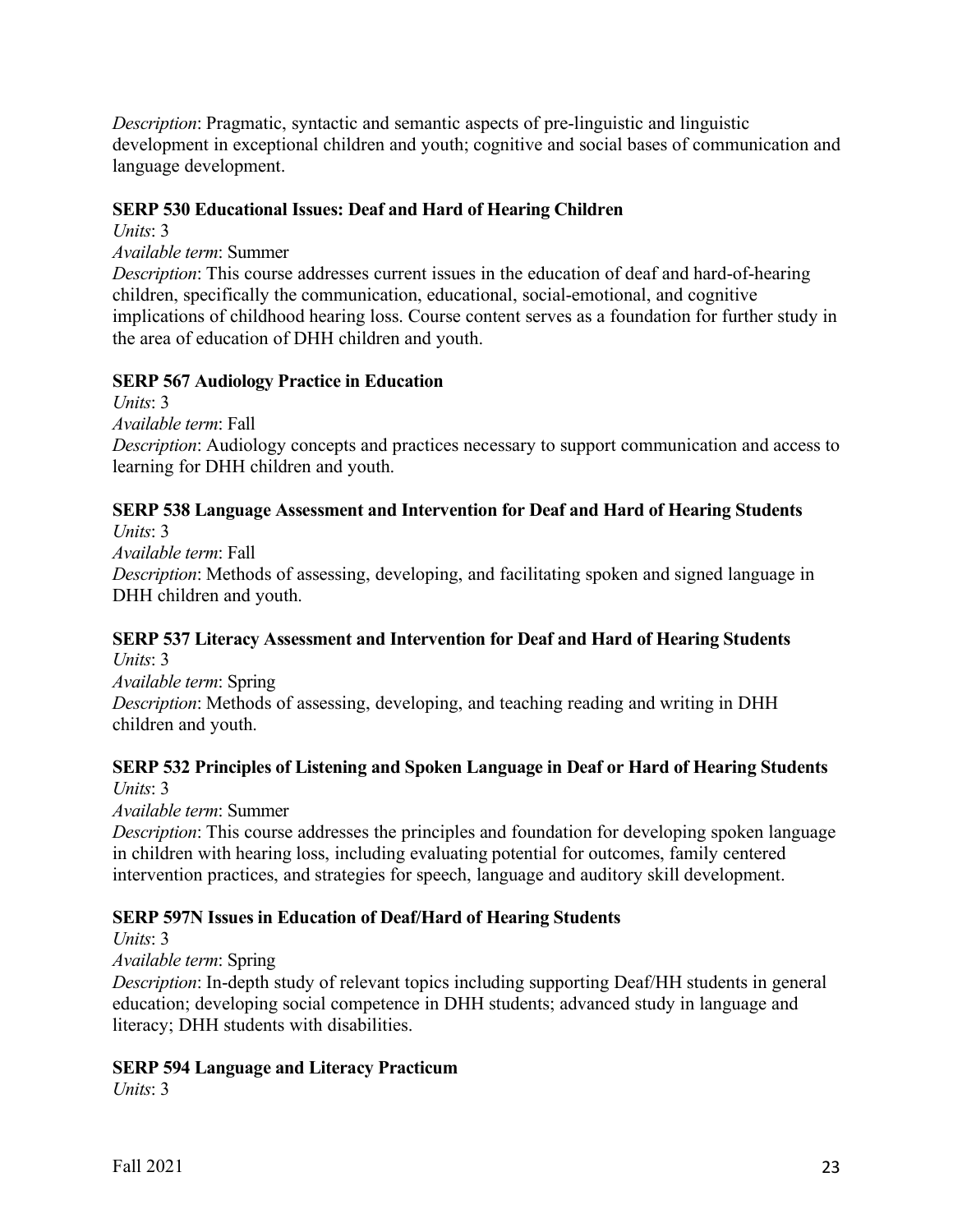*Description*: Pragmatic, syntactic and semantic aspects of pre-linguistic and linguistic development in exceptional children and youth; cognitive and social bases of communication and language development.

## **SERP 530 Educational Issues: Deaf and Hard of Hearing Children**

*Units*: 3

*Available term*: Summer

*Description*: This course addresses current issues in the education of deaf and hard-of-hearing children, specifically the communication, educational, social-emotional, and cognitive implications of childhood hearing loss. Course content serves as a foundation for further study in the area of education of DHH children and youth.

# **SERP 567 Audiology Practice in Education**

*Units*: 3 *Available term*: Fall *Description*: Audiology concepts and practices necessary to support communication and access to learning for DHH children and youth.

# **SERP 538 Language Assessment and Intervention for Deaf and Hard of Hearing Students**

*Units*: 3 *Available term*: Fall *Description*: Methods of assessing, developing, and facilitating spoken and signed language in DHH children and youth.

#### **SERP 537 Literacy Assessment and Intervention for Deaf and Hard of Hearing Students**  *Units*: 3

*Available term*: Spring *Description*: Methods of assessing, developing, and teaching reading and writing in DHH children and youth.

## **SERP 532 Principles of Listening and Spoken Language in Deaf or Hard of Hearing Students**  *Units*: 3

*Available term*: Summer

*Description*: This course addresses the principles and foundation for developing spoken language in children with hearing loss, including evaluating potential for outcomes, family centered intervention practices, and strategies for speech, language and auditory skill development.

# **SERP 597N Issues in Education of Deaf/Hard of Hearing Students**

*Units*: 3

*Available term*: Spring

*Description*: In-depth study of relevant topics including supporting Deaf/HH students in general education; developing social competence in DHH students; advanced study in language and literacy; DHH students with disabilities.

# **SERP 594 Language and Literacy Practicum**

*Units*: 3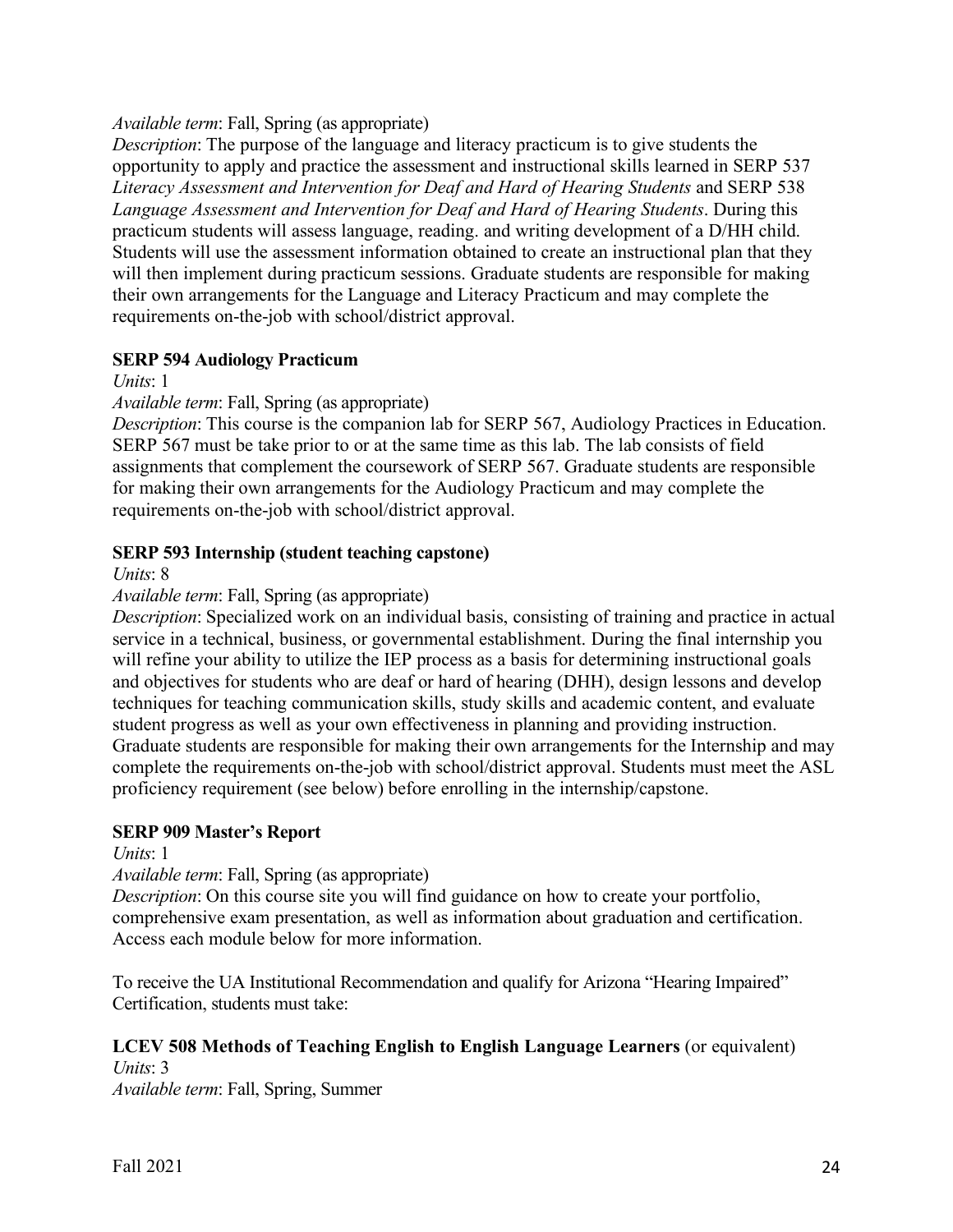#### *Available term*: Fall, Spring (as appropriate)

*Description*: The purpose of the language and literacy practicum is to give students the opportunity to apply and practice the assessment and instructional skills learned in SERP 537 *Literacy Assessment and Intervention for Deaf and Hard of Hearing Students* and SERP 538 *Language Assessment and Intervention for Deaf and Hard of Hearing Students*. During this practicum students will assess language, reading. and writing development of a D/HH child. Students will use the assessment information obtained to create an instructional plan that they will then implement during practicum sessions. Graduate students are responsible for making their own arrangements for the Language and Literacy Practicum and may complete the requirements on-the-job with school/district approval.

## **SERP 594 Audiology Practicum**

*Units*: 1

*Available term*: Fall, Spring (as appropriate)

*Description*: This course is the companion lab for SERP 567, Audiology Practices in Education. SERP 567 must be take prior to or at the same time as this lab. The lab consists of field assignments that complement the coursework of SERP 567. Graduate students are responsible for making their own arrangements for the Audiology Practicum and may complete the requirements on-the-job with school/district approval.

#### **SERP 593 Internship (student teaching capstone)**

*Units*: 8

#### *Available term*: Fall, Spring (as appropriate)

*Description*: Specialized work on an individual basis, consisting of training and practice in actual service in a technical, business, or governmental establishment. During the final internship you will refine your ability to utilize the IEP process as a basis for determining instructional goals and objectives for students who are deaf or hard of hearing (DHH), design lessons and develop techniques for teaching communication skills, study skills and academic content, and evaluate student progress as well as your own effectiveness in planning and providing instruction. Graduate students are responsible for making their own arrangements for the Internship and may complete the requirements on-the-job with school/district approval. Students must meet the ASL proficiency requirement (see below) before enrolling in the internship/capstone.

#### **SERP 909 Master's Report**

*Units*: 1

*Available term*: Fall, Spring (as appropriate)

*Description*: On this course site you will find guidance on how to create your portfolio, comprehensive exam presentation, as well as information about graduation and certification. Access each module below for more information.

To receive the UA Institutional Recommendation and qualify for Arizona "Hearing Impaired" Certification, students must take:

## **LCEV 508 Methods of Teaching English to English Language Learners** (or equivalent)

*Units*: 3 *Available term*: Fall, Spring, Summer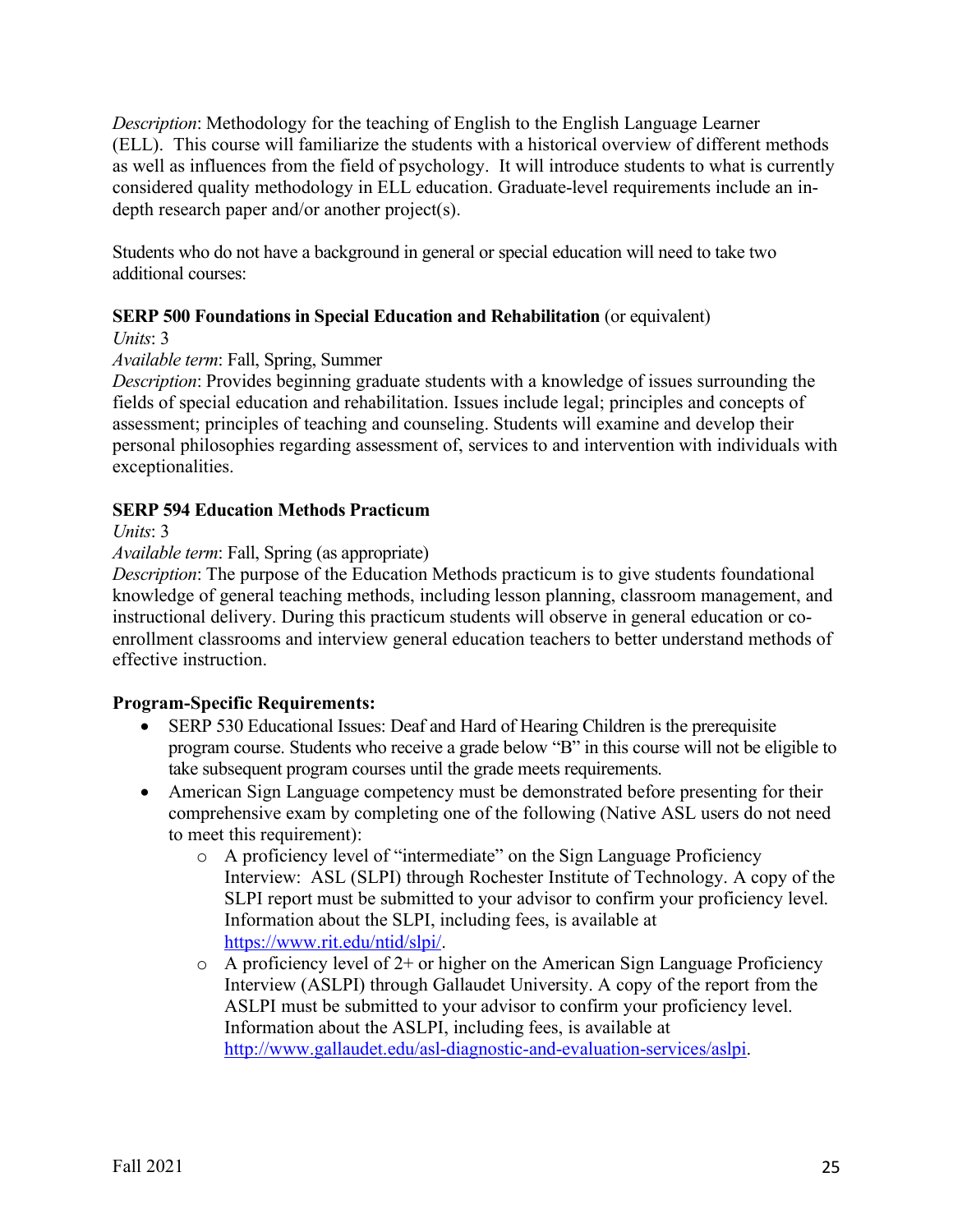*Description*: Methodology for the teaching of English to the English Language Learner (ELL). This course will familiarize the students with a historical overview of different methods as well as influences from the field of psychology. It will introduce students to what is currently considered quality methodology in ELL education. Graduate-level requirements include an indepth research paper and/or another project(s).

Students who do not have a background in general or special education will need to take two additional courses:

## **SERP 500 Foundations in Special Education and Rehabilitation** (or equivalent)

*Units*: 3

## *Available term*: Fall, Spring, Summer

*Description*: Provides beginning graduate students with a knowledge of issues surrounding the fields of special education and rehabilitation. Issues include legal; principles and concepts of assessment; principles of teaching and counseling. Students will examine and develop their personal philosophies regarding assessment of, services to and intervention with individuals with exceptionalities.

## **SERP 594 Education Methods Practicum**

*Units*: 3

## *Available term*: Fall, Spring (as appropriate)

*Description*: The purpose of the Education Methods practicum is to give students foundational knowledge of general teaching methods, including lesson planning, classroom management, and instructional delivery. During this practicum students will observe in general education or coenrollment classrooms and interview general education teachers to better understand methods of effective instruction.

## **Program-Specific Requirements:**

- SERP 530 Educational Issues: Deaf and Hard of Hearing Children is the prerequisite program course. Students who receive a grade below "B" in this course will not be eligible to take subsequent program courses until the grade meets requirements.
- American Sign Language competency must be demonstrated before presenting for their comprehensive exam by completing one of the following (Native ASL users do not need to meet this requirement):
	- o A proficiency level of "intermediate" on the Sign Language Proficiency Interview: ASL (SLPI) through Rochester Institute of Technology. A copy of the SLPI report must be submitted to your advisor to confirm your proficiency level. Information about the SLPI, including fees, is available at https://www.rit.edu/ntid/slpi/.
	- $\circ$  A proficiency level of 2+ or higher on the American Sign Language Proficiency Interview (ASLPI) through Gallaudet University. A copy of the report from the ASLPI must be submitted to your advisor to confirm your proficiency level. Information about the ASLPI, including fees, is available at http://www.gallaudet.edu/asl-diagnostic-and-evaluation-services/aslpi.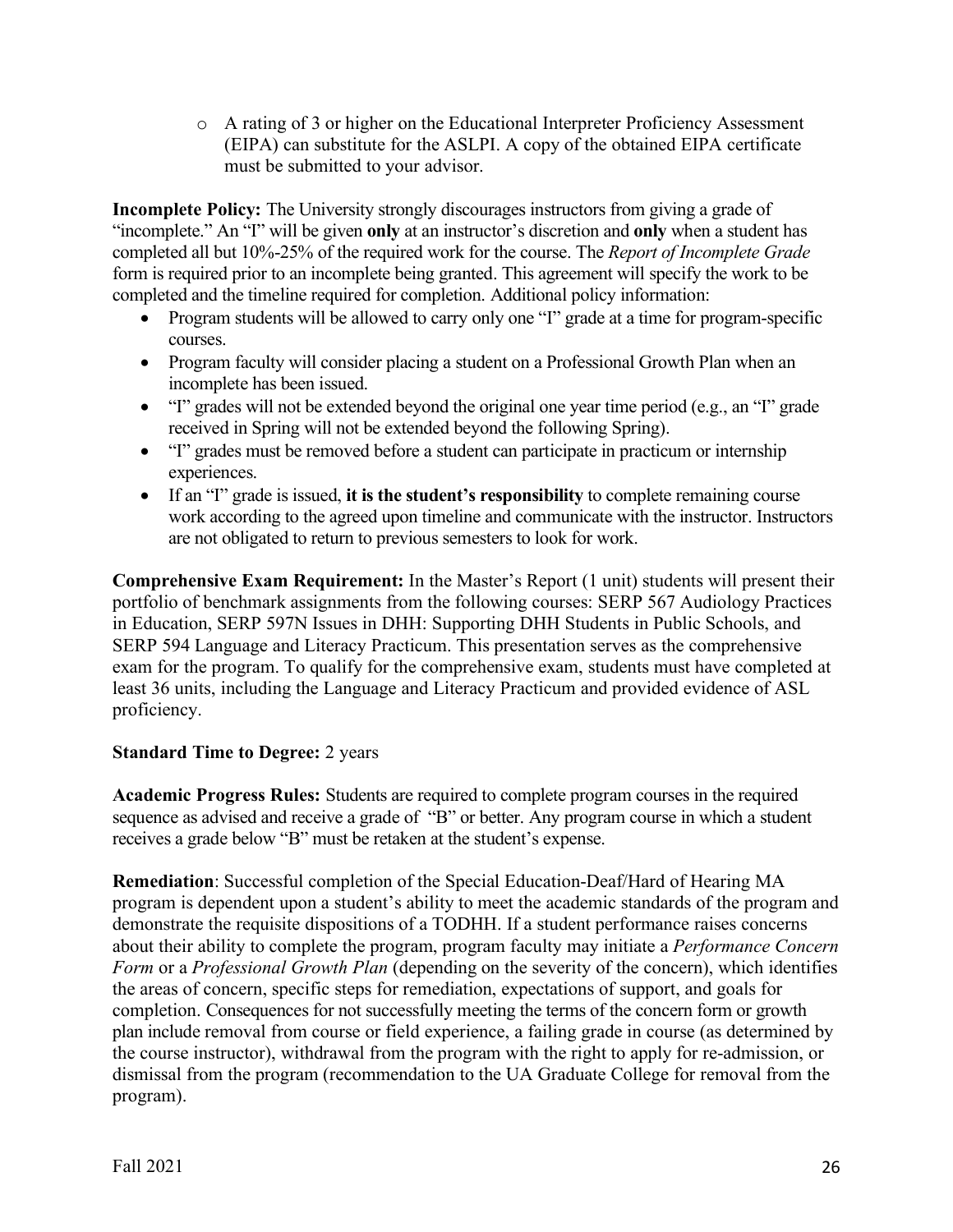o A rating of 3 or higher on the Educational Interpreter Proficiency Assessment (EIPA) can substitute for the ASLPI. A copy of the obtained EIPA certificate must be submitted to your advisor.

**Incomplete Policy:** The University strongly discourages instructors from giving a grade of "incomplete." An "I" will be given **only** at an instructor's discretion and **only** when a student has completed all but 10%-25% of the required work for the course. The *Report of Incomplete Grade* form is required prior to an incomplete being granted. This agreement will specify the work to be completed and the timeline required for completion. Additional policy information:

- Program students will be allowed to carry only one "I" grade at a time for program-specific courses.
- Program faculty will consider placing a student on a Professional Growth Plan when an incomplete has been issued.
- "I" grades will not be extended beyond the original one year time period (e.g., an "I" grade received in Spring will not be extended beyond the following Spring).
- "I" grades must be removed before a student can participate in practicum or internship experiences.
- If an "I" grade is issued, **it is the student's responsibility** to complete remaining course work according to the agreed upon timeline and communicate with the instructor. Instructors are not obligated to return to previous semesters to look for work.

**Comprehensive Exam Requirement:** In the Master's Report (1 unit) students will present their portfolio of benchmark assignments from the following courses: SERP 567 Audiology Practices in Education, SERP 597N Issues in DHH: Supporting DHH Students in Public Schools, and SERP 594 Language and Literacy Practicum. This presentation serves as the comprehensive exam for the program. To qualify for the comprehensive exam, students must have completed at least 36 units, including the Language and Literacy Practicum and provided evidence of ASL proficiency.

# **Standard Time to Degree:** 2 years

**Academic Progress Rules:** Students are required to complete program courses in the required sequence as advised and receive a grade of "B" or better. Any program course in which a student receives a grade below "B" must be retaken at the student's expense.

**Remediation**: Successful completion of the Special Education-Deaf/Hard of Hearing MA program is dependent upon a student's ability to meet the academic standards of the program and demonstrate the requisite dispositions of a TODHH. If a student performance raises concerns about their ability to complete the program, program faculty may initiate a *Performance Concern Form* or a *Professional Growth Plan* (depending on the severity of the concern), which identifies the areas of concern, specific steps for remediation, expectations of support, and goals for completion. Consequences for not successfully meeting the terms of the concern form or growth plan include removal from course or field experience, a failing grade in course (as determined by the course instructor), withdrawal from the program with the right to apply for re-admission, or dismissal from the program (recommendation to the UA Graduate College for removal from the program).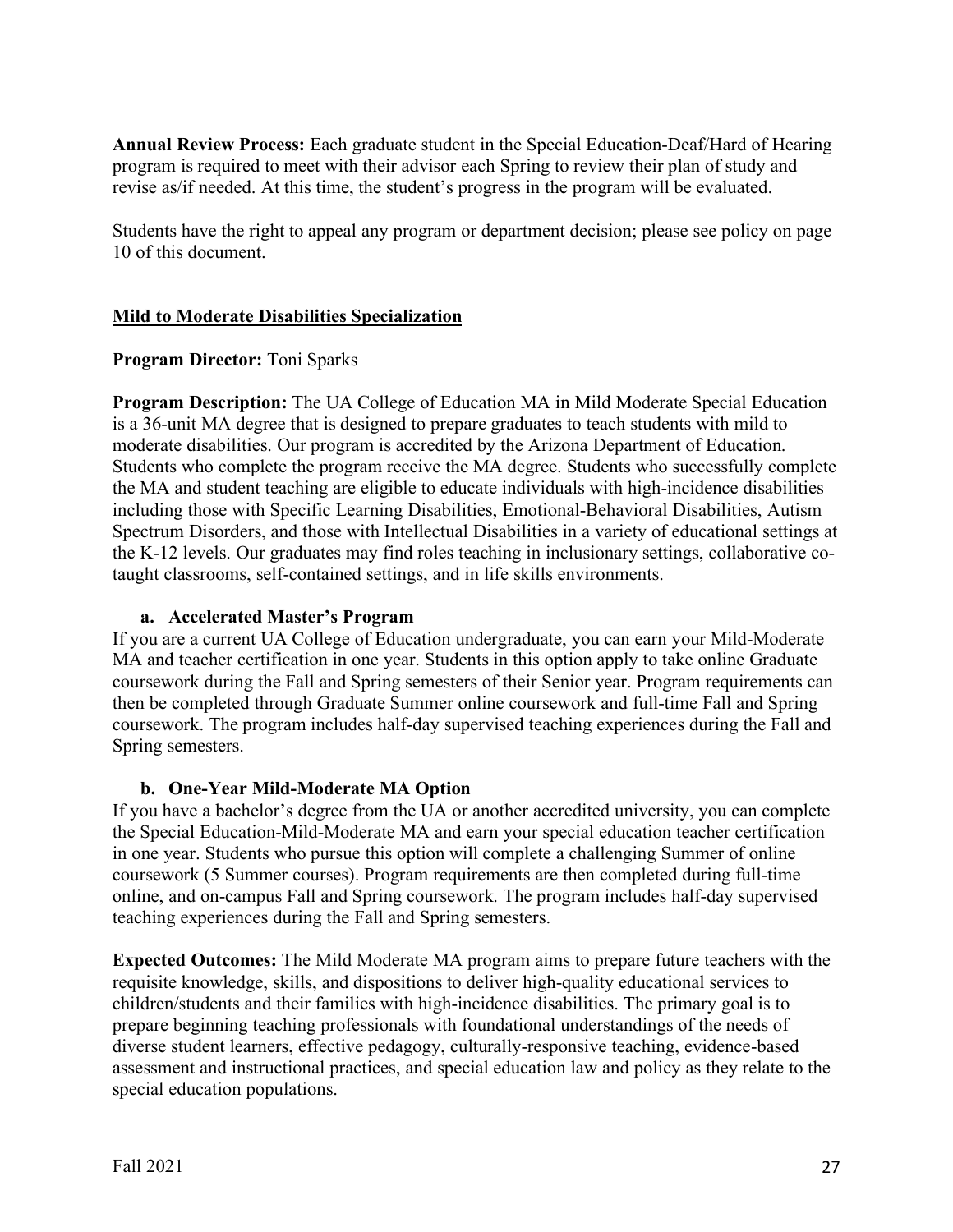**Annual Review Process:** Each graduate student in the Special Education-Deaf/Hard of Hearing program is required to meet with their advisor each Spring to review their plan of study and revise as/if needed. At this time, the student's progress in the program will be evaluated.

Students have the right to appeal any program or department decision; please see policy on page 10 of this document.

## **Mild to Moderate Disabilities Specialization**

## **Program Director:** Toni Sparks

**Program Description:** The UA College of Education MA in Mild Moderate Special Education is a 36-unit MA degree that is designed to prepare graduates to teach students with mild to moderate disabilities. Our program is accredited by the Arizona Department of Education. Students who complete the program receive the MA degree. Students who successfully complete the MA and student teaching are eligible to educate individuals with high-incidence disabilities including those with Specific Learning Disabilities, Emotional-Behavioral Disabilities, Autism Spectrum Disorders, and those with Intellectual Disabilities in a variety of educational settings at the K-12 levels. Our graduates may find roles teaching in inclusionary settings, collaborative cotaught classrooms, self-contained settings, and in life skills environments.

## **a. Accelerated Master's Program**

If you are a current UA College of Education undergraduate, you can earn your Mild-Moderate MA and teacher certification in one year. Students in this option apply to take online Graduate coursework during the Fall and Spring semesters of their Senior year. Program requirements can then be completed through Graduate Summer online coursework and full-time Fall and Spring coursework. The program includes half-day supervised teaching experiences during the Fall and Spring semesters.

## **b. One-Year Mild-Moderate MA Option**

If you have a bachelor's degree from the UA or another accredited university, you can complete the Special Education-Mild-Moderate MA and earn your special education teacher certification in one year. Students who pursue this option will complete a challenging Summer of online coursework (5 Summer courses). Program requirements are then completed during full-time online, and on-campus Fall and Spring coursework. The program includes half-day supervised teaching experiences during the Fall and Spring semesters.

**Expected Outcomes:** The Mild Moderate MA program aims to prepare future teachers with the requisite knowledge, skills, and dispositions to deliver high-quality educational services to children/students and their families with high-incidence disabilities. The primary goal is to prepare beginning teaching professionals with foundational understandings of the needs of diverse student learners, effective pedagogy, culturally-responsive teaching, evidence-based assessment and instructional practices, and special education law and policy as they relate to the special education populations.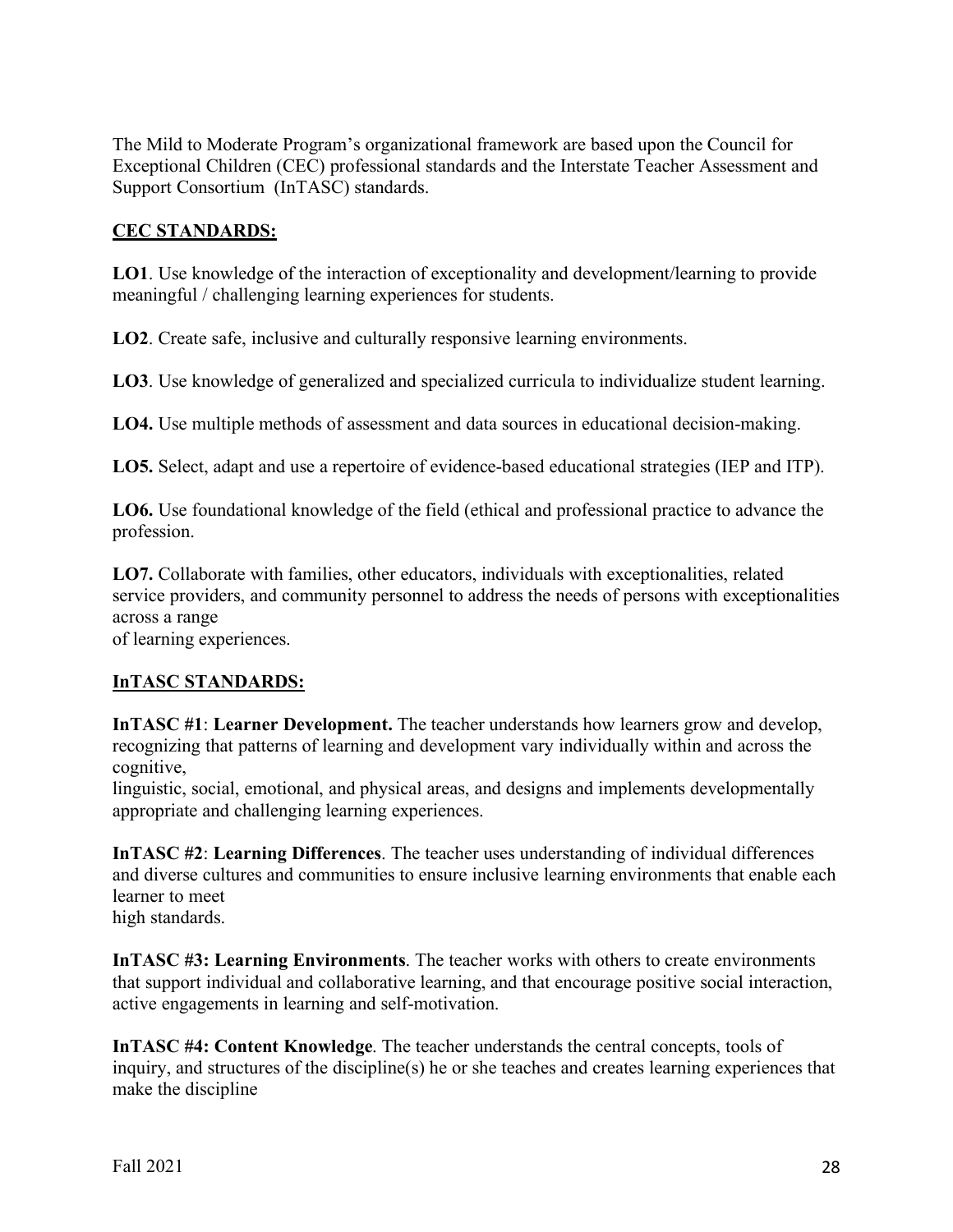The Mild to Moderate Program's organizational framework are based upon the Council for Exceptional Children (CEC) professional standards and the Interstate Teacher Assessment and Support Consortium (InTASC) standards.

## **CEC STANDARDS:**

**LO1**. Use knowledge of the interaction of exceptionality and development/learning to provide meaningful / challenging learning experiences for students.

**LO2**. Create safe, inclusive and culturally responsive learning environments.

**LO3**. Use knowledge of generalized and specialized curricula to individualize student learning.

**LO4.** Use multiple methods of assessment and data sources in educational decision-making.

**LO5.** Select, adapt and use a repertoire of evidence-based educational strategies (IEP and ITP).

**LO6.** Use foundational knowledge of the field (ethical and professional practice to advance the profession.

**LO7.** Collaborate with families, other educators, individuals with exceptionalities, related service providers, and community personnel to address the needs of persons with exceptionalities across a range

of learning experiences.

# **InTASC STANDARDS:**

**InTASC #1**: **Learner Development.** The teacher understands how learners grow and develop, recognizing that patterns of learning and development vary individually within and across the cognitive,

linguistic, social, emotional, and physical areas, and designs and implements developmentally appropriate and challenging learning experiences.

**InTASC #2**: **Learning Differences**. The teacher uses understanding of individual differences and diverse cultures and communities to ensure inclusive learning environments that enable each learner to meet high standards.

**InTASC #3: Learning Environments**. The teacher works with others to create environments that support individual and collaborative learning, and that encourage positive social interaction, active engagements in learning and self-motivation.

**InTASC #4: Content Knowledge**. The teacher understands the central concepts, tools of inquiry, and structures of the discipline(s) he or she teaches and creates learning experiences that make the discipline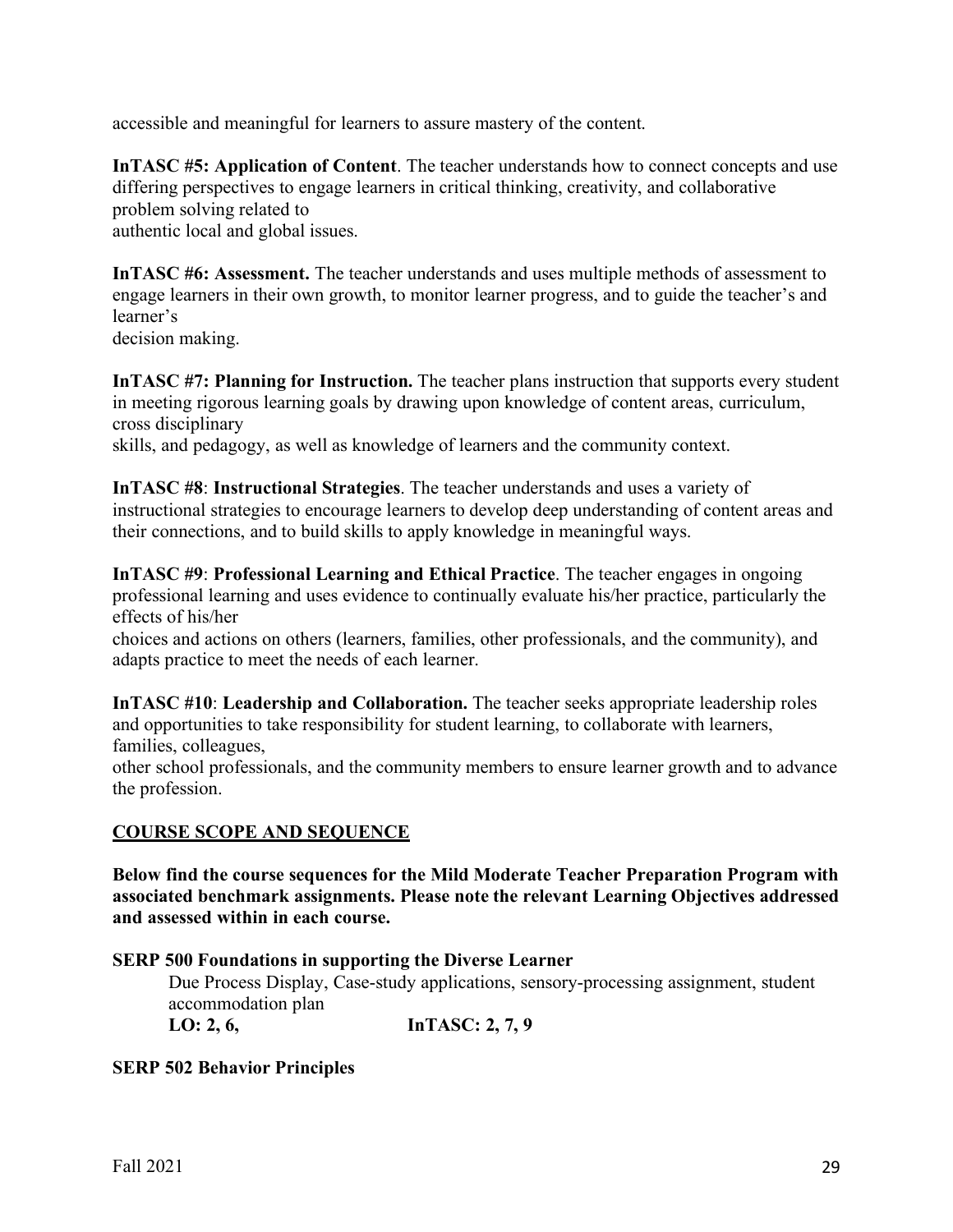accessible and meaningful for learners to assure mastery of the content.

**InTASC #5: Application of Content**. The teacher understands how to connect concepts and use differing perspectives to engage learners in critical thinking, creativity, and collaborative problem solving related to authentic local and global issues.

**InTASC #6: Assessment.** The teacher understands and uses multiple methods of assessment to engage learners in their own growth, to monitor learner progress, and to guide the teacher's and learner's

decision making.

**InTASC #7: Planning for Instruction.** The teacher plans instruction that supports every student in meeting rigorous learning goals by drawing upon knowledge of content areas, curriculum, cross disciplinary

skills, and pedagogy, as well as knowledge of learners and the community context.

**InTASC #8**: **Instructional Strategies**. The teacher understands and uses a variety of instructional strategies to encourage learners to develop deep understanding of content areas and their connections, and to build skills to apply knowledge in meaningful ways.

**InTASC #9**: **Professional Learning and Ethical Practice**. The teacher engages in ongoing professional learning and uses evidence to continually evaluate his/her practice, particularly the effects of his/her

choices and actions on others (learners, families, other professionals, and the community), and adapts practice to meet the needs of each learner.

**InTASC #10**: **Leadership and Collaboration.** The teacher seeks appropriate leadership roles and opportunities to take responsibility for student learning, to collaborate with learners, families, colleagues,

other school professionals, and the community members to ensure learner growth and to advance the profession.

## **COURSE SCOPE AND SEQUENCE**

**Below find the course sequences for the Mild Moderate Teacher Preparation Program with associated benchmark assignments. Please note the relevant Learning Objectives addressed and assessed within in each course.**

#### **SERP 500 Foundations in supporting the Diverse Learner**

Due Process Display, Case-study applications, sensory-processing assignment, student accommodation plan

**LO: 2, 6, InTASC: 2, 7, 9**

## **SERP 502 Behavior Principles**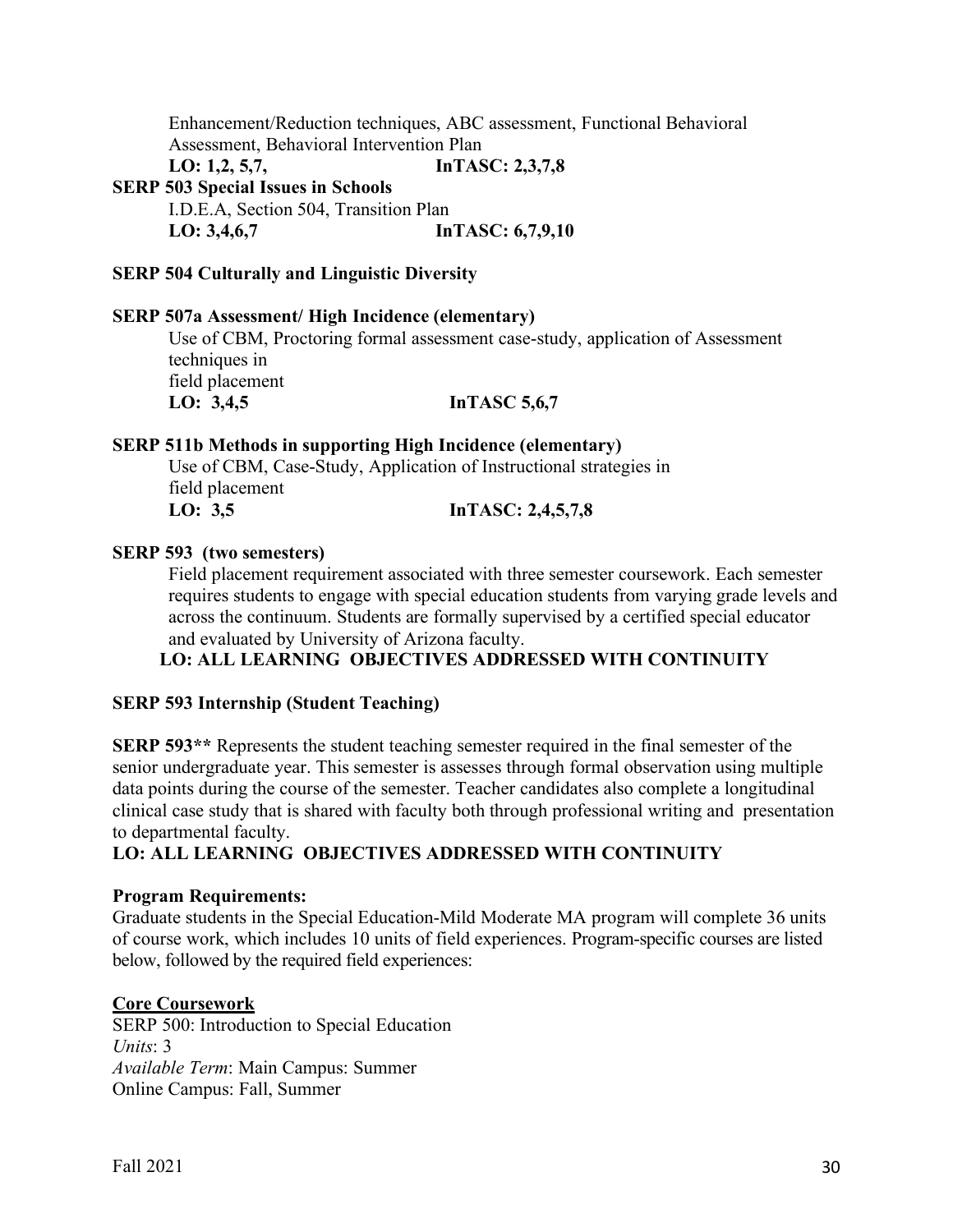Enhancement/Reduction techniques, ABC assessment, Functional Behavioral Assessment, Behavioral Intervention Plan

LO: 1,2, 5,7, **InTASC: 2,3,7,8** 

**SERP 503 Special Issues in Schools**

I.D.E.A, Section 504, Transition Plan LO: 3,4,6,7 **InTASC: 6,7,9,10** 

#### **SERP 504 Culturally and Linguistic Diversity**

#### **SERP 507a Assessment/ High Incidence (elementary)**

Use of CBM, Proctoring formal assessment case-study, application of Assessment techniques in field placement LO: 3,4,5 **InTASC 5,6,7** 

#### **SERP 511b Methods in supporting High Incidence (elementary)**

Use of CBM, Case-Study, Application of Instructional strategies in field placement **LO: 3,5 InTASC: 2,4,5,7,8**

#### **SERP 593 (two semesters)**

Field placement requirement associated with three semester coursework. Each semester requires students to engage with special education students from varying grade levels and across the continuum. Students are formally supervised by a certified special educator and evaluated by University of Arizona faculty.

## **LO: ALL LEARNING OBJECTIVES ADDRESSED WITH CONTINUITY**

#### **SERP 593 Internship (Student Teaching)**

**SERP 593\*\*** Represents the student teaching semester required in the final semester of the senior undergraduate year. This semester is assesses through formal observation using multiple data points during the course of the semester. Teacher candidates also complete a longitudinal clinical case study that is shared with faculty both through professional writing and presentation to departmental faculty.

## **LO: ALL LEARNING OBJECTIVES ADDRESSED WITH CONTINUITY**

#### **Program Requirements:**

Graduate students in the Special Education-Mild Moderate MA program will complete 36 units of course work, which includes 10 units of field experiences. Program-specific courses are listed below, followed by the required field experiences:

#### **Core Coursework**

SERP 500: Introduction to Special Education *Units*: 3 *Available Term*: Main Campus: Summer Online Campus: Fall, Summer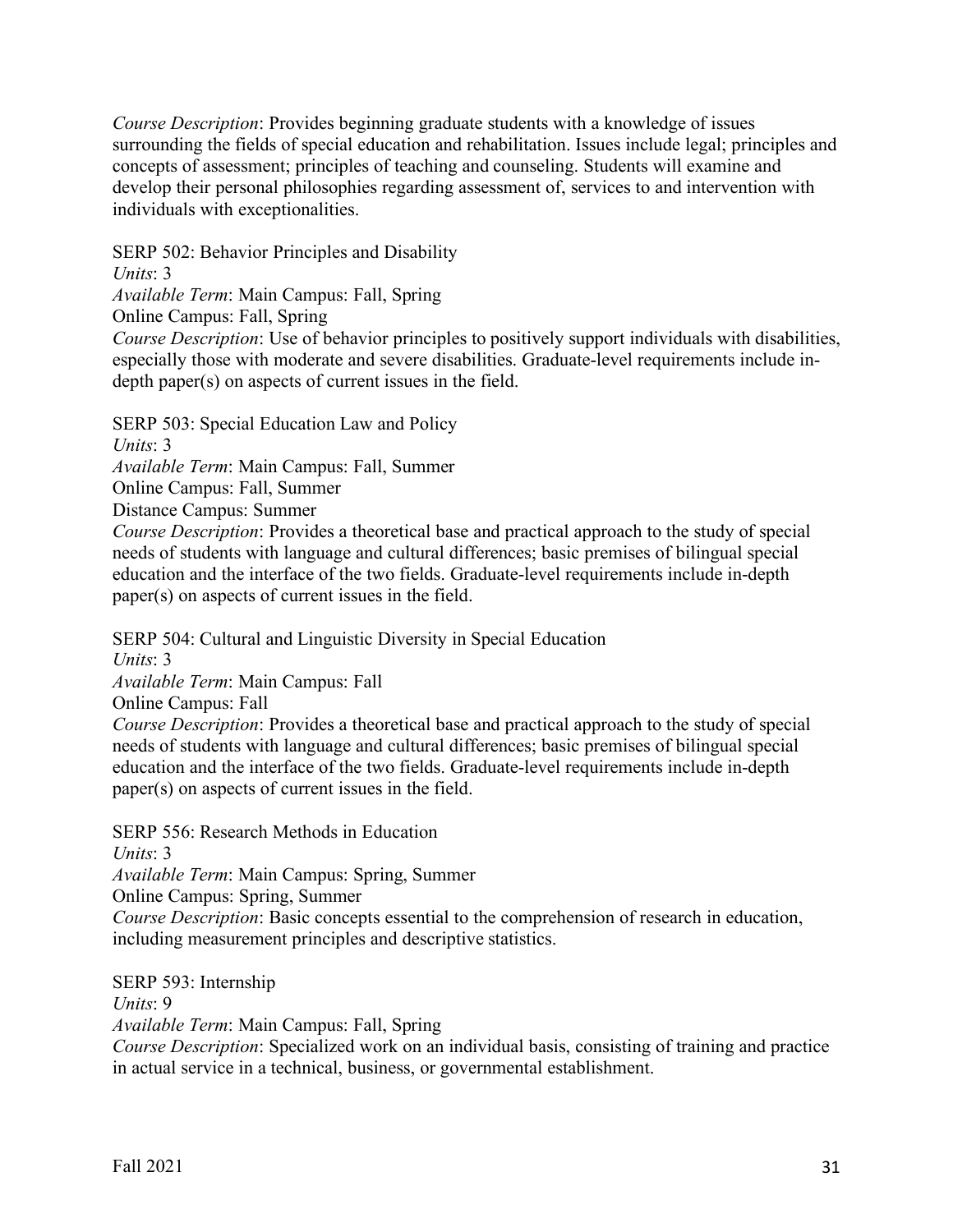*Course Description*: Provides beginning graduate students with a knowledge of issues surrounding the fields of special education and rehabilitation. Issues include legal; principles and concepts of assessment; principles of teaching and counseling. Students will examine and develop their personal philosophies regarding assessment of, services to and intervention with individuals with exceptionalities.

SERP 502: Behavior Principles and Disability

*Units*: 3

*Available Term*: Main Campus: Fall, Spring

Online Campus: Fall, Spring

*Course Description*: Use of behavior principles to positively support individuals with disabilities, especially those with moderate and severe disabilities. Graduate-level requirements include indepth paper(s) on aspects of current issues in the field.

SERP 503: Special Education Law and Policy

*Units*: 3

*Available Term*: Main Campus: Fall, Summer

Online Campus: Fall, Summer

Distance Campus: Summer

*Course Description*: Provides a theoretical base and practical approach to the study of special needs of students with language and cultural differences; basic premises of bilingual special education and the interface of the two fields. Graduate-level requirements include in-depth paper(s) on aspects of current issues in the field.

SERP 504: Cultural and Linguistic Diversity in Special Education

*Units*: 3

*Available Term*: Main Campus: Fall

Online Campus: Fall

*Course Description*: Provides a theoretical base and practical approach to the study of special needs of students with language and cultural differences; basic premises of bilingual special education and the interface of the two fields. Graduate-level requirements include in-depth paper(s) on aspects of current issues in the field.

SERP 556: Research Methods in Education

*Units*: 3

*Available Term*: Main Campus: Spring, Summer

Online Campus: Spring, Summer

*Course Description*: Basic concepts essential to the comprehension of research in education, including measurement principles and descriptive statistics.

SERP 593: Internship

*Units*: 9

*Available Term*: Main Campus: Fall, Spring

*Course Description*: Specialized work on an individual basis, consisting of training and practice in actual service in a technical, business, or governmental establishment.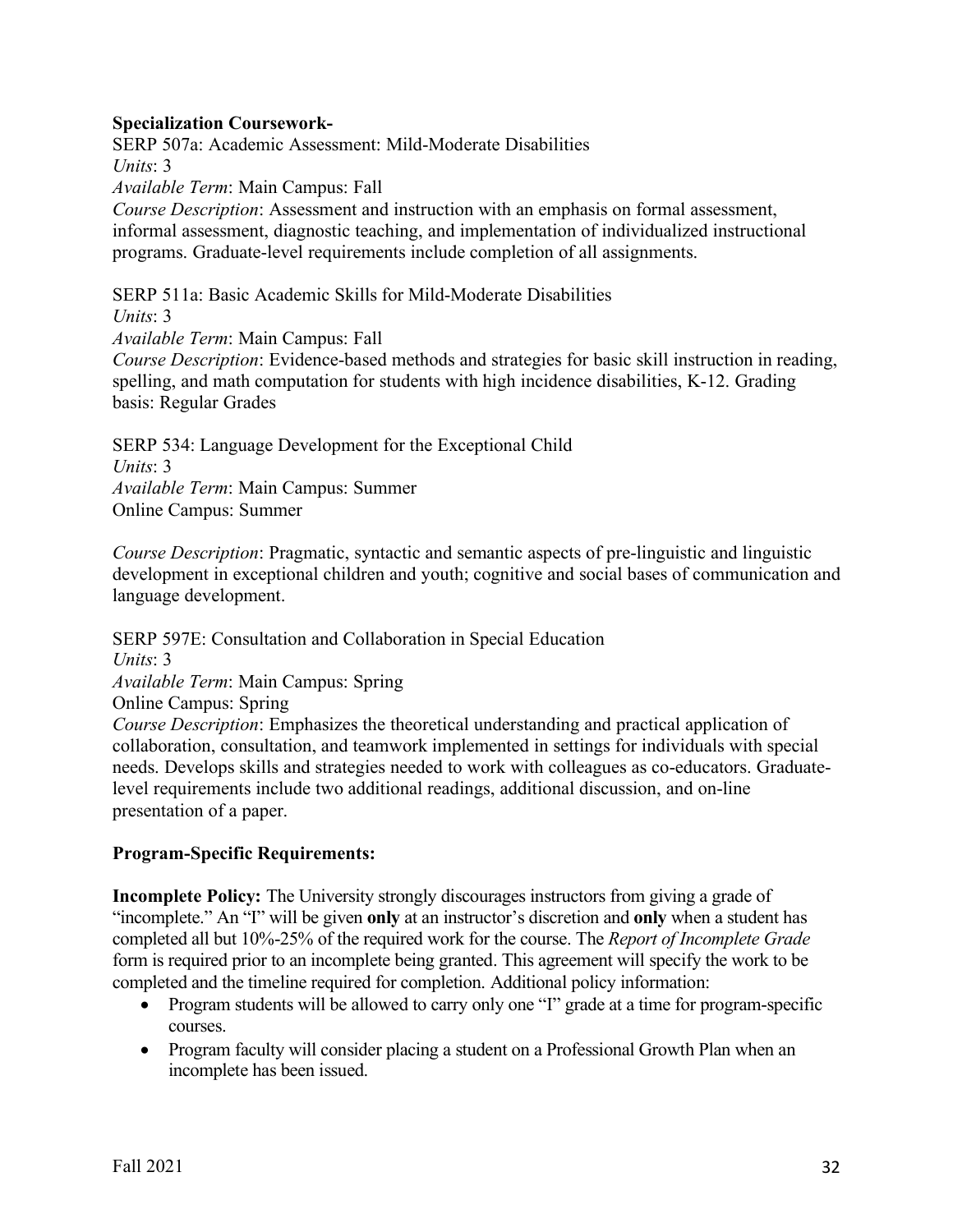#### **Specialization Coursework-**

SERP 507a: Academic Assessment: Mild-Moderate Disabilities *Units*: 3 *Available Term*: Main Campus: Fall *Course Description*: Assessment and instruction with an emphasis on formal assessment, informal assessment, diagnostic teaching, and implementation of individualized instructional programs. Graduate-level requirements include completion of all assignments.

SERP 511a: Basic Academic Skills for Mild-Moderate Disabilities

*Units*: 3

*Available Term*: Main Campus: Fall

*Course Description*: Evidence-based methods and strategies for basic skill instruction in reading, spelling, and math computation for students with high incidence disabilities, K-12. Grading basis: Regular Grades

SERP 534: Language Development for the Exceptional Child *Units*: 3 *Available Term*: Main Campus: Summer Online Campus: Summer

*Course Description*: Pragmatic, syntactic and semantic aspects of pre-linguistic and linguistic development in exceptional children and youth; cognitive and social bases of communication and language development.

SERP 597E: Consultation and Collaboration in Special Education *Units*: 3 *Available Term*: Main Campus: Spring Online Campus: Spring *Course Description*: Emphasizes the theoretical understanding and practical application of collaboration, consultation, and teamwork implemented in settings for individuals with special needs. Develops skills and strategies needed to work with colleagues as co-educators. Graduatelevel requirements include two additional readings, additional discussion, and on-line presentation of a paper.

## **Program-Specific Requirements:**

**Incomplete Policy:** The University strongly discourages instructors from giving a grade of "incomplete." An "I" will be given **only** at an instructor's discretion and **only** when a student has completed all but 10%-25% of the required work for the course. The *Report of Incomplete Grade* form is required prior to an incomplete being granted. This agreement will specify the work to be completed and the timeline required for completion. Additional policy information:

- Program students will be allowed to carry only one "I" grade at a time for program-specific courses.
- Program faculty will consider placing a student on a Professional Growth Plan when an incomplete has been issued.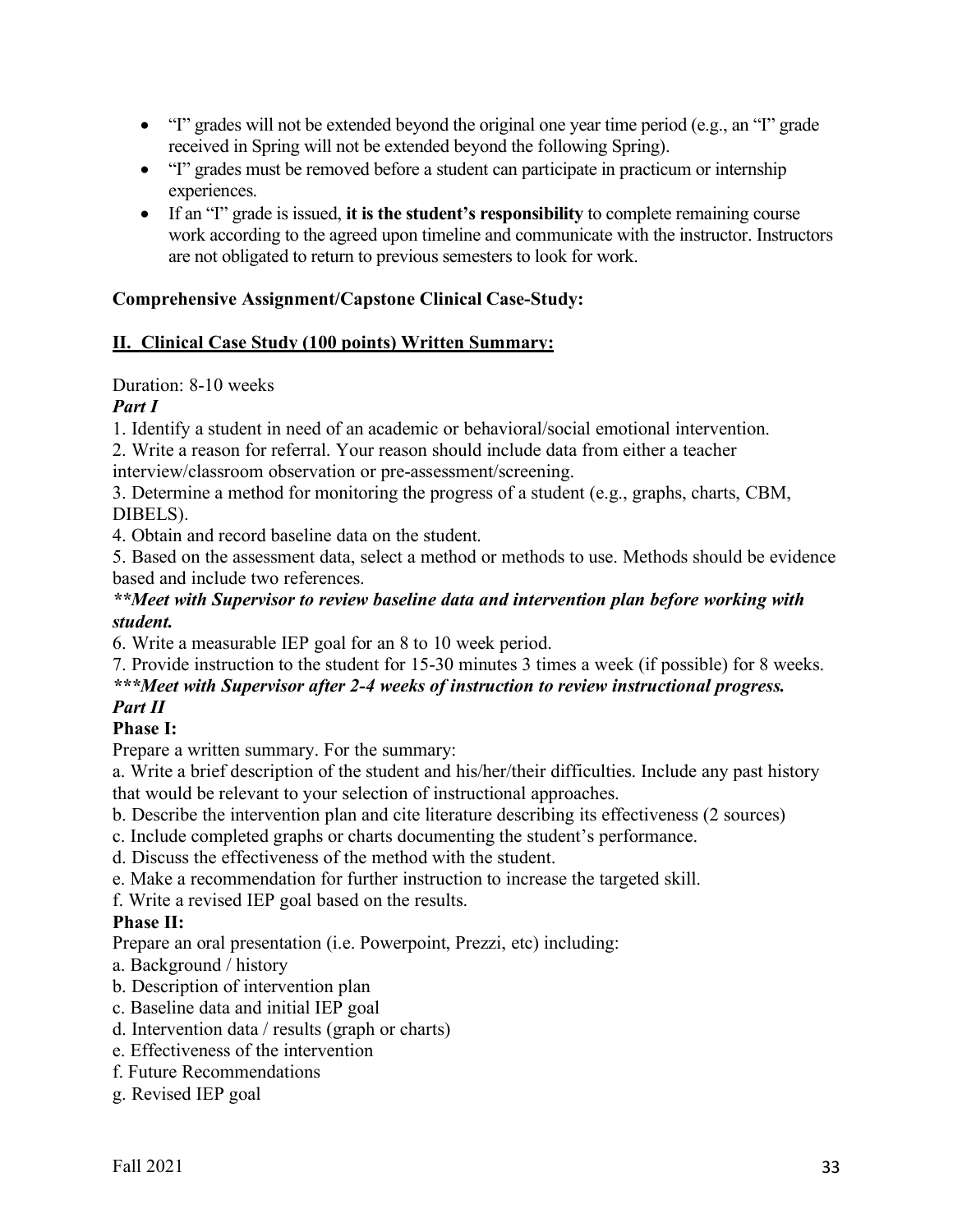- "I" grades will not be extended beyond the original one year time period (e.g., an "I" grade received in Spring will not be extended beyond the following Spring).
- "I" grades must be removed before a student can participate in practicum or internship experiences.
- If an "I" grade is issued, **it is the student's responsibility** to complete remaining course work according to the agreed upon timeline and communicate with the instructor. Instructors are not obligated to return to previous semesters to look for work.

# **Comprehensive Assignment/Capstone Clinical Case-Study:**

## **II. Clinical Case Study (100 points) Written Summary:**

## Duration: 8-10 weeks

## *Part I*

1. Identify a student in need of an academic or behavioral/social emotional intervention.

2. Write a reason for referral. Your reason should include data from either a teacher interview/classroom observation or pre-assessment/screening.

3. Determine a method for monitoring the progress of a student (e.g., graphs, charts, CBM, DIBELS).

4. Obtain and record baseline data on the student.

5. Based on the assessment data, select a method or methods to use. Methods should be evidence based and include two references.

## *\*\*Meet with Supervisor to review baseline data and intervention plan before working with student.*

6. Write a measurable IEP goal for an 8 to 10 week period.

## 7. Provide instruction to the student for 15-30 minutes 3 times a week (if possible) for 8 weeks. *\*\*\*Meet with Supervisor after 2-4 weeks of instruction to review instructional progress.*

# *Part II*

# **Phase I:**

Prepare a written summary. For the summary:

a. Write a brief description of the student and his/her/their difficulties. Include any past history that would be relevant to your selection of instructional approaches.

b. Describe the intervention plan and cite literature describing its effectiveness (2 sources)

- c. Include completed graphs or charts documenting the student's performance.
- d. Discuss the effectiveness of the method with the student.
- e. Make a recommendation for further instruction to increase the targeted skill.
- f. Write a revised IEP goal based on the results.

# **Phase II:**

Prepare an oral presentation (i.e. Powerpoint, Prezzi, etc) including:

- a. Background / history
- b. Description of intervention plan
- c. Baseline data and initial IEP goal
- d. Intervention data / results (graph or charts)
- e. Effectiveness of the intervention
- f. Future Recommendations
- g. Revised IEP goal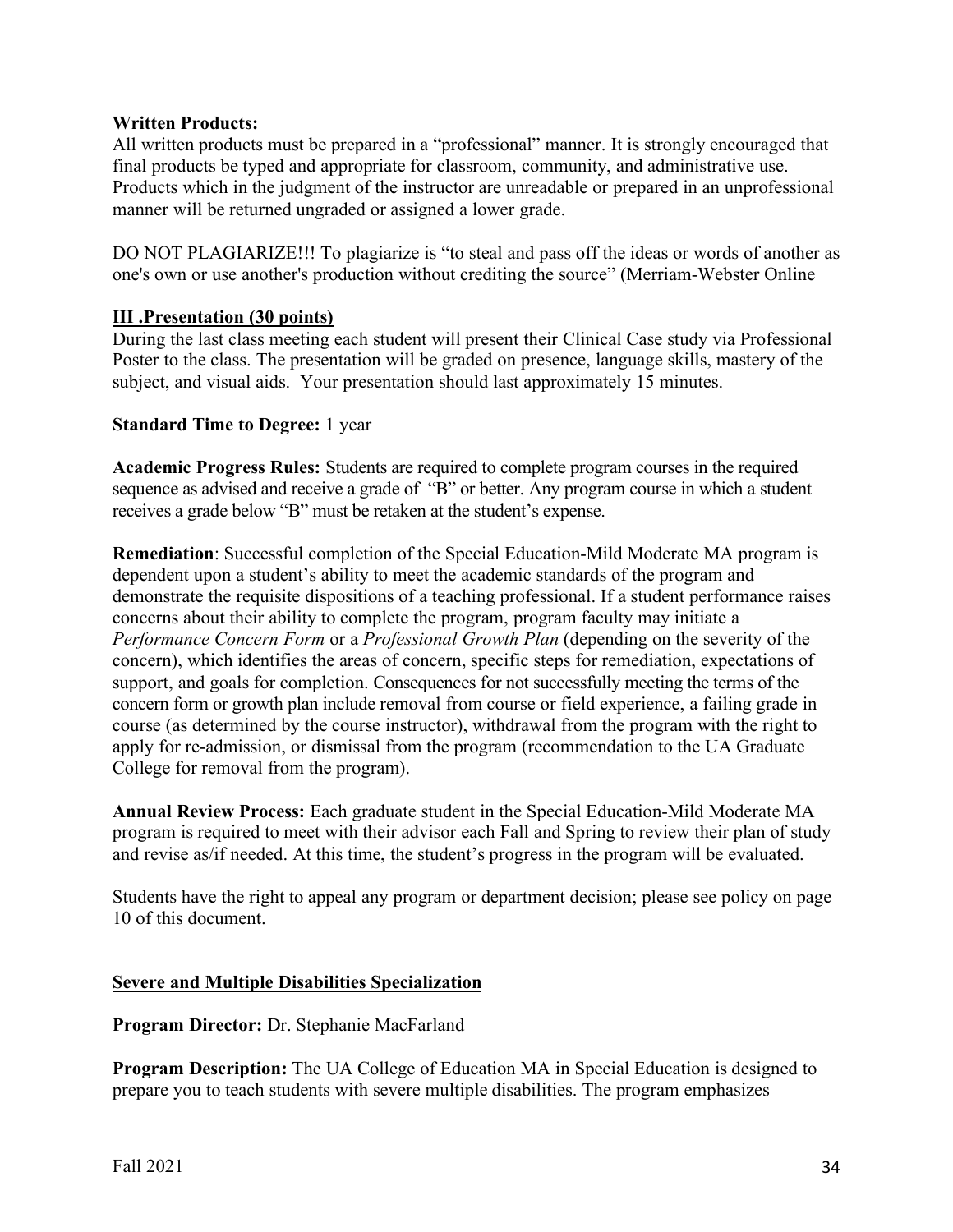#### **Written Products:**

All written products must be prepared in a "professional" manner. It is strongly encouraged that final products be typed and appropriate for classroom, community, and administrative use. Products which in the judgment of the instructor are unreadable or prepared in an unprofessional manner will be returned ungraded or assigned a lower grade.

DO NOT PLAGIARIZE!!! To plagiarize is "to steal and pass off the ideas or words of another as one's own or use another's production without crediting the source" (Merriam-Webster Online

#### **III .Presentation (30 points)**

During the last class meeting each student will present their Clinical Case study via Professional Poster to the class. The presentation will be graded on presence, language skills, mastery of the subject, and visual aids. Your presentation should last approximately 15 minutes.

#### **Standard Time to Degree:** 1 year

**Academic Progress Rules:** Students are required to complete program courses in the required sequence as advised and receive a grade of "B" or better. Any program course in which a student receives a grade below "B" must be retaken at the student's expense.

**Remediation**: Successful completion of the Special Education-Mild Moderate MA program is dependent upon a student's ability to meet the academic standards of the program and demonstrate the requisite dispositions of a teaching professional. If a student performance raises concerns about their ability to complete the program, program faculty may initiate a *Performance Concern Form* or a *Professional Growth Plan* (depending on the severity of the concern), which identifies the areas of concern, specific steps for remediation, expectations of support, and goals for completion. Consequences for not successfully meeting the terms of the concern form or growth plan include removal from course or field experience, a failing grade in course (as determined by the course instructor), withdrawal from the program with the right to apply for re-admission, or dismissal from the program (recommendation to the UA Graduate College for removal from the program).

**Annual Review Process:** Each graduate student in the Special Education-Mild Moderate MA program is required to meet with their advisor each Fall and Spring to review their plan of study and revise as/if needed. At this time, the student's progress in the program will be evaluated.

Students have the right to appeal any program or department decision; please see policy on page 10 of this document.

#### **Severe and Multiple Disabilities Specialization**

**Program Director:** Dr. Stephanie MacFarland

**Program Description:** The UA College of Education MA in Special Education is designed to prepare you to teach students with severe multiple disabilities. The program emphasizes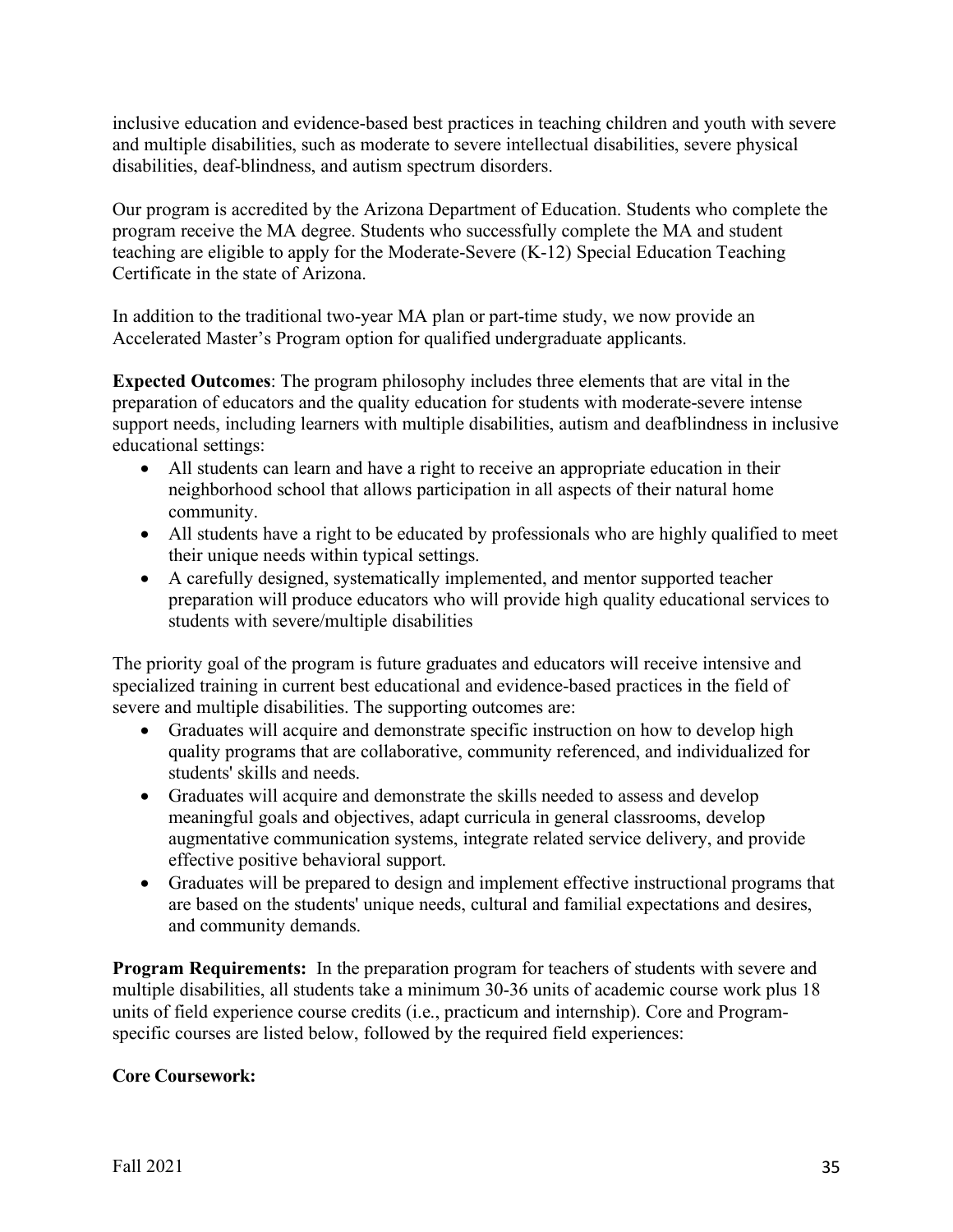inclusive education and evidence-based best practices in teaching children and youth with severe and multiple disabilities, such as moderate to severe intellectual disabilities, severe physical disabilities, deaf-blindness, and autism spectrum disorders.

Our program is accredited by the Arizona Department of Education. Students who complete the program receive the MA degree. Students who successfully complete the MA and student teaching are eligible to apply for the Moderate-Severe (K-12) Special Education Teaching Certificate in the state of Arizona.

In addition to the traditional two-year MA plan or part-time study, we now provide an Accelerated Master's Program option for qualified undergraduate applicants.

**Expected Outcomes**: The program philosophy includes three elements that are vital in the preparation of educators and the quality education for students with moderate-severe intense support needs, including learners with multiple disabilities, autism and deafblindness in inclusive educational settings:

- All students can learn and have a right to receive an appropriate education in their neighborhood school that allows participation in all aspects of their natural home community.
- All students have a right to be educated by professionals who are highly qualified to meet their unique needs within typical settings.
- A carefully designed, systematically implemented, and mentor supported teacher preparation will produce educators who will provide high quality educational services to students with severe/multiple disabilities

The priority goal of the program is future graduates and educators will receive intensive and specialized training in current best educational and evidence-based practices in the field of severe and multiple disabilities. The supporting outcomes are:

- Graduates will acquire and demonstrate specific instruction on how to develop high quality programs that are collaborative, community referenced, and individualized for students' skills and needs.
- Graduates will acquire and demonstrate the skills needed to assess and develop meaningful goals and objectives, adapt curricula in general classrooms, develop augmentative communication systems, integrate related service delivery, and provide effective positive behavioral support.
- Graduates will be prepared to design and implement effective instructional programs that are based on the students' unique needs, cultural and familial expectations and desires, and community demands.

**Program Requirements:** In the preparation program for teachers of students with severe and multiple disabilities, all students take a minimum 30-36 units of academic course work plus 18 units of field experience course credits (i.e., practicum and internship). Core and Programspecific courses are listed below, followed by the required field experiences:

## **Core Coursework:**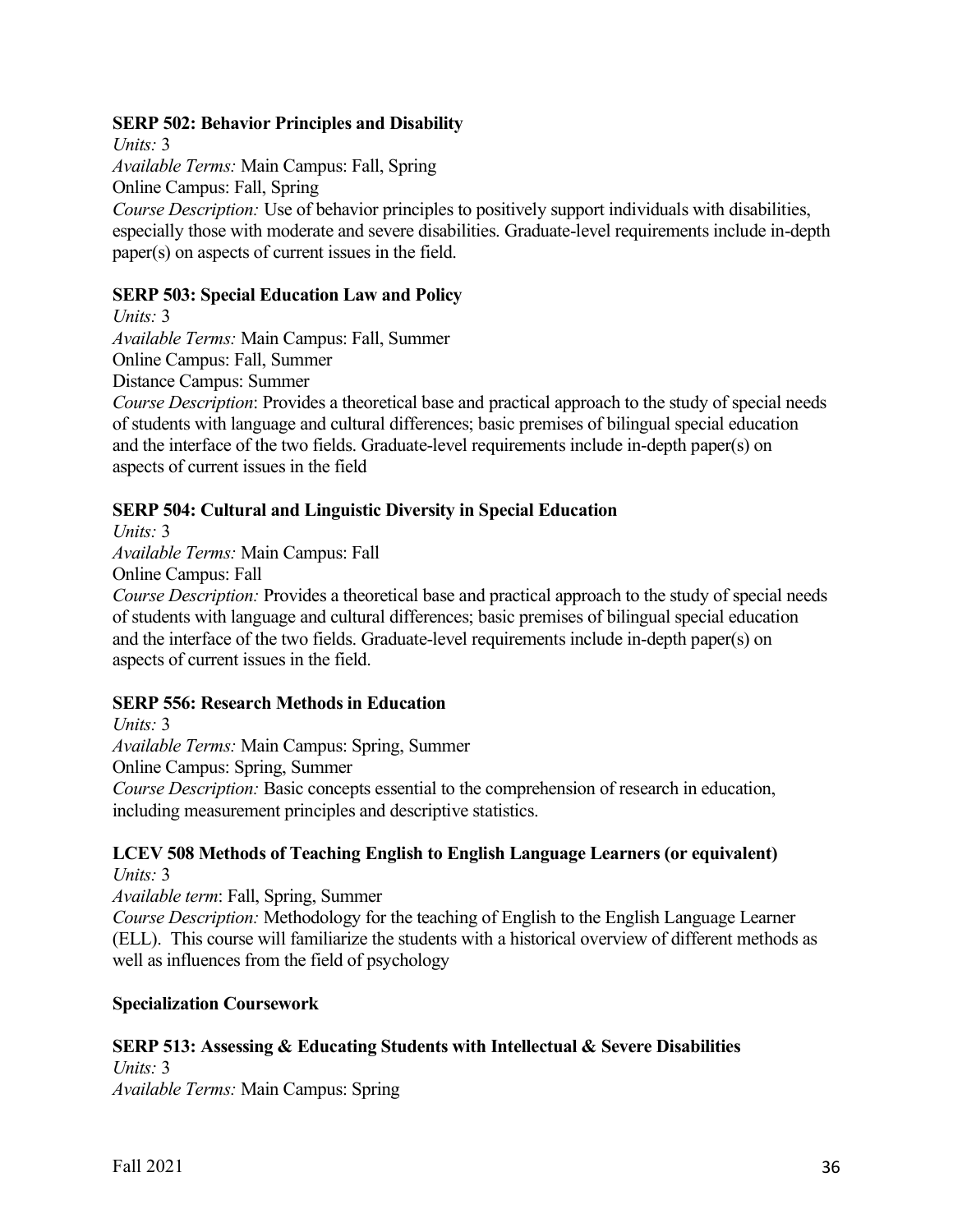#### **SERP 502: Behavior Principles and Disability**

*Units:* 3 *Available Terms:* Main Campus: Fall, Spring Online Campus: Fall, Spring *Course Description:* Use of behavior principles to positively support individuals with disabilities, especially those with moderate and severe disabilities. Graduate-level requirements include in-depth paper(s) on aspects of current issues in the field.

#### **SERP 503: Special Education Law and Policy**

*Units:* 3

*Available Terms:* Main Campus: Fall, Summer

Online Campus: Fall, Summer

Distance Campus: Summer

*Course Description*: Provides a theoretical base and practical approach to the study of special needs of students with language and cultural differences; basic premises of bilingual special education and the interface of the two fields. Graduate-level requirements include in-depth paper(s) on aspects of current issues in the field

## **SERP 504: Cultural and Linguistic Diversity in Special Education**

*Units:* 3

*Available Terms:* Main Campus: Fall

Online Campus: Fall

*Course Description:* Provides a theoretical base and practical approach to the study of special needs of students with language and cultural differences; basic premises of bilingual special education and the interface of the two fields. Graduate-level requirements include in-depth paper(s) on aspects of current issues in the field.

## **SERP 556: Research Methods in Education**

*Units:* 3 *Available Terms:* Main Campus: Spring, Summer Online Campus: Spring, Summer *Course Description:* Basic concepts essential to the comprehension of research in education, including measurement principles and descriptive statistics.

#### **LCEV 508 Methods of Teaching English to English Language Learners (or equivalent)** *Units:* 3

*Available term*: Fall, Spring, Summer

*Course Description:* Methodology for the teaching of English to the English Language Learner (ELL). This course will familiarize the students with a historical overview of different methods as well as influences from the field of psychology

## **Specialization Coursework**

## **SERP 513: Assessing & Educating Students with Intellectual & Severe Disabilities**

*Units:* 3 *Available Terms:* Main Campus: Spring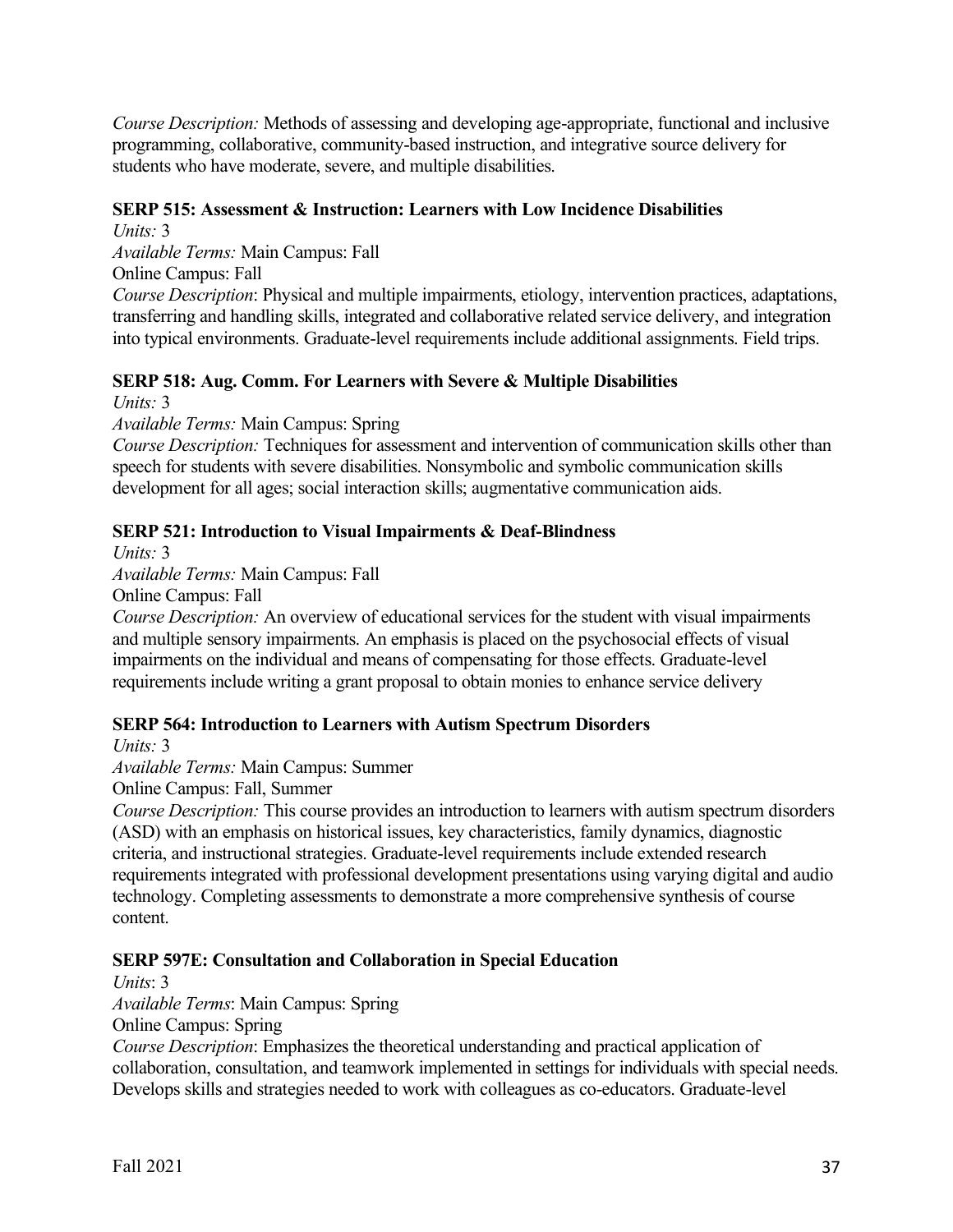*Course Description:* Methods of assessing and developing age-appropriate, functional and inclusive programming, collaborative, community-based instruction, and integrative source delivery for students who have moderate, severe, and multiple disabilities.

## **SERP 515: Assessment & Instruction: Learners with Low Incidence Disabilities**

*Units:* 3 *Available Terms:* Main Campus: Fall Online Campus: Fall *Course Description*: Physical and multiple impairments, etiology, intervention practices, adaptations, transferring and handling skills, integrated and collaborative related service delivery, and integration into typical environments. Graduate-level requirements include additional assignments. Field trips.

# **SERP 518: Aug. Comm. For Learners with Severe & Multiple Disabilities**

*Units:* 3

*Available Terms:* Main Campus: Spring

*Course Description:* Techniques for assessment and intervention of communication skills other than speech for students with severe disabilities. Nonsymbolic and symbolic communication skills development for all ages; social interaction skills; augmentative communication aids.

## **SERP 521: Introduction to Visual Impairments & Deaf-Blindness**

*Units:* 3

*Available Terms:* Main Campus: Fall

Online Campus: Fall

*Course Description:* An overview of educational services for the student with visual impairments and multiple sensory impairments. An emphasis is placed on the psychosocial effects of visual impairments on the individual and means of compensating for those effects. Graduate-level requirements include writing a grant proposal to obtain monies to enhance service delivery

# **SERP 564: Introduction to Learners with Autism Spectrum Disorders**

*Units:* 3

*Available Terms:* Main Campus: Summer Online Campus: Fall, Summer

*Course Description:* This course provides an introduction to learners with autism spectrum disorders (ASD) with an emphasis on historical issues, key characteristics, family dynamics, diagnostic criteria, and instructional strategies. Graduate-level requirements include extended research requirements integrated with professional development presentations using varying digital and audio technology. Completing assessments to demonstrate a more comprehensive synthesis of course content.

## **SERP 597E: Consultation and Collaboration in Special Education**

*Units*: 3

*Available Terms*: Main Campus: Spring

Online Campus: Spring

*Course Description*: Emphasizes the theoretical understanding and practical application of collaboration, consultation, and teamwork implemented in settings for individuals with special needs. Develops skills and strategies needed to work with colleagues as co-educators. Graduate-level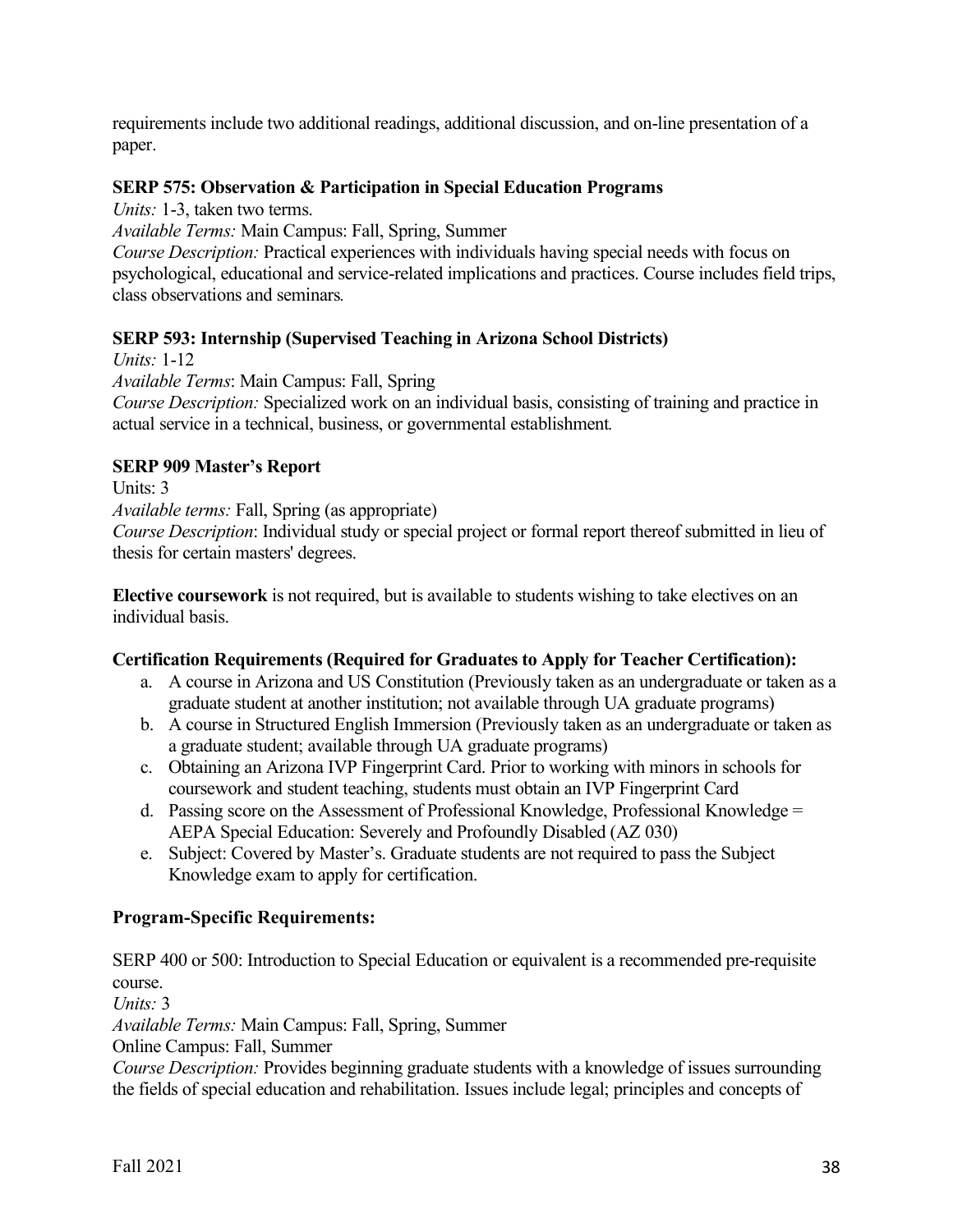requirements include two additional readings, additional discussion, and on-line presentation of a paper.

## **SERP 575: Observation & Participation in Special Education Programs**

*Units:* 1-3, taken two terms.

*Available Terms:* Main Campus: Fall, Spring, Summer

*Course Description:* Practical experiences with individuals having special needs with focus on psychological, educational and service-related implications and practices. Course includes field trips, class observations and seminars*.*

## **SERP 593: Internship (Supervised Teaching in Arizona School Districts)**

*Units:* 1-12 *Available Terms*: Main Campus: Fall, Spring *Course Description:* Specialized work on an individual basis, consisting of training and practice in actual service in a technical, business, or governmental establishment*.*

## **SERP 909 Master's Report**

Units: 3 *Available terms:* Fall, Spring (as appropriate) *Course Description*: Individual study or special project or formal report thereof submitted in lieu of thesis for certain masters' degrees.

**Elective coursework** is not required, but is available to students wishing to take electives on an individual basis.

## **Certification Requirements (Required for Graduates to Apply for Teacher Certification):**

- a. A course in Arizona and US Constitution (Previously taken as an undergraduate or taken as a graduate student at another institution; not available through UA graduate programs)
- b. A course in Structured English Immersion (Previously taken as an undergraduate or taken as a graduate student; available through UA graduate programs)
- c. Obtaining an Arizona IVP Fingerprint Card. Prior to working with minors in schools for coursework and student teaching, students must obtain an IVP Fingerprint Card
- d. Passing score on the Assessment of Professional Knowledge, Professional Knowledge = AEPA Special Education: Severely and Profoundly Disabled (AZ 030)
- e. Subject: Covered by Master's. Graduate students are not required to pass the Subject Knowledge exam to apply for certification.

# **Program-Specific Requirements:**

SERP 400 or 500: Introduction to Special Education or equivalent is a recommended pre-requisite course.

*Units:* 3

*Available Terms:* Main Campus: Fall, Spring, Summer

Online Campus: Fall, Summer

*Course Description:* Provides beginning graduate students with a knowledge of issues surrounding the fields of special education and rehabilitation. Issues include legal; principles and concepts of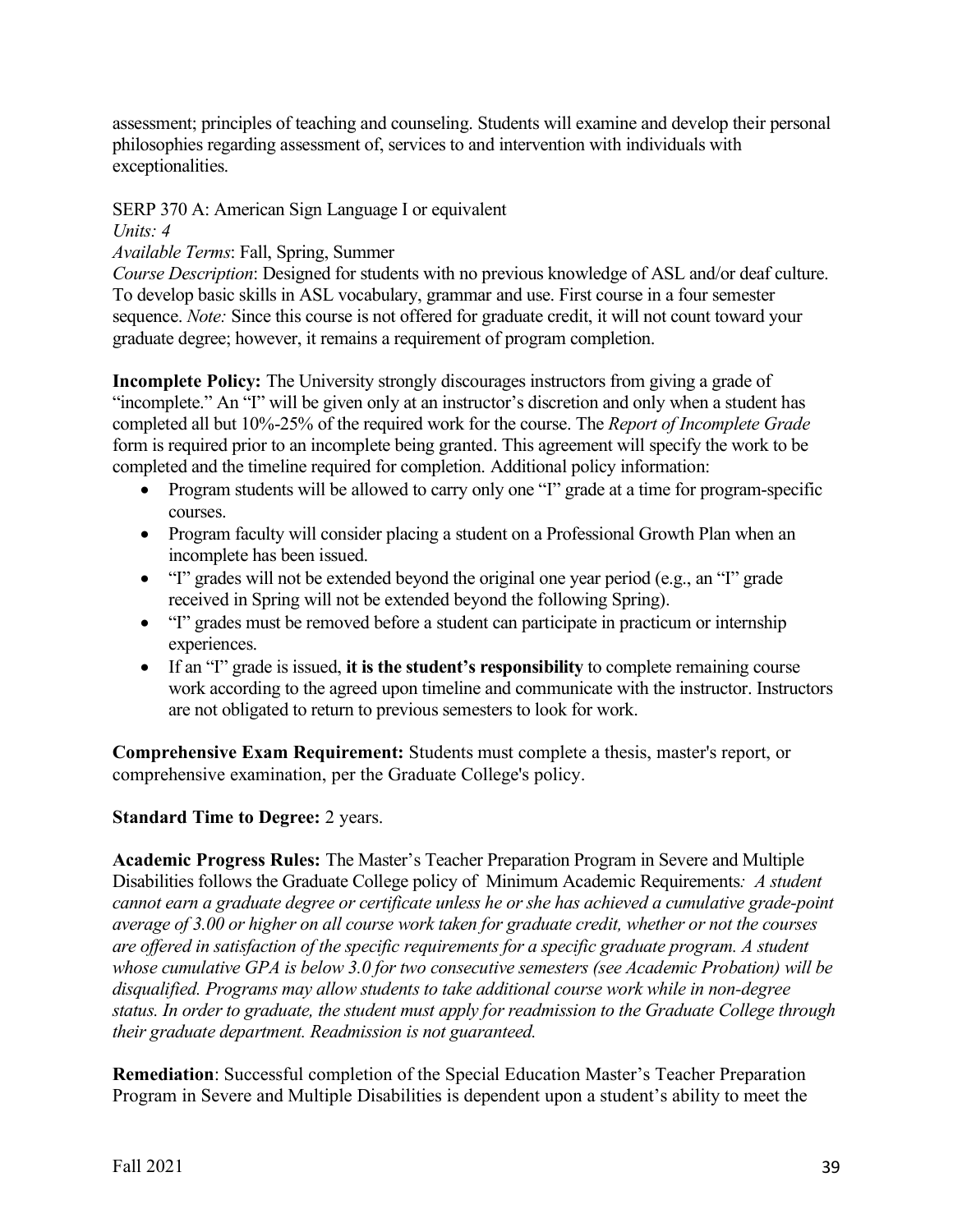assessment; principles of teaching and counseling. Students will examine and develop their personal philosophies regarding assessment of, services to and intervention with individuals with exceptionalities.

## SERP 370 A: American Sign Language I or equivalent

#### *Units: 4*

# *Available Terms*: Fall, Spring, Summer

*Course Description*: Designed for students with no previous knowledge of ASL and/or deaf culture. To develop basic skills in ASL vocabulary, grammar and use. First course in a four semester sequence. *Note:* Since this course is not offered for graduate credit, it will not count toward your graduate degree; however, it remains a requirement of program completion.

**Incomplete Policy:** The University strongly discourages instructors from giving a grade of "incomplete." An "I" will be given only at an instructor's discretion and only when a student has completed all but 10%-25% of the required work for the course. The *Report of Incomplete Grade* form is required prior to an incomplete being granted. This agreement will specify the work to be completed and the timeline required for completion. Additional policy information:

- Program students will be allowed to carry only one "I" grade at a time for program-specific courses.
- Program faculty will consider placing a student on a Professional Growth Plan when an incomplete has been issued.
- "I" grades will not be extended beyond the original one year period (e.g., an "I" grade received in Spring will not be extended beyond the following Spring).
- "I" grades must be removed before a student can participate in practicum or internship experiences.
- If an "I" grade is issued, **it is the student's responsibility** to complete remaining course work according to the agreed upon timeline and communicate with the instructor. Instructors are not obligated to return to previous semesters to look for work.

**Comprehensive Exam Requirement:** Students must complete a thesis, master's report, or comprehensive examination, per the Graduate College's policy.

# **Standard Time to Degree:** 2 years.

**Academic Progress Rules:** The Master's Teacher Preparation Program in Severe and Multiple Disabilities follows the Graduate College policy of Minimum Academic Requirements*: A student cannot earn a graduate degree or certificate unless he or she has achieved a cumulative grade-point average of 3.00 or higher on all course work taken for graduate credit, whether or not the courses are offered in satisfaction of the specific requirements for a specific graduate program. A student whose cumulative GPA is below 3.0 for two consecutive semesters (see Academic Probation) will be disqualified. Programs may allow students to take additional course work while in non-degree status. In order to graduate, the student must apply for readmission to the Graduate College through their graduate department. Readmission is not guaranteed.*

**Remediation**: Successful completion of the Special Education Master's Teacher Preparation Program in Severe and Multiple Disabilities is dependent upon a student's ability to meet the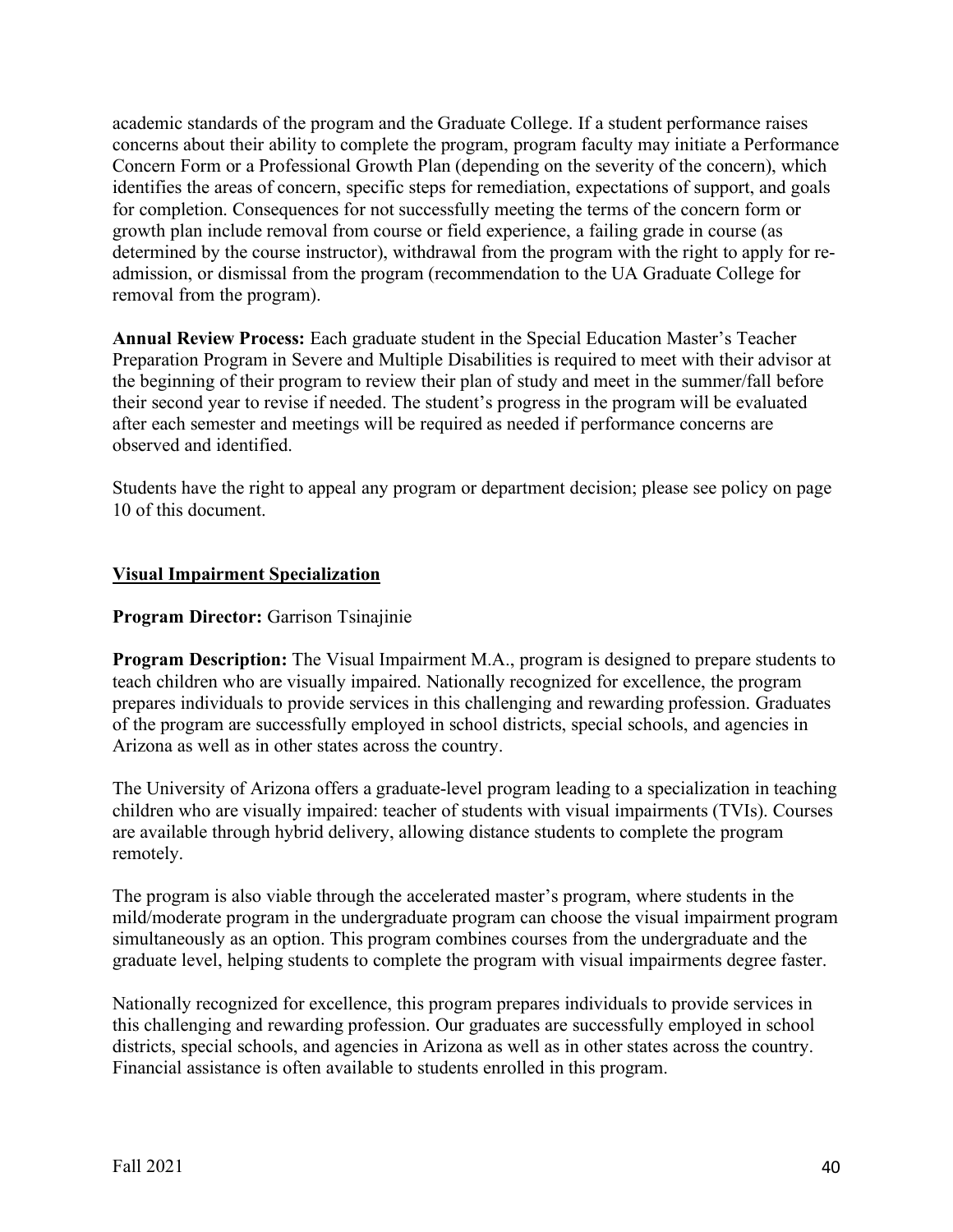academic standards of the program and the Graduate College. If a student performance raises concerns about their ability to complete the program, program faculty may initiate a Performance Concern Form or a Professional Growth Plan (depending on the severity of the concern), which identifies the areas of concern, specific steps for remediation, expectations of support, and goals for completion. Consequences for not successfully meeting the terms of the concern form or growth plan include removal from course or field experience, a failing grade in course (as determined by the course instructor), withdrawal from the program with the right to apply for readmission, or dismissal from the program (recommendation to the UA Graduate College for removal from the program).

**Annual Review Process:** Each graduate student in the Special Education Master's Teacher Preparation Program in Severe and Multiple Disabilities is required to meet with their advisor at the beginning of their program to review their plan of study and meet in the summer/fall before their second year to revise if needed. The student's progress in the program will be evaluated after each semester and meetings will be required as needed if performance concerns are observed and identified.

Students have the right to appeal any program or department decision; please see policy on page 10 of this document.

## **Visual Impairment Specialization**

## **Program Director:** Garrison Tsinajinie

**Program Description:** The Visual Impairment M.A., program is designed to prepare students to teach children who are visually impaired. Nationally recognized for excellence, the program prepares individuals to provide services in this challenging and rewarding profession. Graduates of the program are successfully employed in school districts, special schools, and agencies in Arizona as well as in other states across the country.

The University of Arizona offers a graduate-level program leading to a specialization in teaching children who are visually impaired: teacher of students with visual impairments (TVIs). Courses are available through hybrid delivery, allowing distance students to complete the program remotely.

The program is also viable through the accelerated master's program, where students in the mild/moderate program in the undergraduate program can choose the visual impairment program simultaneously as an option. This program combines courses from the undergraduate and the graduate level, helping students to complete the program with visual impairments degree faster.

Nationally recognized for excellence, this program prepares individuals to provide services in this challenging and rewarding profession. Our graduates are successfully employed in school districts, special schools, and agencies in Arizona as well as in other states across the country. Financial assistance is often available to students enrolled in this program.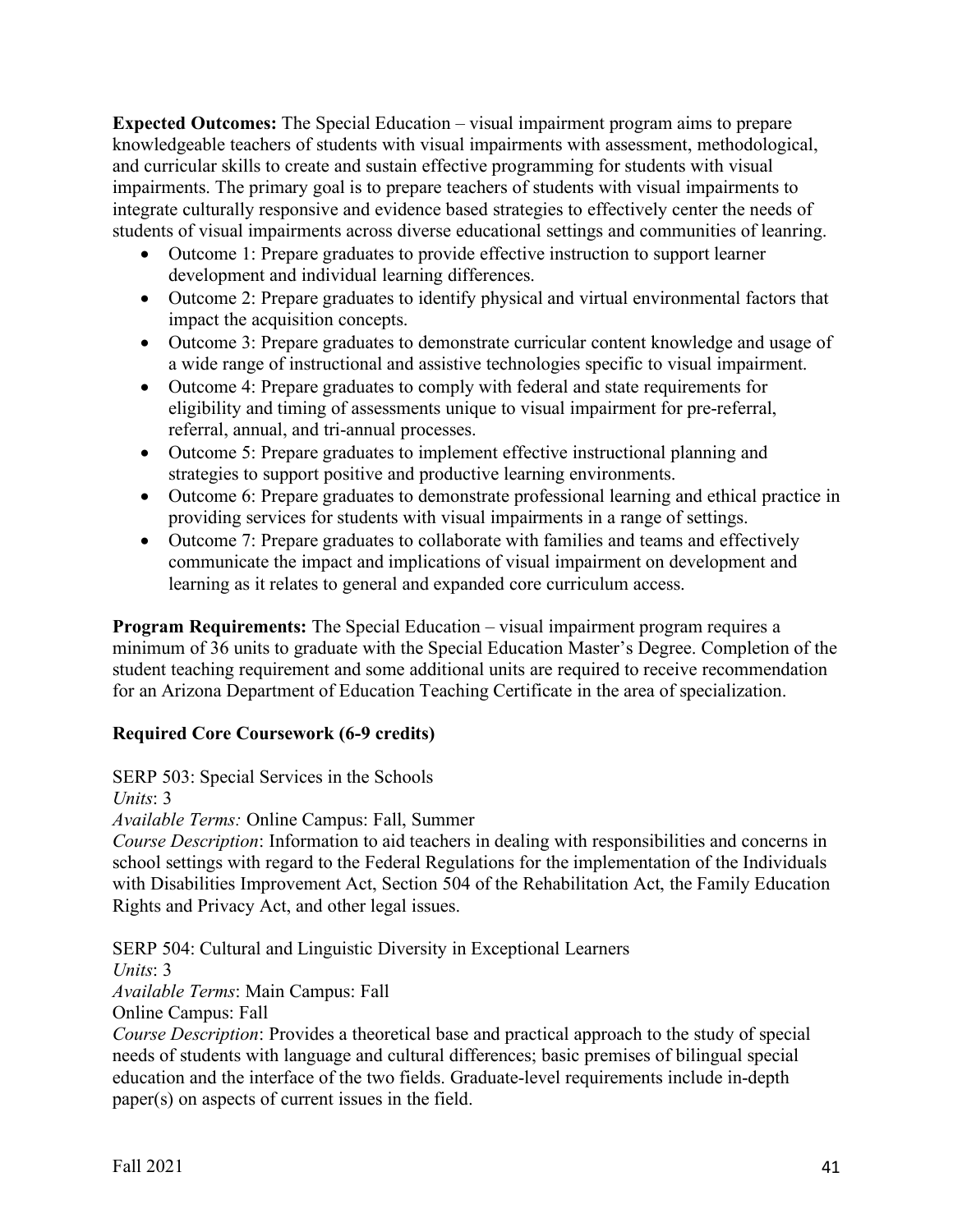**Expected Outcomes:** The Special Education – visual impairment program aims to prepare knowledgeable teachers of students with visual impairments with assessment, methodological, and curricular skills to create and sustain effective programming for students with visual impairments. The primary goal is to prepare teachers of students with visual impairments to integrate culturally responsive and evidence based strategies to effectively center the needs of students of visual impairments across diverse educational settings and communities of leanring.

- Outcome 1: Prepare graduates to provide effective instruction to support learner development and individual learning differences.
- Outcome 2: Prepare graduates to identify physical and virtual environmental factors that impact the acquisition concepts.
- Outcome 3: Prepare graduates to demonstrate curricular content knowledge and usage of a wide range of instructional and assistive technologies specific to visual impairment.
- Outcome 4: Prepare graduates to comply with federal and state requirements for eligibility and timing of assessments unique to visual impairment for pre-referral, referral, annual, and tri-annual processes.
- Outcome 5: Prepare graduates to implement effective instructional planning and strategies to support positive and productive learning environments.
- Outcome 6: Prepare graduates to demonstrate professional learning and ethical practice in providing services for students with visual impairments in a range of settings.
- Outcome 7: Prepare graduates to collaborate with families and teams and effectively communicate the impact and implications of visual impairment on development and learning as it relates to general and expanded core curriculum access.

**Program Requirements:** The Special Education – visual impairment program requires a minimum of 36 units to graduate with the Special Education Master's Degree. Completion of the student teaching requirement and some additional units are required to receive recommendation for an Arizona Department of Education Teaching Certificate in the area of specialization.

# **Required Core Coursework (6-9 credits)**

SERP 503: Special Services in the Schools

*Units*: 3

*Available Terms:* Online Campus: Fall, Summer

*Course Description*: Information to aid teachers in dealing with responsibilities and concerns in school settings with regard to the Federal Regulations for the implementation of the Individuals with Disabilities Improvement Act, Section 504 of the Rehabilitation Act, the Family Education Rights and Privacy Act, and other legal issues.

SERP 504: Cultural and Linguistic Diversity in Exceptional Learners *Units*: 3 *Available Terms*: Main Campus: Fall Online Campus: Fall

*Course Description*: Provides a theoretical base and practical approach to the study of special needs of students with language and cultural differences; basic premises of bilingual special education and the interface of the two fields. Graduate-level requirements include in-depth paper(s) on aspects of current issues in the field.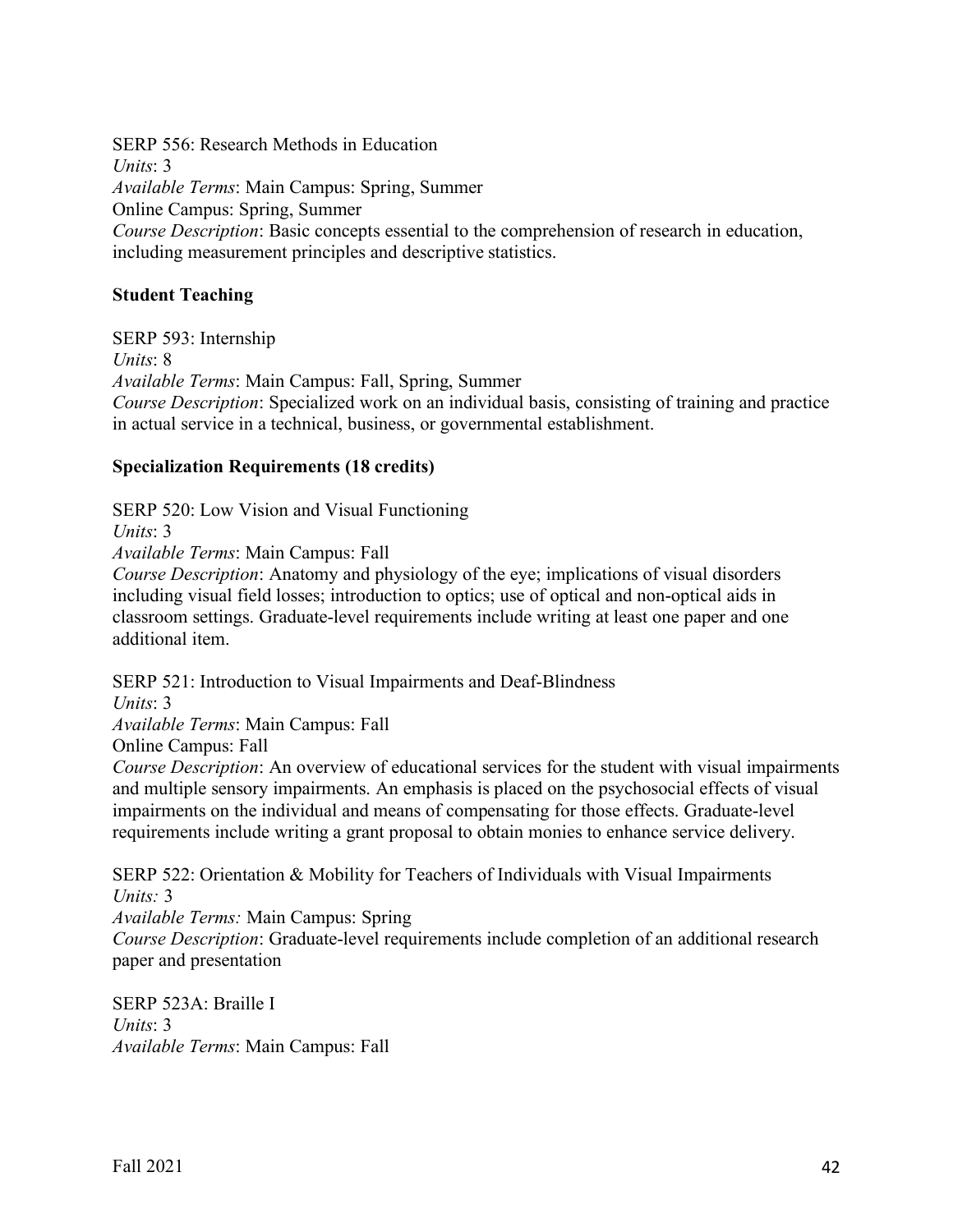SERP 556: Research Methods in Education *Units*: 3 *Available Terms*: Main Campus: Spring, Summer Online Campus: Spring, Summer *Course Description*: Basic concepts essential to the comprehension of research in education, including measurement principles and descriptive statistics.

#### **Student Teaching**

SERP 593: Internship *Units*: 8 *Available Terms*: Main Campus: Fall, Spring, Summer *Course Description*: Specialized work on an individual basis, consisting of training and practice in actual service in a technical, business, or governmental establishment.

#### **Specialization Requirements (18 credits)**

SERP 520: Low Vision and Visual Functioning

*Units*: 3

*Available Terms*: Main Campus: Fall

*Course Description*: Anatomy and physiology of the eye; implications of visual disorders including visual field losses; introduction to optics; use of optical and non-optical aids in classroom settings. Graduate-level requirements include writing at least one paper and one additional item.

SERP 521: Introduction to Visual Impairments and Deaf-Blindness

*Units*: 3

*Available Terms*: Main Campus: Fall

Online Campus: Fall

*Course Description*: An overview of educational services for the student with visual impairments and multiple sensory impairments. An emphasis is placed on the psychosocial effects of visual impairments on the individual and means of compensating for those effects. Graduate-level requirements include writing a grant proposal to obtain monies to enhance service delivery.

SERP 522: Orientation & Mobility for Teachers of Individuals with Visual Impairments  $Units: 3$ 

*Available Terms:* Main Campus: Spring

*Course Description*: Graduate-level requirements include completion of an additional research paper and presentation

SERP 523A: Braille I *Units*: 3 *Available Terms*: Main Campus: Fall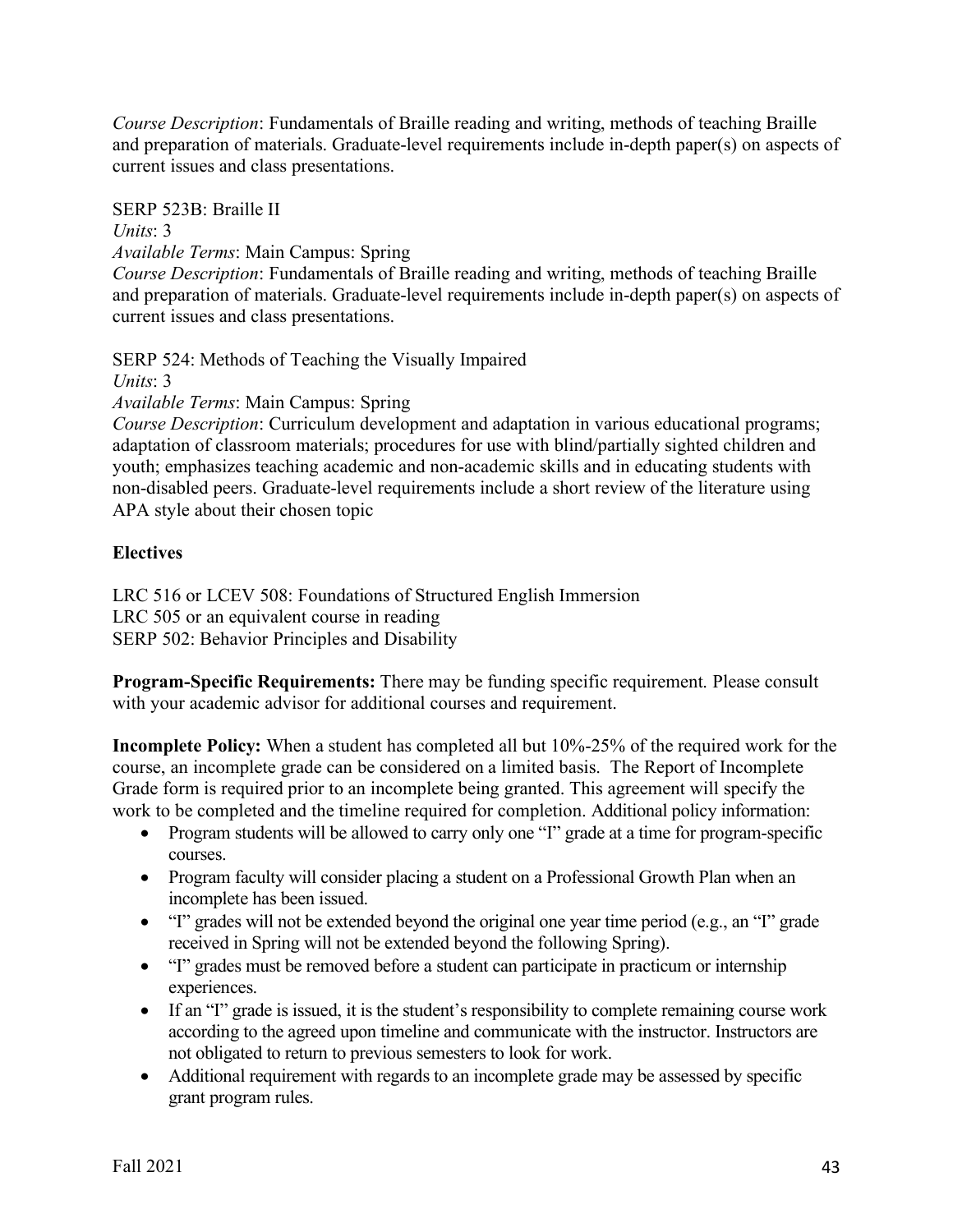*Course Description*: Fundamentals of Braille reading and writing, methods of teaching Braille and preparation of materials. Graduate-level requirements include in-depth paper(s) on aspects of current issues and class presentations.

SERP 523B: Braille II

*Units*: 3

*Available Terms*: Main Campus: Spring

*Course Description*: Fundamentals of Braille reading and writing, methods of teaching Braille and preparation of materials. Graduate-level requirements include in-depth paper(s) on aspects of current issues and class presentations.

SERP 524: Methods of Teaching the Visually Impaired

*Units*: 3

*Available Terms*: Main Campus: Spring

*Course Description*: Curriculum development and adaptation in various educational programs; adaptation of classroom materials; procedures for use with blind/partially sighted children and youth; emphasizes teaching academic and non-academic skills and in educating students with non-disabled peers. Graduate-level requirements include a short review of the literature using APA style about their chosen topic

# **Electives**

LRC 516 or LCEV 508: Foundations of Structured English Immersion LRC 505 or an equivalent course in reading SERP 502: Behavior Principles and Disability

**Program-Specific Requirements:** There may be funding specific requirement. Please consult with your academic advisor for additional courses and requirement.

**Incomplete Policy:** When a student has completed all but 10%-25% of the required work for the course, an incomplete grade can be considered on a limited basis. The Report of Incomplete Grade form is required prior to an incomplete being granted. This agreement will specify the work to be completed and the timeline required for completion. Additional policy information:

- Program students will be allowed to carry only one "I" grade at a time for program-specific courses.
- Program faculty will consider placing a student on a Professional Growth Plan when an incomplete has been issued.
- "I" grades will not be extended beyond the original one year time period (e.g., an "I" grade received in Spring will not be extended beyond the following Spring).
- "I" grades must be removed before a student can participate in practicum or internship experiences.
- If an "I" grade is issued, it is the student's responsibility to complete remaining course work according to the agreed upon timeline and communicate with the instructor. Instructors are not obligated to return to previous semesters to look for work.
- Additional requirement with regards to an incomplete grade may be assessed by specific grant program rules.